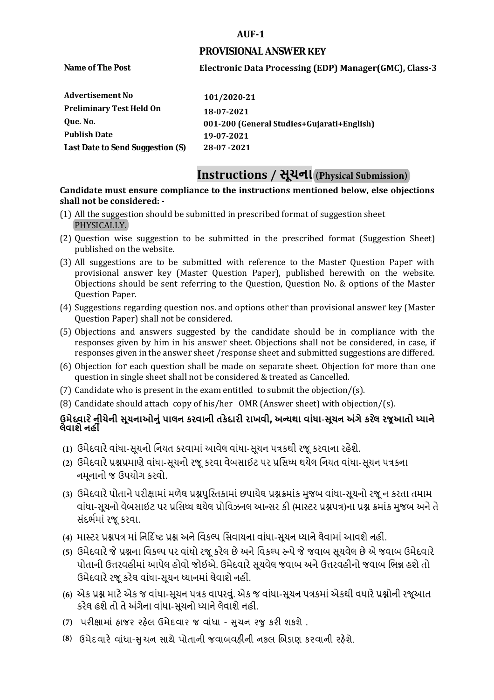#### **AUF-1**

#### **PROVISIONAL ANSWER KEY**

**Name of The Post** 

## **Electronic Data Processing (EDP) Manager(GMC), Class-3**

| 101/2020-21                                |
|--------------------------------------------|
| 18-07-2021                                 |
| 001-200 (General Studies+Gujarati+English) |
| 19-07-2021                                 |
| 28-07-2021                                 |
|                                            |

## **Instructions / સૂચના (Physical Submission)**

#### **shall not be considered: - Candidate must ensure compliance to the instructions mentioned below, else objections**

- (1) All the suggestion should be submitted in prescribed format of suggestion sheet PHYSICALLY.
- (2) Question wise suggestion to be submitted in the prescribed format (Suggestion Sheet) published on the website.
- (3) All suggestions are to be submitted with reference to the Master Question Paper with provisional answer key (Master Question Paper), published herewith on the website. Objections should be sent referring to the Question, Question No. & options of the Master Question Paper.
- (4) Suggestions regarding question nos. and options other than provisional answer key (Master Question Paper) shall not be considered.
- (5) Objections and answers suggested by the candidate should be in compliance with the responses given by him in his answer sheet. Objections shall not be considered, in case, if responses given in the answer sheet /response sheet and submitted suggestions are differed.
- (6) Objection for each question shall be made on separate sheet. Objection for more than one question in single sheet shall not be considered & treated as Cancelled.
- (7) Candidate who is present in the exam entitled to submit the objection/ $(s)$ .
- (8) Candidate should attach copy of his/her OMR (Answer sheet) with objection/(s).

## **ઉમેદવાર ેનીચેની સૂચનાઓનું પાલન કરવાની તકેદારી રાખવી, અլયથા વાંધા-સૂચન અંગેકરલે રજૂઆતો իયાને લેવાશેનહીં**

- **(1)** ઉમેદવારેવાંધા**-**સૂચનો િનયત કરવામાં આવેલ વાંધા-સૂચન પԋકથી રજૂ કરવાના રહેશે**.**
- **(2)** ઉમેદવારેԐՇԐમાણે વાંધા**-**સૂચનો રજૂકરવા વેબસાઈટ પર Ԑિસիધ થયેલ િનયત વાંધા-સૂચન પԋકના નમૂનાનો જ ઉપયોગ કરવો**.**
- **(3)** ઉમેદવારેપોતાનેપરીԟામાંમળેલ ԐՇપુિչતકામાંછપાયેલ ԐՇԃમાંક મુજબ વાંધા**-**સૂચનો રજૂન કરતા તમામ વાંધા**-**સૂચનો વેબસાઈટ પર Ԑિસիધ થયેલ Ԑોિવઝનલ આլસર કી **(**માչટર ԐՇપԋ**)**ના ԐՇ ԃમાંક મુજબ અનેતે સંદભӪમાં રજૂકરવા**.**
- **(4)** માչટર ԐՇપԋ માં િન�દ�ષ્ટ ԐՇ અનેિવકճપ િસવાયના વાંધા**-**સૂચન իયાનેલેવામાંઆવશેનહીં**.**
- **(5)** ઉમેદવારેજેԐՇના િવકճપ પર વાંધો રજૂકરેલ છેઅનેિવકճપ ԁપેજેજવાબ સૂચવેલ છેએ જવાબ ઉમેદવારે પોતાની ઉԱરવહીમાંઆપેલ હોવો જોઈએ**.** ઉમેદવારેસૂચવેલ જવાબ અનેઉԱરવહીનો જવાબ િભՂ હશેતો ઉમેદવારેરજૂ કરેલ વાંધા**-**સૂચન իયાનમાંલેવાશેનહીં**.**
- **(6)** એક ԐՇ માટેએક જ વાંધા**-**સૂચન પԋક વાપરવું**.** એક જ વાંધા**-**સૂચન પԋકમાંએકથી વધારેԐՇોની રજૂઆત કરેલ હશેતો તેઅંગેના વાંધા**-**સૂચનો իયાનેલેવાશેનહીં**.**
- (7) પરીક્ષામાં હાજર રહેલ ઉમેદવાર જ વાંધા સુચન રજુ કરી શકશે .
- **(8)** ઉમેદવાર**�** વાંધા-**�**ુચન સાથે પોતાની જવાબવહ**�**ની નકલ **�**બડાણ કરવાની રહ**�**શે.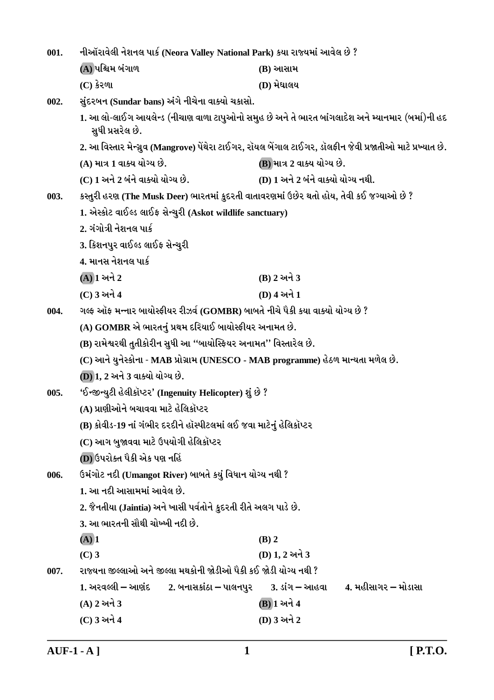| 001. | નીઑરાવેલી નેશનલ પાર્ક (Neora Valley National Park) કયા રાજ્યમાં આવેલ છે ?               |                                                                                                            |  |  |
|------|-----------------------------------------------------------------------------------------|------------------------------------------------------------------------------------------------------------|--|--|
|      | (A) પશ્ચિમ બંગાળ                                                                        | (B) આસામ                                                                                                   |  |  |
|      | $(C)$ કેરળા                                                                             | (D) મેઘાલય                                                                                                 |  |  |
| 002. | સુંદરબન (Sundar bans) અંગે નીચેના વાક્યો ચકાસો.                                         |                                                                                                            |  |  |
|      | સુધી પ્રસરેલ છે.                                                                        | 1. આ લો-લાઈગ આયલેન્ડ (નીચાણ વાળા ટાપુઓનો સમુહ છે અને તે ભારત બાંગલાદેશ અને મ્યાનમાર (બર્મા)ની હદ           |  |  |
|      |                                                                                         | 2. આ વિસ્તાર મેન્ગ્રુવ (Mangrove) પેંથેરા ટાઈગર, રૉયલ બેંગાલ ટાઈગર, ડૉલફીન જેવી પ્રજાતીઓ માટે પ્રખ્યાત છે. |  |  |
|      | (A) માત્ર 1 વાક્ય યોગ્ય છે.                                                             | (B) માત્ર 2 વાક્ય યોગ્ય છે.                                                                                |  |  |
|      | (C) 1 અને 2 બંને વાક્યો યોગ્ય છે.                                                       | (D) 1 અને 2 બંને વાક્યો યોગ્ય નથી.                                                                         |  |  |
| 003. | કસ્તુરી હરણ (The Musk Deer) ભારતમાં કુદરતી વાતાવરણમાં ઉછેર થતો હોય, તેવી કઈ જગ્યાઓ છે ? |                                                                                                            |  |  |
|      | 1. એસ્કોટ વાઈલ્ડ લાઈફ સેન્ચુરી (Askot wildlife sanctuary)                               |                                                                                                            |  |  |
|      | 2. ગંગોત્રી નેશનલ પાર્ક                                                                 |                                                                                                            |  |  |
|      | 3. કિશનપુર વાઈલ્ડ લાઈફ સેન્ચુરી                                                         |                                                                                                            |  |  |
|      | 4. માનસ નેશનલ પાર્ક                                                                     |                                                                                                            |  |  |
|      | $(A)$ ી અને 2                                                                           | (B) 2 અને 3                                                                                                |  |  |
|      | (C) 3 અને 4                                                                             | (D) 4 અને 1                                                                                                |  |  |
| 004. | ગલ્ફ ઑફ મન્નાર બાયોસ્ફીયર રીઝર્વ (GOMBR) બાબતે નીચે પૈકી કયા વાક્યો યોગ્ય છે ?          |                                                                                                            |  |  |
|      | (A) GOMBR એ ભારતનું પ્રથમ દરિયાઈ બાયોસ્ફીયર અનામત છે.                                   |                                                                                                            |  |  |
|      | (B) રામેશ્વરથી તુતીકોરીન સુધી આ ''બાયોસ્ફિયર અનામત'' વિસ્તારેલ છે.                      |                                                                                                            |  |  |
|      | (C) આને યુનેસ્કોના - MAB પ્રોગ્રામ (UNESCO - MAB programme) હેઠળ માન્યતા મળેલ છે.       |                                                                                                            |  |  |
|      | (D) 1, 2 અને 3 વાક્યો યોગ્ય છે.                                                         |                                                                                                            |  |  |
| 005. | 'ઈન્જીન્યુટી હેલીકૉપ્ટર' (Ingenuity Helicopter) શું છે ?                                |                                                                                                            |  |  |
|      | (A) પ્રાણીઓને બચાવવા માટે હેલિકૉપ્ટર                                                    |                                                                                                            |  |  |
|      | (B) કોવીડ-19 નાં ગંભીર દરદીને હૉસ્પીટલમાં લઈ જવા માટેનું હેલિકૉપ્ટર                     |                                                                                                            |  |  |
|      | (C) આગ બુજાવવા માટે ઉપયોગી હેલિકૉપ્ટર                                                   |                                                                                                            |  |  |
|      | (D) ઉપરોક્ત પૈકી એક પણ નહિં                                                             |                                                                                                            |  |  |
| 006. | ઉમંગોટ નદી (Umangot River) બાબતે કયું વિધાન યોગ્ય નથી ?                                 |                                                                                                            |  |  |
|      | 1. આ નદી આસામમાં આવેલ છે.                                                               |                                                                                                            |  |  |
|      | 2. જૈનતીયા (Jaintia) અને ખાસી પર્વતોને કુદરતી રીતે અલગ પાડે છે.                         |                                                                                                            |  |  |
|      | 3. આ ભારતની સૌથી ચોખ્ખી નદી છે.                                                         |                                                                                                            |  |  |
|      | $(A)$ <sup>1</sup>                                                                      | $(B)$ 2                                                                                                    |  |  |
|      | $(C)$ 3                                                                                 | (D) 1, 2 અને 3                                                                                             |  |  |
| 007. | રાજ્યના જીલ્લાઓ અને જીલ્લા મથકોની જોડીઓ પૈકી કઈ જોડી યોગ્ય નથી ?                        |                                                                                                            |  |  |
|      | 1. અરવલ્લી – આણંદ        2. બનાસકાંઠા – પાલનપુર                                         | 4. મહીસાગર – મોડાસા<br><u>3. ડાંગ – આહવા</u>                                                               |  |  |
|      | (A) 2 અને 3                                                                             | (B) 1 અને 4                                                                                                |  |  |
|      | (C) 3 અને 4                                                                             | (D) 3 અને 2                                                                                                |  |  |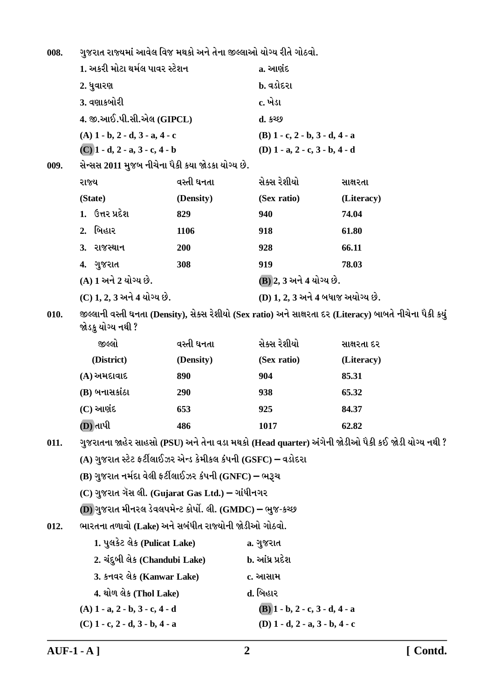ગુજરાત રાજ્યમાં આવેલ વિજ મથકો અને તેના જીલ્લાઓ યોગ્ય રીતે ગોઠવો. 008.

|      | 1. અકરી મોટા થર્મલ પાવર સ્ટેશન   |                                                               | a. આણંદ                                   |                                                                                                           |  |  |  |
|------|----------------------------------|---------------------------------------------------------------|-------------------------------------------|-----------------------------------------------------------------------------------------------------------|--|--|--|
|      | 2. ધુવારણ                        |                                                               | b. વડોદરા                                 |                                                                                                           |  |  |  |
|      | 3. વણાકબોરી                      |                                                               | c. ખેડા                                   |                                                                                                           |  |  |  |
|      | 4. જી.આઈ.પી.સી.એલ (GIPCL)        |                                                               | d. કચ્છ                                   |                                                                                                           |  |  |  |
|      | $(A)$ 1 - b, 2 - d, 3 - a, 4 - c |                                                               | $(B)$ 1 - c, 2 - b, 3 - d, 4 - a          |                                                                                                           |  |  |  |
|      | $(C)$ 1 - d, 2 - a, 3 - c, 4 - b |                                                               | (D) $1 - a$ , $2 - c$ , $3 - b$ , $4 - d$ |                                                                                                           |  |  |  |
| 009. |                                  | સેન્સસ 2011 મુજબ નીચેના પૈકી કયા જોડકા યોગ્ય છે.              |                                           |                                                                                                           |  |  |  |
|      | રાજ્ય                            | વસ્તી ઘનતા                                                    | સેક્સ રેશીયો                              | સાક્ષરતા                                                                                                  |  |  |  |
|      | (State)                          | (Density)                                                     | (Sex ratio)                               | (Literacy)                                                                                                |  |  |  |
|      | 1. ઉત્તર પ્રદેશ                  | 829                                                           | 940                                       | 74.04                                                                                                     |  |  |  |
|      | બિહાર<br>2.                      | 1106                                                          | 918                                       | 61.80                                                                                                     |  |  |  |
|      | 3. રાજસ્થાન                      | 200                                                           | 928                                       | 66.11                                                                                                     |  |  |  |
|      | 4. ગુજરાત                        | 308                                                           | 919                                       | 78.03                                                                                                     |  |  |  |
|      | (A) 1 અને 2 યોગ્ય છે.            |                                                               | (B) 2, 3 અને 4 યોગ્ય છે.                  |                                                                                                           |  |  |  |
|      | (C) 1, 2, 3 અને 4 યોગ્ય છે.      |                                                               |                                           | (D) 1, 2, 3 અને 4 બધાજ અયોગ્ય છે.                                                                         |  |  |  |
| 010. | જોડકુ યોગ્ય નથી ?                |                                                               |                                           | જીલ્લાની વસ્તી ઘનતા (Density), સેક્સ રેશીયો (Sex ratio) અને સાક્ષરતા દર (Literacy) બાબતે નીચેના પૈકી કયું |  |  |  |
|      | જીલ્લો                           | વસ્તી ઘનતા                                                    | સેક્સ રેશીયો                              | સાક્ષરતા દર                                                                                               |  |  |  |
|      | (District)                       | (Density)                                                     | (Sex ratio)                               | (Literacy)                                                                                                |  |  |  |
|      | $(A)$ અમદાવાદ                    | 890                                                           | 904                                       | 85.31                                                                                                     |  |  |  |
|      | (B) બનાસકાંઠા                    | 290                                                           | 938                                       | 65.32                                                                                                     |  |  |  |
|      | $(C)$ આણંદ                       | 653                                                           | 925                                       | 84.37                                                                                                     |  |  |  |
|      | (D) તાપી                         | 486                                                           | 1017                                      | 62.82                                                                                                     |  |  |  |
| 011. |                                  |                                                               |                                           | ગુજરાતના જાહેર સાહસો (PSU) અને તેના વડા મથકો (Head quarter) અંગેની જોડીઓ પૈકી કઈ જોડી યોગ્ય નથી ?         |  |  |  |
|      |                                  | (A) ગુજરાત સ્ટેટ ફર્ટીલાઈઝર એન્ડ કેમીકલ કંપની (GSFC) – વડોદરા |                                           |                                                                                                           |  |  |  |
|      |                                  | (B) ગુજરાત નર્મદા વેલી ફર્ટીલાઈઝર કંપની (GNFC) – ભરૂચ         |                                           |                                                                                                           |  |  |  |
|      |                                  | (C) ગુજરાત ગૅસ લી. (Gujarat Gas Ltd.) – ગાંધીનગર              |                                           |                                                                                                           |  |  |  |
|      |                                  | (D) ગુજરાત મીનરલ ડેવલપમેન્ટ કોર્પો. લી. (GMDC) – ભુજ-કચ્છ     |                                           |                                                                                                           |  |  |  |
| 012. |                                  | ભારતના તળાવો (Lake) અને સબંધીત રાજ્યોની જોડીઓ ગોઠવો.          |                                           |                                                                                                           |  |  |  |
|      | 1. પુલકેટ લેક (Pulicat Lake)     |                                                               | a. ગુજરાત                                 |                                                                                                           |  |  |  |
|      |                                  | 2. ચંદુબી લેક (Chandubi Lake)                                 | b. આંધ્ર પ્રદેશ                           |                                                                                                           |  |  |  |
|      | 3. કનવર લેક (Kanwar Lake)        |                                                               | c. આસામ                                   |                                                                                                           |  |  |  |
|      | 4. થોળ લેક (Thol Lake)           |                                                               | d. બિહાર                                  |                                                                                                           |  |  |  |
|      | (A) 1 - a, 2 - b, 3 - c, 4 - d   |                                                               | $(B)$ 1 - b, 2 - c, 3 - d, 4 - a          |                                                                                                           |  |  |  |
|      | $(C)$ 1 - c, 2 - d, 3 - b, 4 - a |                                                               | (D) $1 - d$ , $2 - a$ , $3 - b$ , $4 - c$ |                                                                                                           |  |  |  |
|      |                                  |                                                               |                                           |                                                                                                           |  |  |  |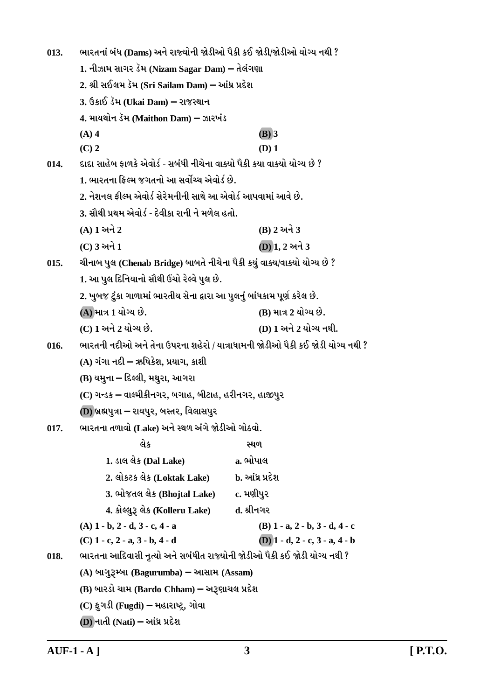ભારતનાં બંધ (Dams) અને રાજ્યોની જોડીઓ પૈકી કઈ જોડી/જોડીઓ યોગ્ય નથી ?  $013.$ 1. નીઝામ સાગર ડૅમ (Nizam Sagar Dam) – તેલંગણા 2. શ્રી સઈલમ ડૅમ (Sri Sailam Dam) – આંધ્ર પ્રદેશ 3. ઉકાઈ ડૅમ (Ukai Dam) – રાજસ્થાન 4. માયથોન ડેમ (Maithon Dam) – ઝારખંડ  $(A)$  4  $(B)$  3  $(C)$  2  $(D)$  1 દાદા સાહેબ કાળકે એવોર્ડ - સબંધી નીચેના વાક્યો પૈકી કયા વાક્યો યોગ્ય છે ?  $014.$ 1. ભારતના કિલ્મ જગતનો આ સર્વોચ્ચ એવોર્ડ છે. 2. નેશનલ કીલ્મ એવોર્ડ સેરેમનીની સાથે આ એવોર્ડ આપવામાં આવે છે. 3. સૌથી પ્રથમ એવોર્ડ - દેવીકા રાની ને મળેલ હતો.  $(A)$  1 અને 2 (B) 2 અને 3  $(C)$  3 અને 1  $(D)$ 1. 2 અને 3  $015.$ ચીનાબ પુલ (Chenab Bridge) બાબતે નીચેના પૈકી કયું વાક્ય/વાક્યો યોગ્ય છે ? 1. આ પુલ દિનિયાનો સૌથી ઉંચો રેલ્વે પુલ છે. 2. ખુબજ ટુંકા ગાળામાં ભારતીય સેના દ્વારા આ પુલનું બાંધકામ પૂર્ણ કરેલ છે. (A) માત્ર 1 યોગ્ય છે. (B) માત્ર 2 યોગ્ય છે. (C) 1 અને 2 યોગ્ય છે. (D) 1 અને 2 યોગ્ય નથી. ભારતની નદીઓ અને તેના ઉપરના શહેરો / યાત્રાધામની જોડીઓ પૈકી કઈ જોડી યોગ્ય નથી ?  $016.$ (A) ગંગા નદી – ઋષિકેશ. પ્રયાગ. કાશી (B) યમના – દિલ્લી, મથુરા, આગરા (C) ગન્ડક – વાલ્મીકીનગર, બગાહ, બીટાહ, હરીનગર, હાજીપુર (D) બ્રહ્મપુત્રા – રાયપુર, બસ્તર, વિલાસપુર ભારતના તળાવો (Lake) અને સ્થળ અંગે જોડીઓ ગોઠવો.  $017.$ લેક ວຍທ 1. ડાલ લેક (Dal Lake) a. ભોપાલ 2. લોકટક લેક (Loktak Lake) b. આંધ્ર પ્રદેશ 3. ભોજતલ લેક (Bhojtal Lake) c. મણીપર 4. કોલ્લુરૂ લેક (Kolleru Lake) d. શ્રીનગર  $(A)$  1 - b, 2 - d, 3 - c, 4 - a  $(B)$  1 - a, 2 - b, 3 - d, 4 - c  $(D)$  1 - d, 2 - c, 3 - a, 4 - b  $(C)$  1 - c, 2 - a, 3 - b, 4 - d ભારતના આદિવાસી નૃત્યો અને સબંધીત રાજ્યોની જોડીઓ પૈકી કઈ જોડી યોગ્ય નથી ? 018. (A) બાગુરૂમ્બા (Bagurumba) – આસામ (Assam) (B) બારડો ચામ (Bardo Chham) – અરૂણાચલ પ્રદેશ  $(C)$  ફૂગડી (Fugdi) – મહારાષ્ટ્ર, ગોવા

 $(D)$  નાતી (Nati) – આંધ્ર પ્રદેશ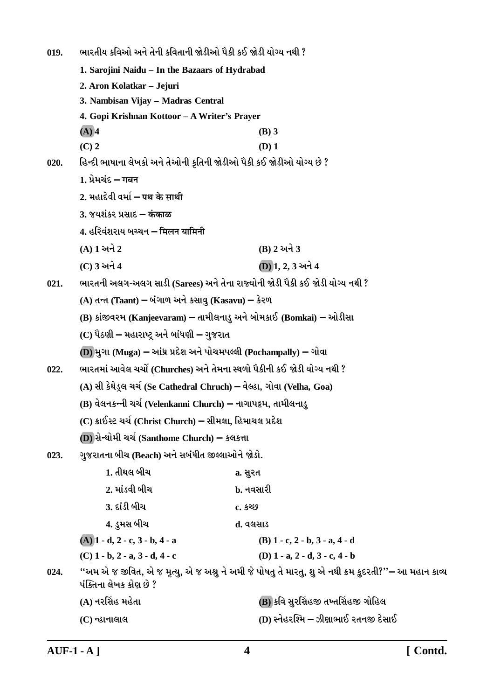ભારતીય કવિઓ અને તેની કવિતાની જોડીઓ પૈકી કઈ જોડી યોગ્ય નથી ?  $019.$ 1. Saroiini Naidu - In the Bazaars of Hydrabad 2. Aron Kolatkar - Jejuri 3. Nambisan Vijay - Madras Central 4. Gopi Krishnan Kottoor - A Writer's Prayer  $(A)$  4  $(B)$  3  $(C)$  2  $(D)$  1 હિન્દી ભાષાના લેખકો અને તેઓની કૃતિની જોડીઓ પૈકી કઈ જોડીઓ યોગ્ય છે ?  $020.$ 1. प्रेमयंद्र – गबन 2 भढ़ादेवी वर्मा – पथ्र के माथी 3. જયશંકર પ્રસાદ – कंकाळ 4. हरिवंशराय બચ્ચન – मिलन यामिनी (A) 1 અને 2 (B) 2 અને 3 (C) 3 અને 4 (D) 1, 2, 3 અને 4 ભારતની અલગ-અલગ સાડી (Sarees) અને તેના રાજ્યોની જોડી પૈકી કઈ જોડી યોગ્ય નથી ?  $021.$ (A) તન્ત (Taant) – બંગાળ અને કસાવુ (Kasavu) – કેરળ (B) કાંજીવરમ (Kanjeevaram) – તામીલનાડુ અને બોમકાઈ (Bomkai) – ઓડીસા (C) પૈઠણી – મહારાષ્ટ્ર અને બાંધણી – ગુજરાત (D) મુગા (Muga) – આંધ્ર પ્રદેશ અને પોચમપલ્લી (Pochampally) – ગોવા ભારતમાં આવેલ ચર્ચો (Churches) અને તેમના સ્થળો પૈકીની કઈ જોડી યોગ્ય નથી ?  $022.$ (A) સી કેથેડ્લ ચર્ચ (Se Cathedral Chruch) – વેલ્હા, ગોવા (Velha, Goa) (B) વેલનકન્ની ચર્ચ (Velenkanni Church) – નાગાપટ્ટમ, તામીલનાડુ (C) ક્રાઈસ્ટ ચર્ચ (Christ Church) – સીમલા, હિમાચલ પ્રદેશ (D) સેન્થોમી ચર્ચ(Santhome Church) – કલકત્તા ગુજરાતના બીચ (Beach) અને સબંધીત જીલ્લાઓને જોડો.  $023.$ 1. તીથલ બીચ a. સુરત 2. માંડવી બીચ b. નવસારી <u>3. દાંડી બીચ</u>  $c.5269$ 4. ડુમસ બીચ ત. વલસાડ  $(A)$  1 - d, 2 - c, 3 - b, 4 - a  $(B)$  1 - c, 2 - b, 3 - a, 4 - d  $(C)$  1 - b, 2 - a, 3 - d, 4 - c (D)  $1 - a$ ,  $2 - d$ ,  $3 - c$ ,  $4 - b$ ''અમ એ જ જીવિત, એ જ મૃત્યુ, એ જ અશ્રુ ને અમી જે પોષતુ તે મારતુ, શુ એ નથી ક્રમ કુદરતી?''– આ મહાન કાવ્ય 024. પંક્તિના લેખક કોણ છે ? (B) કવિ સુરસિંહજી તખ્તસિંહજી ગોહિલ (A) નરસિંહ મહેતા (D) સ્નેહરશ્મિ – ઝીણાભાઈ રતનજી દેસાઈ (C) ન્હાનાલાલ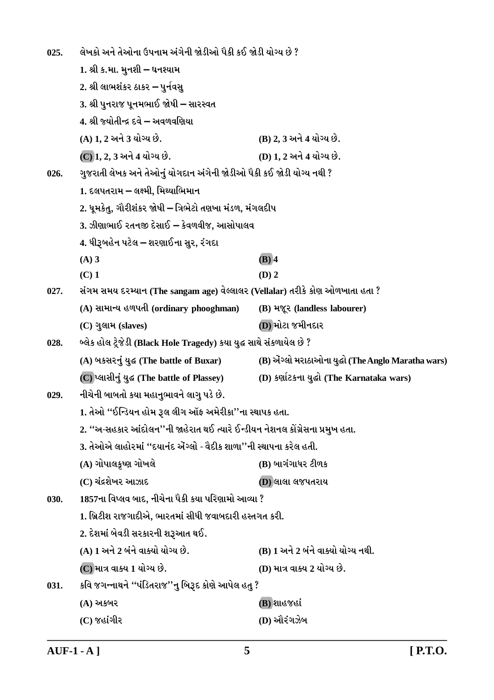લેખકો અને તેઓના ઉપનામ અંગેની જોડીઓ પૈકી કઈ જોડી યોગ્ય છે ?  $025.$ 1. શ્રી ક.મા. મનશી – ઘનશ્યામ 2. શ્રી લાભશંકર ઠાકર – પુર્નવસુ 3. શ્રી પુનરાજ પૂનમભાઈ જોષી – સારસ્વત 4. શ્રી જ્યોતીન્દ્ર દવે – અવળવણિયા (A) 1. 2 અને 3 યોગ્ય છે. (B) 2, 3 અને 4 યોગ્ય છે. (D) 1. 2 અને 4 યોગ્ય છે. (C) 1, 2, 3 અને 4 યોગ્ય છે. ગુજરાતી લેખક અને તેઓનું યોગદાન અંગેની જોડીઓ પૈકી કઈ જોડી યોગ્ય નથી ?  $026.$ 1. દલપતરામ – લક્ષ્મી, મિથ્યાભિમાન 2. ધુમકેતુ, ગૌરીશંકર જોષી – ત્રિભેટો તણખા મંડળ, મંગલદીપ 3. ઝીણાભાઈ રતનજી દેસાઈ – કેવળવીજ. આસોપાલવ 4. ધીરૂબહેન પટેલ – શરણાઈના સુર, રંગદા  $(A)$  3  $(B)$  4  $(C)$  1  $(D)$  2 સંગમ સમય દરમ્યાન (The sangam age) વેલ્લાલર (Vellalar) તરીકે કોણ ઓળખાતા હતા ?  $027.$ (A) સામાન્ય હળપતી (ordinary phooghman) (B) भ%र (landless labourer) (D) મોટા જમીનદાર (C) ગુલામ (slaves) બ્લેક હોલ ટ્રેજેડી (Black Hole Tragedy) કયા યુદ્ધ સાથે સંકળાયેલ છે ?  $028$ (A) બકસરનું યુદ્ધ (The battle of Buxar) (B) એંગ્લો મરાઠાઓના યુદ્ધો (The Anglo Maratha wars) (C) प्લासीनं यद्ध (The battle of Plassey) (D) કર્ણાટકના યુદ્ધો (The Karnataka wars) નીચેની બાબતો કયા મહાનુભાવને લાગુ પડે છે.  $029.$ 1. તેઓ "ઈન્ડિયન હોમ રૂલ લીગ ઑફ અમેરીકા''ના સ્થાપક હતા. 2. ''અ-સહકાર આંદોલન''ની જાહેરાત થઈ ત્યારે ઈન્ડીયન નેશનલ કોંગ્રેસના પ્રમુખ હતા. 3. તેઓએ લાહોરમાં ''દયાનંદ ઍગ્લો - વેદીક શાળા''ની સ્થાપના કરેલ હતી. (A) ગોપાલકૃષ્ણ ગોખલે (B) બાગંગાધર ટીળક (C) ચંદ્રશેખર આઝાદ **D)** લાલા લજપતરાય 1857ના વિપ્લવ બાદ, નીચેના પૈકી કયા પરિણામો આવ્યા ?  $030.$ 1. બ્રિટીશ રાજગાદીએ, ભારતમાં સીધી જવાબદારી હસ્તગત કરી. 2. દેશમાં બેવડી સરકારની શરૂઆત થઈ. (A) 1 અને 2 બંને વાક્યો યોગ્ય છે. (B) 1 અને 2 બંને વાક્યો યોગ્ય નથી. (C) માત્ર વાક્ય 1 યોગ્ય છે. (D) માત્ર વાક્ય 2 યોગ્ય છે. કવિ જગન્નાથને ''પંડિતરાજ''નુ બિરૂદ કોણે આપેલ હતુ ? 031. (B) શાહજહાં (A) અકબર (D) ઔરંગઝેબ  $(C)$  જહાંગીર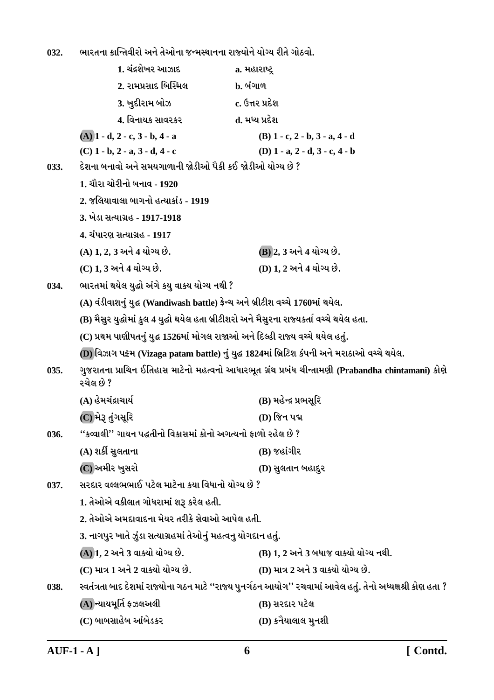ભારતના ક્રાન્તિવીરો અને તેઓના જન્મસ્થાનના રાજ્યોને યોગ્ય રીતે ગોઠવો. 032.

|      | 1. ચંદ્રશેખર આઝાદ                                                                          | a. મહારાષ્ટ્ર                                                                                                 |
|------|--------------------------------------------------------------------------------------------|---------------------------------------------------------------------------------------------------------------|
|      | 2. રામપ્રસાદ બિસ્મિલ                                                                       | <b>b.</b> બંગાળ                                                                                               |
|      | 3. ખુદીરામ બોઝ                                                                             | c. ઉત્તર પ્રદેશ                                                                                               |
|      | 4. વિનાયક સાવરકર                                                                           | d. મધ્ય પ્રદેશ                                                                                                |
|      | $(A)$ 1 - d, 2 - c, 3 - b, 4 - a                                                           | $(B)$ 1 - c, 2 - b, 3 - a, 4 - d                                                                              |
|      | $(C)$ 1 - b, 2 - a, 3 - d, 4 - c                                                           | (D) $1 - a$ , $2 - d$ , $3 - c$ , $4 - b$                                                                     |
| 033. | દેશના બનાવો અને સમયગાળાની જોડીઓ પૈકી કઈ જોડીઓ યોગ્ય છે ?                                   |                                                                                                               |
|      | 1. ચૌરા ચોરીનો બનાવ - 1920                                                                 |                                                                                                               |
|      | 2. જલિયાવાલા બાગનો હત્યાકાંડ - 1919                                                        |                                                                                                               |
|      | 3. ખેડા સત્યાગ્રહ - 1917-1918                                                              |                                                                                                               |
|      | 4. ચંપારણ સત્યાગ્રહ - 1917                                                                 |                                                                                                               |
|      | (A) 1, 2, 3 અને 4 યોગ્ય છે.                                                                | (B) 2, 3 અને 4 યોગ્ય છે.                                                                                      |
|      | (C) 1, 3 અને 4 યોગ્ય છે.                                                                   | (D) 1, 2 અને 4 યોગ્ય છે.                                                                                      |
| 034. | ભારતમાં થયેલ યુદ્ધો અંગે કયુ વાક્ય યોગ્ય નથી ?                                             |                                                                                                               |
|      | (A) વંડીવાશનું યુદ્ધ (Wandiwash battle) ફ્રેન્ચ અને બ્રીટીશ વચ્ચે 1760માં થયેલ.            |                                                                                                               |
|      | (B) મૈસુર યુદ્ધોમાં કુલ 4 યુદ્ધો થયેલ હતા બ્રીટીશરો અને મૈસુરના રાજ્યકર્તા વચ્ચે થયેલ હતા. |                                                                                                               |
|      | (C) પ્રથમ પાણીપતનું યુદ્ધ 1526માં મોગલ રાજાઓ અને દિલ્હી રાજ્ય વચ્ચે થયેલ હતું.             |                                                                                                               |
|      |                                                                                            | (D) વિઝાગ પટ્ટમ (Vizaga patam battle) નું યુદ્ધ 1824માં બ્રિટિશ કંપની અને મરાઠાઓ વચ્ચે થયેલ.                  |
| 035. | રચેલ છે ?                                                                                  | ગુજરાતના પ્રાચિન ઈતિહાસ માટેનો મહત્વનો આધારભૂત ગ્રંથ પ્રબંધ ચીન્તામણી (Prabandha chintamani) કોણે             |
|      | (A) હેમચંદ્રાચાર્ય                                                                         | (B) મહેન્દ્ર પ્રભસૂરિ                                                                                         |
|      | (C) મેરૂ તુંગસૂરિ                                                                          | (D) જિન પદ્મ                                                                                                  |
| 036. | ''કવ્વાલી'' ગાયન પદ્ધતીનો વિકાસમાં કોનો અગત્યનો ફાળો રહેલ છે ?                             |                                                                                                               |
|      | (A) શર્કી સુલતાના                                                                          | $(B)$ જહાંગીર                                                                                                 |
|      | (C) અમીર ખુસરો                                                                             | (D) સુલતાન બહાદુર                                                                                             |
| 037. | સરદાર વલ્લભભાઈ પટેલ માટેના કયા વિધાનો યોગ્ય છે ?                                           |                                                                                                               |
|      | 1. તેઓએ વકીલાત ગોધરામાં શરૂ કરેલ હતી.                                                      |                                                                                                               |
|      | 2. તેઓએ અમદાવાદના મેયર તરીકે સેવાઓ આપેલ હતી.                                               |                                                                                                               |
|      | 3. નાગપુર ખાતે ઝુંડા સત્યાગ્રહમાં તેઓનું મહત્વનુ યોગદાન હતું.                              |                                                                                                               |
|      | (A) 1, 2 અને 3 વાક્યો યોગ્ય છે.                                                            | (B) 1, 2 અને 3 બધાજ વાક્યો યોગ્ય નથી.                                                                         |
|      | (C) માત્ર 1 અને 2 વાક્યો યોગ્ય છે.                                                         | (D) માત્ર 2 અને 3 વાક્યો યોગ્ય છે.                                                                            |
| 038. |                                                                                            | સ્વતંત્રતા બાદ દેશમાં રાજ્યોના ગઠન માટે ''રાજ્ય પુનર્ગઠન આયોગ'' રચવામાં આવેલ હતું. તેનો અધ્યક્ષશ્રી કોણ હતા ? |
|      | (A) ન્યાયમૂર્તિ ફઝલઅલી                                                                     | (B) સરદાર પટેલ                                                                                                |
|      | (C) બાબસાહેબ આંબેડકર                                                                       | (D) કનૈયાલાલ મુનશી                                                                                            |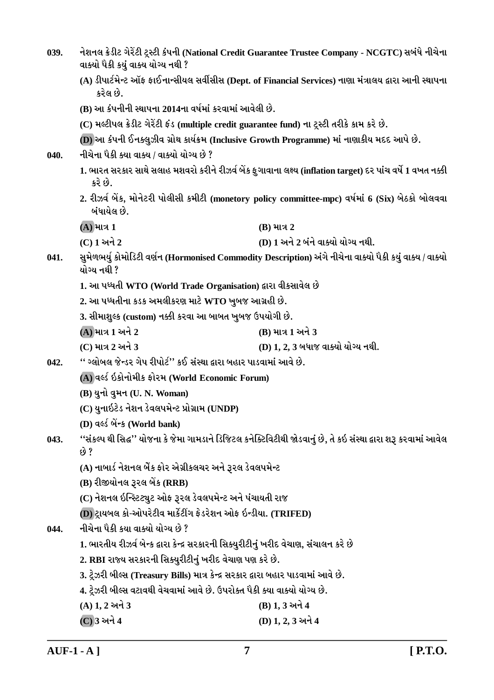| 039. | વાક્યો પૈકી કયું વાક્ય યોગ્ય નથી ?                                                            | નેશનલ ક્રેડીટ ગેરેંટી ટ્રસ્ટી કંપની (National Credit Guarantee Trustee Company - NCGTC) સબંધે નીચેના             |  |
|------|-----------------------------------------------------------------------------------------------|------------------------------------------------------------------------------------------------------------------|--|
|      | કરેલ છે.                                                                                      | (A) ડીપાર્ટમેન્ટ ઑફ ફાઈનાન્સીયલ સર્વીસીસ (Dept. of Financial Services) નાણા મંત્રાલય દ્વારા આની સ્થાપના          |  |
|      | (B) આ કંપનીની સ્થાપના 2014ના વર્ષમાં કરવામાં આવેલી છે.                                        |                                                                                                                  |  |
|      | (C) મલ્ટીપલ ક્રેડીટ ગેરેંટી ફંડ (multiple credit guarantee fund) ના ટ્રસ્ટી તરીકે કામ કરે છે. |                                                                                                                  |  |
|      | (D) આ કંપની ઈનક્લુઝીવ ગ્રોથ કાર્યક્રમ (Inclusive Growth Programme) માં નાણાકીય મદદ આપે છે.    |                                                                                                                  |  |
| 040. | નીચેના પૈકી ક્યા વાક્ય / વાક્યો યોગ્ય છે ?                                                    |                                                                                                                  |  |
|      | કરે છે.                                                                                       | 1. ભારત સરકાર સાથે સલાહ મશવરો કરીને રીઝર્વ બેંક ફુગાવાના લક્ષ્ય (inflation target) દર પાંચ વર્ષે 1 વખત નક્કી     |  |
|      | બંધાયેલ છે.                                                                                   | 2. રીઝર્વ બેંક, મોનેટરી પોલીસી કમીટી (monetory policy committee-mpc) વર્ષમાં 6 (Six) બેઠકો બોલવવા                |  |
|      | $(A)$ માત્ર $1$                                                                               | $(B)$ માત્ર 2                                                                                                    |  |
|      | (C) 1 અને 2                                                                                   | (D) 1 અને 2 બંને વાક્યો યોગ્ય નથી.                                                                               |  |
| 041. | યોગ્ય નથી ?                                                                                   | સુમેળભર્યુ કોમોડિટી વર્ણન (Hormonised Commodity Description) અંગે નીચેના વાક્યો પૈકી કયું વાક્ય / વાક્યો         |  |
|      | 1. આ પધ્ધતી WTO (World Trade Organisation) દ્વારા વીકસાવેલ છે                                 |                                                                                                                  |  |
|      | 2. આ પધ્ધતીના કડક અમલીકરણ માટે WTO ખુબજ આગ્રહી છે.                                            |                                                                                                                  |  |
|      | 3. સીમાશુલ્ક (custom) નક્કી કરવા આ બાબત ખુબજ ઉપયોગી છે.                                       |                                                                                                                  |  |
|      | (A) માત્ર 1 અને 2                                                                             | (B) માત્ર 1 અને 3                                                                                                |  |
|      | (C) માત્ર 2 અને 3                                                                             | (D) 1, 2, 3 બધાજ વાક્યો યોગ્ય નથી.                                                                               |  |
| 042. | '' ગ્લોબલ જેન્ડર ગેપ રીપોર્ટ'' કઈ સંસ્થા દ્વારા બહાર પાડવામાં આવે છે.                         |                                                                                                                  |  |
|      | (A) વર્લ્ડ ઇકોનોમીક ફોરમ (World Economic Forum)                                               |                                                                                                                  |  |
|      | (B) યુનો વુમન (U. N. Woman)                                                                   |                                                                                                                  |  |
|      | (C) યુનાઇટેડ નેશન ડેવલપમેન્ટ પ્રોગ્રામ (UNDP)                                                 |                                                                                                                  |  |
|      | (D) वर्લ्ड બેंन्ક (World bank)                                                                |                                                                                                                  |  |
| 043. | છે ?                                                                                          | ''સંકલ્પ થી સિદ્ધ'' યોજના કે જેમા ગામડાને ડિજિટલ કનેક્ટિવિટીથી જોડવાનું છે, તે કઇ સંસ્થા દ્વારા શરૂ કરવામાં આવેલ |  |
|      | (A) નાબાર્ડ નેશનલ બેંક ફોર એગ્રીકલચર અને રૂરલ ડેવલપમેન્ટ                                      |                                                                                                                  |  |
|      | (B) રીજીયોનલ રૂરલ બેંક (RRB)                                                                  |                                                                                                                  |  |
|      | (C) નેશનલ ઇન્સ્ટિટ્યુટ ઓફ રૂરલ ડેવલપમેન્ટ અને પંચાયતી રાજ                                     |                                                                                                                  |  |
|      | (D) ટ્રાયબલ કો-ઓપરેટીવ માર્કેટીંગ ફેડરેશન ઓફ ઇન્ડીયા. (TRIFED)                                |                                                                                                                  |  |
| 044. | નીચેના પૈકી કયા વાક્યો યોગ્ય છે ?                                                             |                                                                                                                  |  |
|      | 1. ભારતીય રીઝર્વ બેન્ક દ્વારા કેન્દ્ર સરકારની સિક્યુરીટીનું ખરીદ વેચાણ, સંચાલન કરે છે         |                                                                                                                  |  |
|      | 2. RBI રાજ્ય સરકારની સિક્યુરીટીનું ખરીદ વેચાણ પણ કરે છે.                                      |                                                                                                                  |  |
|      | 3. ટ્રેઝરી બીલ્સ (Treasury Bills) માત્ર કેન્દ્ર સરકાર દ્વારા બહાર પાડવામાં આવે છે.            |                                                                                                                  |  |
|      | 4. ટ્રેઝરી બીલ્સ વટાવથી વેચવામાં આવે છે. ઉપરોક્ત પૈકી ક્યા વાક્યો યોગ્ય છે.                   |                                                                                                                  |  |
|      | $(A) 1, 2 $ અને 3                                                                             | (B) 1, 3 અને 4                                                                                                   |  |
|      | (C) 3 અને 4                                                                                   | (D) 1, 2, 3 અને 4                                                                                                |  |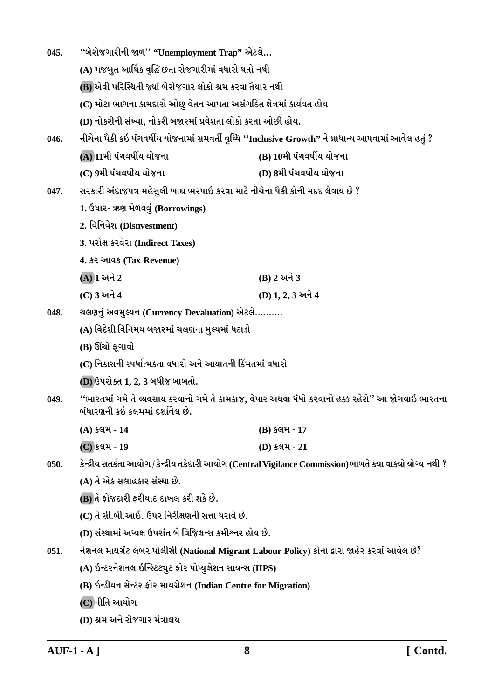| 045. | "બેરોજગારીની જાળ" "Unemployment Trap" એટલે                          |                                                                                                              |  |
|------|---------------------------------------------------------------------|--------------------------------------------------------------------------------------------------------------|--|
|      | (A) મજબુત આર્થિક વૃદ્ધિ છતા રોજગારીમાં વધારો થતો નથી                |                                                                                                              |  |
|      | (B) એવી પરિસ્થિતી જ્યાં બેરોજગાર લોકો શ્રમ કરવા તૈયાર નથી           |                                                                                                              |  |
|      | (C) મોટા ભાગના કામદારો ઓછુ વેતન આપતા અસંગઠિત ક્ષેત્રમાં કાર્યવત હોય |                                                                                                              |  |
|      | (D) નોકરીની સંખ્યા, નોકરી બજારમાં પ્રવેશતા લોકો કરતા ઓછી હોય.       |                                                                                                              |  |
| 046. |                                                                     | નીચેના પૈકી કઇ પંચવર્ષીય યોજનામાં સમવર્તી વૃધ્ધિ ''Inclusive Growth'' ને પ્રાધાન્ય આપવામાં આવેલ હતું ?       |  |
|      | (A) 11મી પંચવર્ષીય યોજના                                            | (B) 10મી પંચવર્ષીય યોજના                                                                                     |  |
|      | (C) 9મી પંચવર્ષીય યોજના                                             | (D) 8મી પંચવર્ષીય યોજના                                                                                      |  |
| 047. |                                                                     | સરકારી અંદાજપત્ર મહેસુલી ખાદ્ય ભરપાઇ કરવા માટે નીચેના પૈકી કોની મદદ લેવાય છે ?                               |  |
|      | 1. ઉધાર- ઋણ મેળવવું (Borrowings)                                    |                                                                                                              |  |
|      | 2. विनिवेश (Disnvestment)                                           |                                                                                                              |  |
|      | 3. પરોક્ષ કરવેરા (Indirect Taxes)                                   |                                                                                                              |  |
|      | 4. કર આવક (Tax Revenue)                                             |                                                                                                              |  |
|      | $(A)$ ી અને 2                                                       | (B) 2 અને 3                                                                                                  |  |
|      | (C) 3 અને 4                                                         | (D) 1, 2, 3 અને 4                                                                                            |  |
| 048. | ચલણનું અવમુલ્યન (Currency Devaluation) એટલે                         |                                                                                                              |  |
|      | (A) વિદેશી વિનિમય બજારમાં ચલણના મુલ્યમાં ધટાડો                      |                                                                                                              |  |
|      | (B) ઊંચો ફૂગાવો                                                     |                                                                                                              |  |
|      | (C) નિકાસની સ્પર્ધાત્મકતા વધારો અને આયાતની કિંમતમાં વધારો           |                                                                                                              |  |
|      | (D) ઉપરોક્ત 1, 2, 3 બધીજ બાબતો.                                     |                                                                                                              |  |
| 049. | બંધારણની કઇ કલમમાં દર્શાવેલ છે.                                     | ''ભારતમાં ગમે તે વ્યવસાય કરવાનો ગમે તે કામકાજ, વેપાર અથવા ધંધો કરવાનો હક્ક રહેશે'' આ જોગવાઇ ભારતના           |  |
|      | (A) કલમ-14                                                          | (B) કલમ - 17                                                                                                 |  |
|      | (C) કલમ - 19                                                        | (D) કલમ - 21                                                                                                 |  |
| 050. |                                                                     | કેન્દ્રીય સતર્કતા આયોગ / કેન્દ્રીય તકેદારી આયોગ (Central Vigilance Commission) બાબતે ક્યા વાક્યો યોગ્ય નથી ? |  |
|      | (A) તે એક સલાહકાર સંસ્થા છે.                                        |                                                                                                              |  |
|      | (B) તે ફોજદારી ફરીયાદ દાખલ કરી શકે છે.                              |                                                                                                              |  |
|      | (C) તે સી.બી.આઈ. ઉપર નિરીક્ષણની સત્તા ધરાવે છે.                     |                                                                                                              |  |
|      | (D) સંસ્થામાં અધ્યક્ષ ઉપરાંત બે વિજિલન્સ કમીશ્નર હોય છે.            |                                                                                                              |  |
| 051. |                                                                     | નેશનલ માયગ્રંટ લેબર પોલીસી (National Migrant Labour Policy) કોના દ્વારા જાહેર કરવાં આવેલ છે?                 |  |
|      | (A) ઇન્ટરનેશનલ ઇન્સ્ટિટ્યુટ ફોર પોપ્યુલેશન સાયન્સ (IIPS)            |                                                                                                              |  |
|      | (B) ઇન્ડીયન સેન્ટર ફોર માયગ્રેશન (Indian Centre for Migration)      |                                                                                                              |  |
|      | (C) નીતિ આયોગ                                                       |                                                                                                              |  |
|      | (D) શ્રમ અને રોજગાર મંત્રાલય                                        |                                                                                                              |  |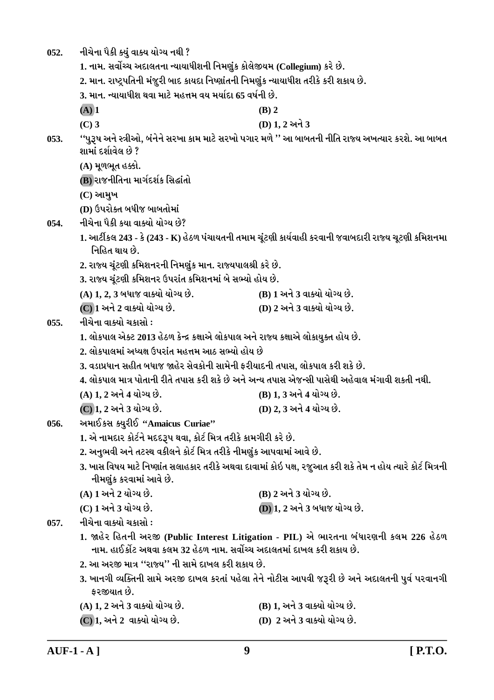નીચેના પૈકી ક્યું વાક્ય યોગ્ય નથી ?  $052.$ 

1. નામ. સર્વોચ્ચ અદાલતના ન્યાયાધીશની નિમણુંક કોલેજીયમ (Collegium) કરે છે.

2. માન. રાષ્ટ્રપતિની મંજૂરી બાદ કાયદા નિષ્ણાંતની નિમણુંક ન્યાયાધીશ તરીકે કરી શકાય છે.

3. માન. ન્યાયાધીશ થવા માટે મહત્તમ વય મર્યાદા 65 વર્ષની છે.

- $(A)$  1  $(C)$  3
- 
- (D) 1.2 અને 3

 $(B)$  2

''પુરૂષ અને સ્ત્રીઓ, બંનેને સરખા કામ માટે સરખો પગાર મળે '' આ બાબતની નીતિ રાજ્ય અખત્યાર કરશે. આ બાબત  $053.$ શામાં દર્શાવેલ છે ?

(A) મૂળભૂત હક્કો.

(B) રાજનીતિના માર્ગદર્શક સિદ્ધાંતો

 $(C)$  આમુખ

(D) ઉપરોક્ત બધીજ બાબતોમાં

નીચેના પૈકી કયા વાક્યો યોગ્ય છે? 054.

- 1. આર્ટીકલ 243 કે (243 K) હેઠળ પંચાયતની તમામ ચૂંટણી કાર્યવાહી કરવાની જવાબદારી રાજ્ય ચૂટણી કમિશનમા નિહિત થાય છે.
- 2. રાજ્ય ચૂંટણી કમિશનરની નિમણુંક માન. રાજ્યપાલશ્રી કરે છે.

3. રાજ્ય ચૂંટણી કમિશનર ઉપરાંત કમિશનમાં બે સભ્યો હોય છે.

- (A) 1, 2, 3 બધાજ વાક્યો યોગ્ય છે. (B) 1 અને 3 વાક્યો યોગ્ય છે.
- (C) 1 અને 2 વાક્યો યોગ્ય છે. (D) 2 અને 3 વાક્યો યોગ્ય છે.

નીચેના વાક્યો ચકાસો :  $0.55.$ 

1. લોકપાલ એક્ટ 2013 હેઠળ કેન્દ્ર કક્ષાએ લોકપાલ અને રાજ્ય કક્ષાએ લોકાયુક્ત હોય છે.

- 2. લોકપાલમાં અધ્યક્ષ ઉપરાંત મહત્તમ આઠ સભ્યો હોય છે
- 3. વડાપ્રધાન સહીત બધાજ જાહેર સેવકોની સામેની કરીયાદની તપાસ. લોકપાલ કરી શકે છે.

4. લોકપાલ માત્ર પોતાની રીતે તપાસ કરી શકે છે અને અન્ય તપાસ એજન્સી પાસેથી અહેવાલ મંગાવી શકતી નથી.

- (A) 1, 2 અને 4 યોગ્ય છે. (B) 1, 3 અને 4 યોગ્ય છે.
- <u>(C) 1. 2 અને 3 યોગ્ય છે.</u> (D) 2, 3 અને 4 યોગ્ય છે.
- અમાઈકસ ક્યરીઈ "Amaicus Curiae" 056.
	- 1. એ નામદાર કોર્ટને મદદરૂપ થવા, કોર્ટ મિત્ર તરીકે કામગીરી કરે છે.
	- 2. અનુભવી અને તટસ્થ વકીલને કોર્ટ મિત્ર તરીકે નીમણુંક આપવામાં આવે છે.
	- 3. ખાસ વિષય માટે નિષ્ણાંત સલાહકાર તરીકે અથવા દાવામાં કોઇ પક્ષ, રજુઆત કરી શકે તેમ ન હોય ત્યારે કોર્ટ મિત્રની નીમણુંક કરવામાં આવે છે.
	- (A) 1 અને 2 યોગ્ય છે. (B) 2 અને 3 યોગ્ય છે. (C) 1 અને 3 યોગ્ય છે. **(D) 1, 2 અને 3 બધાજ યોગ્ય છે.**

નીચેના વાક્યો ચકાસો :  $057.$ 

- 1. જાહેર હિતની અરજી (Public Interest Litigation PIL) એ ભારતના બંધારણની કલમ 226 હેઠળ નામ. હાઈકોંટ અથવા કલમ 32 હેઠળ નામ. સર્વોચ્ચ અદાલતમાં દાખલ કરી શકાય છે.
- 2. આ અરજી માત્ર ''રાજ્ય'' ની સામે દાખલ કરી શકાય છે.
- 3. ખાનગી વ્યક્તિની સામે અરજી દાખલ કરતાં પહેલા તેને નોટીસ આપવી જરૂરી છે અને અદાલતની પુર્વ પરવાનગી કરજીયાત છે.
- (A) 1. 2 અને 3 વાક્યો યોગ્ય છે. (B) 1. અને 3 વાક્યો યોગ્ય છે.
- (D) 2 અને 3 વાક્યો યોગ્ય છે. (C) 1, અને 2 વાક્યો યોગ્ય છે.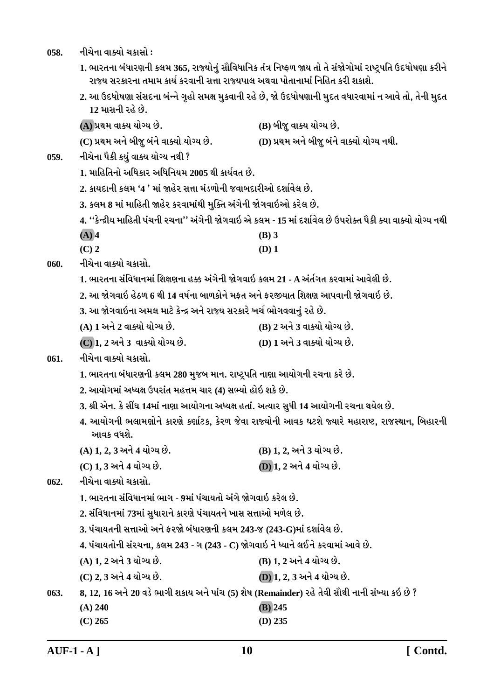058. **નીચેના વાક્યો ચકાસો** :

1. ભારતના બંધારણની કલમ 365, રાજ્યોનું સૌવિધાનિક તંત્ર નિષ્ફળ જાય તો તે સંજોગોમાં રાષ્ટ્રપતિ ઉદધોષણા કરીને રાજ્ય સરકારના તમામ કાર્ય કરવાની સત્તા રાજ્યપાલ અથવા પોતાનામાં નિહિત કરી શકાશે.

2. આ ઉદધોષણા સંસદના બંન્ને ગૃહો સમક્ષ મુકવાની રહે છે, જો ઉદધોષણાની મુદત વધારવામાં ન આવે તો, તેની મુદત <u>12 માસની રહે છે.</u>

**(A) «Úk{ ðkõÞ ÞkuøÞ Au. (B) çkesw ðkõÞ ÞkuøÞ Au.**

**(C) «Úk{ yLku çkesw çktLku ðkõÞku ÞkuøÞ Au. (D) «Úk{ yLku çkesw çktLku ðkõÞku ÞkuøÞ LkÚke.**

- 059. નીચેના પૈકી ક<u>યું</u> વાક્ય યોગ્ય નથી ?
	- **1. {krnríkLkku yrÄfkh yrÄrLkÞ{ 2005 Úke fkÞoðík Au.**
	- <u>2. કાયદાની કલમ '4 ' માં જાહેર સત્તા મંડળોની જવાબદારીઓ દર્શાવેલ છે.</u>
	- 3. કલમ 8 માં માહિતી જાહેર કરવામાંથી મુક્તિ અંગેની જોગવાઇઓ કરેલ છે.

**4. ''fuLÿeÞ {krníke Ãkt[Lke h[Lkk'' ytøkuLke òuøkðkR yu f÷{ - 15 {kt Ëþkoðu÷ Au WÃkhkuõík Ãkife õÞk ðkõÞku ÞkuøÞ LkÚke**

- **(A) 4 (B) 3**
- **(C) 2 (D) 1**
- 060. નીચેના વાક્યો ચકાસો.
	- 1. ભારતના સંવિધાનમાં શિક્ષણના હક્ક અંગેની જોગવાઇ કલમ 21 A અંર્તગત કરવામાં આવેલી છે.
	- <u>2. આ જોગવાઇ હેઠળ 6 થી 14 વર્ષના બાળકોને મકત અને કરજીયાત શિક્ષણ આપવાની જોગવાઇ છે.</u>
	- 3. આ જોગવાઇના અમલ માટે કેન્દ્ર અને રાજ્ય સરકારે ખર્ચ ભોગવવાનું રહે છે.
	- **(A) 1 yLku 2 ðkõÞku ÞkuøÞ Au. (B) 2 yLku 3 ðkõÞku ÞkuøÞ Au.**
	- **(C) 1, 2 yLku 3 ðkõÞku ÞkuøÞ Au. (D) 1 yLku 3 ðkõÞku ÞkuøÞ Au.**

## 061. **નીચેના વાક્યો ચક્રા**સો.

- 1. ભારતના બંધારણની કલમ 280 મુજબ માન. રાષ્ટ્રપતિ નાણા આયોગની રચના કરે છે.
- **2. ykÞkuøk{kt yæÞûk WÃkhktík {n¥k{ [kh (4) MkÇÞku nkuR þfu Au.**
- **3. ©e yuLk. fu Mkª½ 14{kt Lkkýk ykÞkuøkLkk yæÞûk níkkt. yíÞkh MkwÄe 14 ykÞkuøkLke h[Lkk ÚkÞu÷ Au.**
- 4. આયોગની ભલામણોને કારણે કર્ણાટક, કેરળ જેવા રાજ્યોની આવક ઘટશે જ્યારે મહારાષ્ટ, રાજસ્થાન, બિહારની <u>આવક વધશે.</u>
- **(A) 1, 2, 3 yLku 4 ÞkuøÞ Au. (B) 1, 2, yLku 3 ÞkuøÞ Au.**
- **(C) 1, 3 yLku 4 ÞkuøÞ Au. (D) 1, 2 yLku 4 ÞkuøÞ Au.**

062. **નીચેના વાક્યો ચકા**સો.

- 1. ભારતના સંવિધાનમાં ભાગ 9માં પંચાયતો અંગે જોગવાઇ કરેલ છે.
- **2. MktrðÄkLk{kt 73{kt MkwÄkhkLku fkhýu Ãkt[kÞíkLku ¾kMk Mk¥kkyku {¤u÷ Au.**
- **3. Ãkt[kÞíkLke Mk¥kkyku yLku Vhòu çktÄkhýLke f÷{ 243-s (243-G){kt Ëþkoðu÷ Au.**
- **4. Ãkt[kÞíkkuLke Mkth[Lkk, f÷{ 243 øk (243 C) òuøkðkR Lku æÞkLku ÷ELku fhðk{kt ykðu Au.**
- **(A) 1, 2 yLku 3 ÞkuøÞ Au. (B) 1, 2 yLku 4 ÞkuøÞ Au.**
- **(C) 2, 3 yLku 4 ÞkuøÞ Au. (D) 1, 2, 3 yLku 4 ÞkuøÞ Au.**
- **063. 8, 12, 16 yLku 20 ðzu ¼køke þfkÞ yLku Ãkkt[ (5) þu»k (Remainder) hnu íkuðe MkkiÚke LkkLke MktÏÞk fR Au ?**
	- **(A) 240 (B) 245**
	- **(C) 265 (D) 235**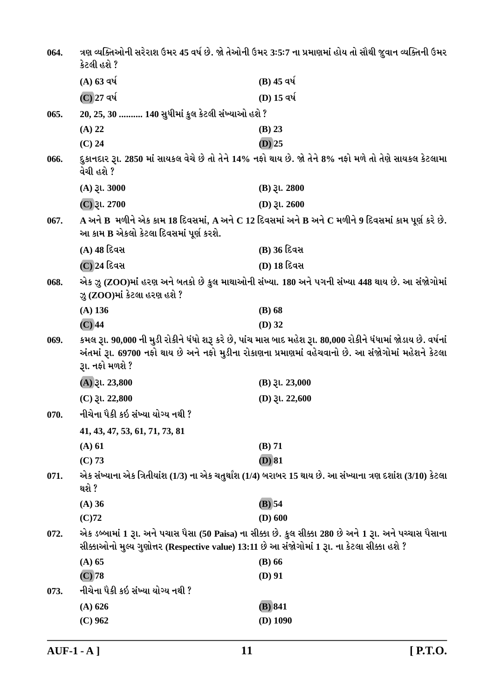| 064. | કેટલી હશે ?                                                                                   | ત્રણ વ્યક્તિઓની સરેરાશ ઉમર 45 વર્ષ છે. જો તેઓની ઉમર 3:5:7 ના પ્રમાણમાં હોય તો સૌથી જુવાન વ્યક્તિની ઉમર                                                                                                                |
|------|-----------------------------------------------------------------------------------------------|-----------------------------------------------------------------------------------------------------------------------------------------------------------------------------------------------------------------------|
|      | $(A)$ 63 વર્ષ                                                                                 | $(B)$ 45 વર્ષ                                                                                                                                                                                                         |
|      | $(C)$ 27 વર્ષ                                                                                 | (D) 15 વર્ષ                                                                                                                                                                                                           |
| 065. | 20, 25, 30  140 સુધીમાં કુલ કેટલી સંખ્યાઓ હશે ?                                               |                                                                                                                                                                                                                       |
|      | $(A)$ 22                                                                                      | $(B)$ 23                                                                                                                                                                                                              |
|      | $(C)$ 24                                                                                      | $(D)$ 25                                                                                                                                                                                                              |
| 066. | વેચી હશે ?                                                                                    | દુકાનદાર રૂા. 2850 માં સાયકલ વેચે છે તો તેને 14% નફો થાય છે. જો તેને 8% નફો મળે તો તેણે સાયકલ કેટલામા                                                                                                                 |
|      | $(A)$ $\xi$ l. 3000                                                                           | $(B)$ $\mathfrak{Z}$ l. 2800                                                                                                                                                                                          |
|      | $(C)$ રૂા. 2700                                                                               | (D) $31.2600$                                                                                                                                                                                                         |
| 067. | આ કામ B એકલો કેટલા દિવસમાં પૂર્ણ કરશે.                                                        | $\bf A$ અને $\bf B$ મળીને એક કામ 18 દિવસમાં, $\bf A$ અને $\bf C$ 12 દિવસમાં અને $\bf B$ અને $\bf C$ મળીને 9 દિવસમાં કામ પૂર્ણ કરે છે.                                                                                 |
|      | (A) 48 દિવસ                                                                                   | (B) 36 દિવસ                                                                                                                                                                                                           |
|      | (C) 24 દિવસ                                                                                   | (D) 18 દિવસ                                                                                                                                                                                                           |
| 068. | ઝુ (ZOO)માં કેટલા હરણ હશે ?                                                                   | એક ઝુ (ZOO)માં હરણ અને બતકો છે કુલ માથાઓની સંખ્યા. 180 અને પગની સંખ્યા 448 થાય છે. આ સંજોગોમાં                                                                                                                        |
|      | $(A)$ 136                                                                                     | $(B)$ 68                                                                                                                                                                                                              |
|      | $(C)$ 44                                                                                      | $(D)$ 32                                                                                                                                                                                                              |
| 069. | રૂા. નફો મળશે ?                                                                               | કમલ રૂા. 90,000 ની મુડી રોકીને ધંધો શરૂ કરે છે, પાંચ માસ બાદ મહેશ રૂા. 80,000 રોકીને ધંધામાં જોડાય છે. વર્ષનાં<br>અંતમાં રૂા. 69700 નફો થાય છે અને નફો મુડીના રોકાણના પ્રમાણમાં વહેચવાનો છે. આ સંજોગોમાં મહેશને કેટલા |
|      | $(A)$ $\gtrsim$ 1. 23,800                                                                     | $(B)$ $\lambda$ l. 23,000                                                                                                                                                                                             |
|      | $(C)$ $\mathfrak{Z}$ l. 22,800                                                                | (D) $31.22,600$                                                                                                                                                                                                       |
| 070. | નીચેના પૈકી કઇ સંખ્યા યોગ્ય નથી ?                                                             |                                                                                                                                                                                                                       |
|      | 41, 43, 47, 53, 61, 71, 73, 81                                                                |                                                                                                                                                                                                                       |
|      | (A) 61                                                                                        | $(B)$ 71                                                                                                                                                                                                              |
|      | (C) 73                                                                                        | $(D)$ 81                                                                                                                                                                                                              |
| 071. | થશે ?                                                                                         | એક સંખ્યાના એક ત્રિતીયાંશ (1/3) ના એક ચતુર્થાંશ (1/4) બરાબર 15 થાય છે. આ સંખ્યાના ત્રણ દશાંશ (3/10) કેટલા                                                                                                             |
|      | (A) 36                                                                                        | $(B)$ 54                                                                                                                                                                                                              |
|      | $(C)$ 72                                                                                      | $(D)$ 600                                                                                                                                                                                                             |
| 072. | સીક્કાઓનો મુલ્ય ગુણોત્તર (Respective value) 13:11 છે આ સંજોગોમાં 1 રૂા. ના કેટલા સીક્કા હશે ? | એક ડબ્બામાં 1 રૂા. અને પચાસ પૈસા (50 Paisa) ના સીક્કા છે. કુલ સીક્કા 280 છે અને 1 રૂા. અને પચ્ચાસ પૈસાના                                                                                                              |
|      | $(A)$ 65                                                                                      | $(B)$ 66                                                                                                                                                                                                              |
|      | $(C)$ 78                                                                                      | $(D)$ 91                                                                                                                                                                                                              |
| 073. | નીચેના પૈકી કઇ સંખ્યા યોગ્ય નથી ?                                                             |                                                                                                                                                                                                                       |
|      | $(A)$ 626                                                                                     | (B) 841                                                                                                                                                                                                               |
|      | $(C)$ 962                                                                                     | $(D)$ 1090                                                                                                                                                                                                            |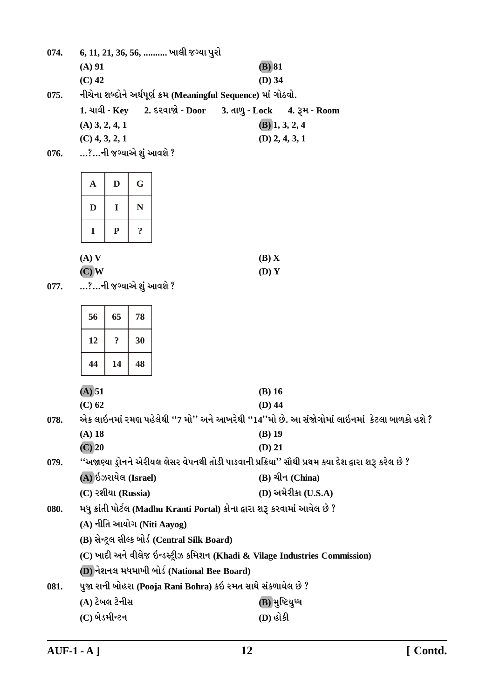|      | $(A)$ 91                |                            |                |  |                                               |                                                                            | $(B)$ 81                     |                         |                                                                                                       |  |
|------|-------------------------|----------------------------|----------------|--|-----------------------------------------------|----------------------------------------------------------------------------|------------------------------|-------------------------|-------------------------------------------------------------------------------------------------------|--|
|      | $(C)$ 42                |                            |                |  |                                               |                                                                            | $(D)$ 34                     |                         |                                                                                                       |  |
| 075. |                         |                            |                |  |                                               | નીચેના શબ્દોને અર્થપૂર્ણ ક્રમ (Meaningful Sequence) માં ગોઠવો.             |                              |                         |                                                                                                       |  |
|      |                         |                            |                |  | $1.$ ચાવી - Key 2. દરવાજો - Door              |                                                                            | 3. તાળુ - Lock 4. રૂમ - Room |                         |                                                                                                       |  |
|      | $(A)$ 3, 2, 4, 1        |                            |                |  |                                               |                                                                            |                              | $(B)$ 1, 3, 2, 4        |                                                                                                       |  |
|      | $(C)$ 4, 3, 2, 1        |                            |                |  |                                               |                                                                            |                              | $(D)$ 2, 4, 3, 1        |                                                                                                       |  |
| 076. | …?…ની જગ્યાએ શું આવશે ? |                            |                |  |                                               |                                                                            |                              |                         |                                                                                                       |  |
|      |                         |                            |                |  |                                               |                                                                            |                              |                         |                                                                                                       |  |
|      | $\mathbf A$             | D                          | G              |  |                                               |                                                                            |                              |                         |                                                                                                       |  |
|      | D                       | I                          | N              |  |                                               |                                                                            |                              |                         |                                                                                                       |  |
|      | $\mathbf I$             | ${\bf P}$                  | $\ddot{\cdot}$ |  |                                               |                                                                            |                              |                         |                                                                                                       |  |
|      | $(A)$ V                 |                            |                |  |                                               |                                                                            | (B) X                        |                         |                                                                                                       |  |
|      | $(C)$ W                 |                            |                |  |                                               |                                                                            | (D) Y                        |                         |                                                                                                       |  |
| 077. | …?…ની જગ્યાએ શું આવશે ? |                            |                |  |                                               |                                                                            |                              |                         |                                                                                                       |  |
|      |                         |                            |                |  |                                               |                                                                            |                              |                         |                                                                                                       |  |
|      | 56                      | 65                         | 78             |  |                                               |                                                                            |                              |                         |                                                                                                       |  |
|      | 12                      | $\ddot{\mathbf{c}}$        | 30             |  |                                               |                                                                            |                              |                         |                                                                                                       |  |
|      | 44                      | 14                         | 48             |  |                                               |                                                                            |                              |                         |                                                                                                       |  |
|      | (A) 51                  |                            |                |  |                                               |                                                                            | $(B)$ 16                     |                         |                                                                                                       |  |
|      | $(C)$ 62                |                            |                |  |                                               |                                                                            | $(D)$ 44                     |                         |                                                                                                       |  |
| 078. |                         |                            |                |  |                                               |                                                                            |                              |                         | એક લાઇનમાં રમણ પહેલેથી ''7 મો'' અને આખરેથી ''14''મો છે. આ સંજોગોમાં લાઇનમાં  કેટલા બાળકો હશે ?        |  |
|      | (A) 18                  |                            |                |  |                                               |                                                                            | $(B)$ 19                     |                         |                                                                                                       |  |
|      | $(C)$ 20                |                            |                |  |                                               |                                                                            | $(D)$ 21                     |                         |                                                                                                       |  |
| 079. |                         |                            |                |  |                                               |                                                                            |                              |                         | ''અજાણ્યા ડ્રોનને એરીયલ લેસર વેપનથી તોડી પાડવાની પ્રક્રિયા'' સૌથી પ્રથમ ક્યા દેશ દ્વારા શરૂ કરેલ છે ? |  |
|      | (A) ઇઝરાયેલ (Israel)    |                            |                |  |                                               |                                                                            |                              | $(B)$ ચીન (China)       |                                                                                                       |  |
|      | $(C)$ રશીયા (Russia)    |                            |                |  |                                               |                                                                            |                              | $(D)$ અમેરીકા $(U.S.A)$ |                                                                                                       |  |
| 080. |                         |                            |                |  |                                               | મધુ ક્રાંતી પોર્ટલ (Madhu Kranti Portal) કોના દ્વારા શરૂ કરવામાં આવેલ છે ? |                              |                         |                                                                                                       |  |
|      |                         | (A) નીતિ આયોગ (Niti Aayog) |                |  |                                               |                                                                            |                              |                         |                                                                                                       |  |
|      |                         |                            |                |  | (B) સેન્ટ્રલ સીલ્ક બોર્ડ (Central Silk Board) |                                                                            |                              |                         |                                                                                                       |  |
|      |                         |                            |                |  |                                               |                                                                            |                              |                         | (C) ખાદી અને વીલેજ ઇન્ડસ્ટ્રીઝ કમિશન (Khadi & Vilage Industries Commission)                           |  |
|      |                         |                            |                |  |                                               | (D) નેશનલ મધમાખી બોર્ડ (National Bee Board)                                |                              |                         |                                                                                                       |  |
| 081. |                         |                            |                |  |                                               | પુજા રાની બોહરા (Pooja Rani Bohra) કઇ રમત સાથે સંકળાયેલ છે ?               |                              |                         |                                                                                                       |  |
|      | (A) ટેબલ ટેનીસ          |                            |                |  |                                               |                                                                            |                              | (B) મુષ્ટિયુધ્ધ         |                                                                                                       |  |

6, 11, 21, 36, 56, .......... ખાલી જગ્યા પુરો

074.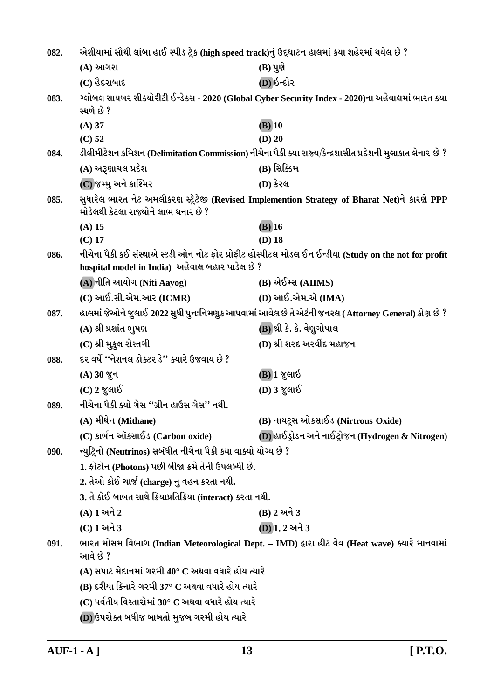| 082. | એશીયામાં સૌથી લાંબા હાઈ સ્પીડ ટ્રેક (high speed track)નું ઉદ્ઘાટન હાલમાં કયા શહેરમાં થયેલ છે ? |                                                                                                            |
|------|------------------------------------------------------------------------------------------------|------------------------------------------------------------------------------------------------------------|
|      | (A) આગરા                                                                                       | $(B)$ પુણે                                                                                                 |
|      | (C) હૈદરાબાદ                                                                                   | (D) ઇન્દોર                                                                                                 |
| 083. | સ્થળે છે ?                                                                                     | ગ્લોબલ સાયબર સીક્યોરીટી ઈન્ડેકસ - 2020 (Global Cyber Security Index - 2020)ના અહેવાલમાં ભારત કયા           |
|      | $(A)$ 37                                                                                       | $(B)$ 10                                                                                                   |
|      | $(C)$ 52                                                                                       | $(D)$ 20                                                                                                   |
| 084. |                                                                                                | ડીલીમીટેશન કમિશન (Delimitation Commission) નીચેના પૈકી ક્યા રાજ્ય/કેન્દ્રશાસીત પ્રદેશની મુલાકાત લેનાર છે ? |
|      | (A) અરૂણાચલ પ્રદેશ                                                                             | (B) સિક્કિમ                                                                                                |
|      | (C) જમ્મુ અને કાશ્મિર                                                                          | (D) કેરલ                                                                                                   |
| 085. | મોડેલથી કેટલા રાજ્યોને લાભ થનાર છે ?                                                           | સુધારેલ ભારત નેટ અમલીકરણ સ્ટ્રેટેજી (Revised Implemention Strategy of Bharat Net)ને કારણે PPP              |
|      | $(A)$ 15                                                                                       | $(B)$ 16                                                                                                   |
|      | $(C)$ 17                                                                                       | $(D)$ 18                                                                                                   |
| 086. | hospital model in India) અહેવાલ બહાર પાડેલ છે ?                                                | નીચેના પૈકી કઈ સંસ્થાએ સ્ટડી ઓન નોટ ફોર પ્રોફીટ હોસ્પીટલ મોડલ ઈન ઈન્ડીયા (Study on the not for profit      |
|      | (A) નીતિ આયોગ (Niti Aayog)                                                                     | (B) એઈમ્સ (AIIMS)                                                                                          |
|      | $(C)$ આઈ.સી.એમ.આર $(ICMR)$                                                                     | (D) આઈ.એમ.એ (IMA)                                                                                          |
| 087. |                                                                                                | હાલમાં જેઓને જુલાઈ 2022 સુધી પુનઃનિમણુક આપવામાં આવેલ છે તે એર્ટની જનરલ (Attorney General) કોણ છે ?         |
|      | (A) શ્રી પ્રશાંત ભુષણ                                                                          | (B) શ્રી કે. કે. વેણુગોપાલ                                                                                 |
|      | (C) શ્રી મુકુલ રોસ્તગી                                                                         | (D) શ્રી શરદ અરવીંદ મહાજન                                                                                  |
| 088. | દર વર્ષે ''નેશનલ ડોક્ટર ડે'' ક્યારે ઉજવાય છે ?                                                 |                                                                                                            |
|      | (A) 30 % +1                                                                                    | (B)] જુલાઇ                                                                                                 |
|      | $(C)$ 2 જુલાઈ                                                                                  | (D) 3 જુલાઈ                                                                                                |
| 089. | નીચેના પૈકી ક્યો ગેસ ''ગ્રીન હાઉસ ગેસ'' નથી.                                                   |                                                                                                            |
|      | (A) મીથેન (Mithane)                                                                            | (B) નાયટ્રસ ઓકસાઈડ (Nirtrous Oxide)                                                                        |
|      | (C) કાર્બન ઑક્સાઈડ (Carbon oxide)                                                              | (D) હાઈડ્રોડન અને નાઈટ્રોજન (Hydrogen & Nitrogen)                                                          |
| 090. | ન્યુટ્રિનો (Neutrinos) સબંધીત નીચેના પૈકી કયા વાક્યો યોગ્ય છે ?                                |                                                                                                            |
|      | 1. ફોટોન (Photons) પછી બીજા ક્રમે તેની ઉપલબ્ધી છે.                                             |                                                                                                            |
|      | 2. તેઓ કોઈ ચાર્જ (charge) નુ વહન કરતા નથી.                                                     |                                                                                                            |
|      | 3. તે કોઈ બાબત સાથે ક્રિયાપ્રતિક્રિયા (interact) કરતા નથી.                                     |                                                                                                            |
|      | (A) 1 અને 2                                                                                    | (B) 2 અને 3                                                                                                |
|      | (C) 1 અને 3                                                                                    | (D) 1, 2 અને 3                                                                                             |
| 091. | આવે છે ?                                                                                       | ભારત મોસમ વિભાગ (Indian Meteorological Dept. - IMD) દ્વારા હીટ વેવ (Heat wave) ક્યારે માનવામાં             |
|      | (A) સપાટ મેદાનમાં ગરમી 40° $\text{C}$ અથવા વધારે હોય ત્યારે                                    |                                                                                                            |
|      | (B) દરીયા કિનારે ગરમી 37° C અથવા વધારે હોય ત્યારે                                              |                                                                                                            |
|      | $(C)$ પર્વતીય વિસ્તારોમાં 30° $C$ અથવા વધારે હોય ત્યારે                                        |                                                                                                            |
|      | (D) ઉપરોક્ત બધીજ બાબતો મુજબ ગરમી હોય ત્યારે                                                    |                                                                                                            |
|      |                                                                                                |                                                                                                            |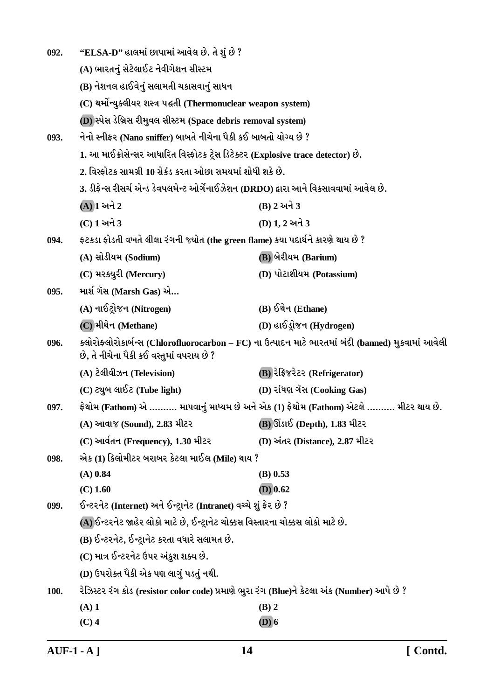| 092. | "ELSA-D" હાલમાં છાપામાં આવેલ છે. તે શું છે ?                                                 |                                                                                                     |
|------|----------------------------------------------------------------------------------------------|-----------------------------------------------------------------------------------------------------|
|      | (A) ભારતનું સેટેલાઈટ નેવીગેશન સીસ્ટમ                                                         |                                                                                                     |
|      | (B) નેશનલ હાઈવેનું સલામતી ચકાસવાનું સાધન                                                     |                                                                                                     |
|      | (C) થર્મોન્યુક્લીયર શસ્ત્ર પદ્ધતી (Thermonuclear weapon system)                              |                                                                                                     |
|      | (D) સ્પેસ ડેબ્રિસ રીમુવલ સીસ્ટમ (Space debris removal system)                                |                                                                                                     |
| 093. | નેનો સ્નીફર (Nano sniffer) બાબતે નીચેના પૈકી કઈ બાબતો યોગ્ય છે ?                             |                                                                                                     |
|      | 1. આ માઈક્રોસેન્સર આધારિત વિસ્ફોટક ટ્રેસ ડિટેક્ટર (Explosive trace detector) છે.             |                                                                                                     |
|      | 2. વિસ્ફોટક સામગ્રી 10 સેકંડ કરતા ઓછા સમયમાં શોધી શકે છે.                                    |                                                                                                     |
|      | 3. ડીફેન્સ રીસર્ચ એન્ડ ડેવપલમેન્ટ ઓર્ગેનાઈઝેશન (DRDO) દ્વારા આને વિકસાવવામાં આવેલ છે.        |                                                                                                     |
|      | $(A)$ ી અને 2                                                                                | (B) 2 અને 3                                                                                         |
|      | (C) 1 અને 3                                                                                  | (D) 1, 2 અને 3                                                                                      |
| 094. | ફટકડા ફોડતી વખતે લીલા રંગની જ્યોત (the green flame) કયા પદાર્થને કારણે થાય છે ?              |                                                                                                     |
|      | (A) સોડીયમ (Sodium)                                                                          | (B) બેરીયમ (Barium)                                                                                 |
|      | (C) મરક્યુરી (Mercury)                                                                       | (D) પોટાશીયમ (Potassium)                                                                            |
| 095. | માર્શ ગૅસ (Marsh Gas) એ                                                                      |                                                                                                     |
|      | (A) નાઈટ્રોજન (Nitrogen)                                                                     | (B) ઈથેન (Ethane)                                                                                   |
|      | (C) મીથેન (Methane)                                                                          | (D) હાઈડ્રોજન (Hydrogen)                                                                            |
| 096. | છે, તે નીચેના પૈકી કઈ વસ્તુમાં વપરાય છે ?                                                    | ક્લોરોફ્લોરોકાર્બન્સ (Chlorofluorocarbon – FC) ના ઉત્પાદન માટે ભારતમાં બંદી (banned) મુકવામાં આવેલી |
|      | (A) ટેલીવીઝન (Television)                                                                    | (B) रेड़ि ४२२२ (Refrigerator)                                                                       |
|      | (C) ટ્યુબ લાઈટ (Tube light)                                                                  | (D) રાંધણ ગેંસ (Cooking Gas)                                                                        |
| 097. |                                                                                              | ફેથોમ (Fathom) એ ………. માપવાનું માધ્યમ છે અને એક (1) ફેથોમ (Fathom) એટલે ………. મીટર થાય છે.           |
|      | (A) આવાજ (Sound), 2.83 મીટર                                                                  | <b>(B)</b> ઊંડાઈ (Depth), 1.83 મીટર                                                                 |
|      | (C) આર્વતન (Frequency), 1.30 મીટર                                                            | (D) અંતર (Distance), 2.87 મીટર                                                                      |
| 098. | એક (1) કિલોમીટર બરાબર કેટલા માઈલ (Mile) થાય ?                                                |                                                                                                     |
|      | $(A)$ 0.84                                                                                   | $(B)$ 0.53                                                                                          |
|      | $(C)$ 1.60                                                                                   | $(D)$ 0.62                                                                                          |
| 099. | ઈન્ટરનેટ (Internet) અને ઈન્ટ્રાનેટ (Intranet) વચ્ચે શું ફેર છે ?                             |                                                                                                     |
|      | (A) ઈન્ટરનેટ જાહેર લોકો માટે છે, ઈન્ટ્રાનેટ ચોક્કસ વિસ્તારના ચોક્કસ લોકો માટે છે.            |                                                                                                     |
|      | (B) ઈન્ટરનેટ, ઈન્ટ્રાનેટ કરતા વધારે સલામત છે.                                                |                                                                                                     |
|      | (C) માત્ર ઈન્ટરનેટ ઉપર અંકુશ શક્ય છે.                                                        |                                                                                                     |
|      | (D) ઉપરોક્ત પૈકી એક પણ લાગું પડતું નથી.                                                      |                                                                                                     |
| 100. | રેઝિસ્ટર રંગ કોડ (resistor color code) પ્રમાણે ભુરા રંગ (Blue)ને કેટલા અંક (Number) આપે છે ? |                                                                                                     |
|      | $(A)$ 1                                                                                      | $(B)$ 2                                                                                             |
|      | $(C)$ 4                                                                                      | $(D)$ 6                                                                                             |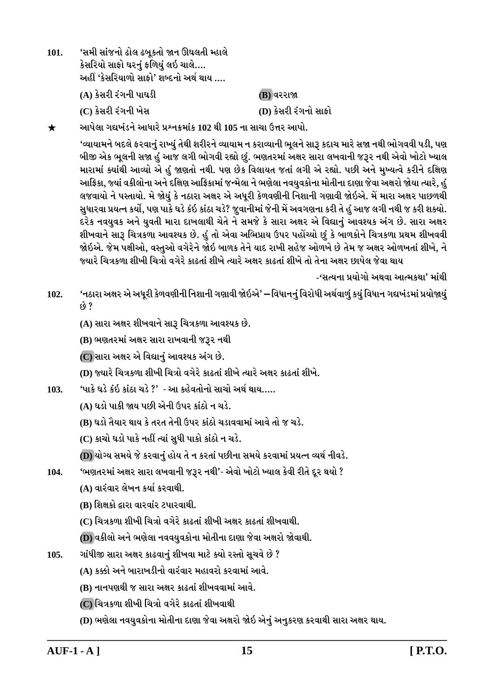'સમી સાંજનો ઢોલ ઢબુકતો જાન ઊઘલતી મ્હાલે  $101.$ કેસરિયો સાફો ઘરનું ફળિયું લઇ ચાલે…. અહીં 'કેસરિયાળો સાફો' શબ્દનો અર્થ થાય …. (A) કેસરી રંગની પાઘડી (B) વરરાજા (D) કેસરી રંગનો સાકો (C) કેસરી રંગની ખેસ

આપેલા ગદ્યખંડને આધારે પ્રશ્નક્રમાંક 102 થી 105 ના સાચા ઉત્તર આપો.  $\bigstar$ 

> 'વ્યાયામને બદલે ફરવાનું રાખ્યું તેથી શરીરને વ્યાયામ ન કરાવ્યાની ભૂલને સારૂ કદાચ મારે સજા નથી ભોગવવી પડી, પણ બીજી એક ભૂલની સજા હું આજ લગી ભોગવી રહ્યો છું. ભણતરમાં અક્ષર સારા લખવાની જરૂર નથી એવો ખોટો ખ્યાલ મારામાં ક્યાંથી આવ્યો એ હું જાણતો નથી. પણ છેક વિલાયત જતાં લગી એ રહ્યો. પછી અને મુખ્યત્વે કરીને દક્ષિણ આફ્રિકા, જ્યાં વકીલોના અને દક્ષિણ આફ્રિકામાં જન્મેલા ને ભણેલા નવયુવકોના મોતીના દાણા જેવા અક્ષરો જોયા ત્યારે, હુ લજવાયો ને પસ્તાયો. મે જોયું કે નઠારા અક્ષર એ અધુરી કેળવણીની નિશાની ગણાવી જોઇએ. મેં મારા અક્ષર પાછળથી સુધારવા પ્રયત્ન કર્યો, પણ પાકે ઘડે કંઇ કાંઠા ચડે? જુવાનીમાં જેની મેં અવગણના કરી તે હું આજ લગી નથી જ કરી શક્યો. દરેક નવયુવક અને યુવતી મારા દાખલાથી ચેતે ને સમજે કે સારા અક્ષર એ વિદ્યાનું આવશ્યક અંગ છે. સારા અક્ષર શીખવાને સારૂ ચિત્રકળા આવશ્યક છે. હું તો એવા અભિપ્રાય ઉપર પહોંચ્યો છું કે બાળકોને ચિત્રકળા પ્રથમ શીખવવી જોઇએ. જેમ પક્ષીઓ, વસ્તુઓ વગેરેને જોઇ બાળક તેને યાદ રાખી સહેજ ઓળખે છે તેમ જ અક્ષર ઓળખતાં શીખે, ને જ્યારે ચિત્રકળા શીખી ચિત્રો વગેરે કાઢતાં શીખે ત્યારે અક્ષર કાઢતાં શીખે તો તેના અક્ષર છાપેલ જેવા થાય

> > -'સત્યના પ્રયોગો અથવા આત્મકથા' માંથી

'નઠારા અક્ષર એ અધૂરી કેળવણીની નિશાની ગણાવી જોઇએ' — વિધાનનું વિરોધી અર્થવાળું કયું વિધાન ગદ્યખંડમાં પ્રયોજાયું 102.  $69.8$ 

(A) સારા અક્ષર શીખવાને સારૂ ચિત્રકળા આવશ્યક છે.

(B) ભણતરમાં અક્ષર સારા રાખવાની જરૂર નથી

(C) સારા અક્ષર એ વિદ્યાનું આવશ્યક અંગ છે.

(D) જ્યારે ચિત્રકળા શીખી ચિત્રો વગેરે કાઢતાં શીખે ત્યારે અક્ષર કાઢતાં શીખે.

'પાકે ઘડે કંઇ કાંઠા ચડે ?' - આ કહેવતોનો સાચો અર્થ થાય…..  $103.$ 

(A) ઘડો પાકી જાય પછી એની ઉપર કાંઠો ન ચડે.

(B) ઘડો તૈયાર થાય કે તરત તેની ઉપર કાંઠો ચડાવવામાં આવે તો જ ચડે.

(C) કાચો ઘડો પાકે નહીં ત્યાં સુધી પાકો કાંઠો ન ચડે.

(D) યોગ્ય સમયે જે કરવાનું હોય તે ન કરતાં પછીના સમયે કરવામાં પ્રયત્ન વ્યર્થ નીવડે.

'ભણતરમાં અક્ષર સારા લખવાની જરૂર નથી'- એવો ખોટો ખ્યાલ કેવી રીતે દૂર થયો ? 104.

(A) વારંવાર લેખન કર્યા કરવાથી.

(B) શિક્ષકો દ્વારા વારવાંર ટપારવાથી.

(C) ચિત્રકળા શીખી ચિત્રો વગેરે કાઢતાં શીખી અક્ષર કાઢતાં શીખવાથી.

(D) વકીલો અને ભણેલા નવવયુવકોના મોતીના દાણા જેવા અક્ષરો જોવાથી.

ગાંધીજી સારા અક્ષર કાઢવાનું શીખવા માટે ક્યો રસ્તો સૂચવે છે ? 105.

(A) કક્કી અને બારાખડીનો વારંવાર મહાવરો કરવામાં આવે.

(B) નાનપણથી જ સારા અક્ષર કાઢતાં શીખવવામાં આવે.

(C) ચિત્રકળા શીખી ચિત્રો વગેરે કાઢતાં શીખવાથી

(D) ભણેલા નવયુવકોના મોતીના દાણા જેવા અક્ષરો જોઇ એનું અનુકરણ કરવાથી સારા અક્ષર થાય.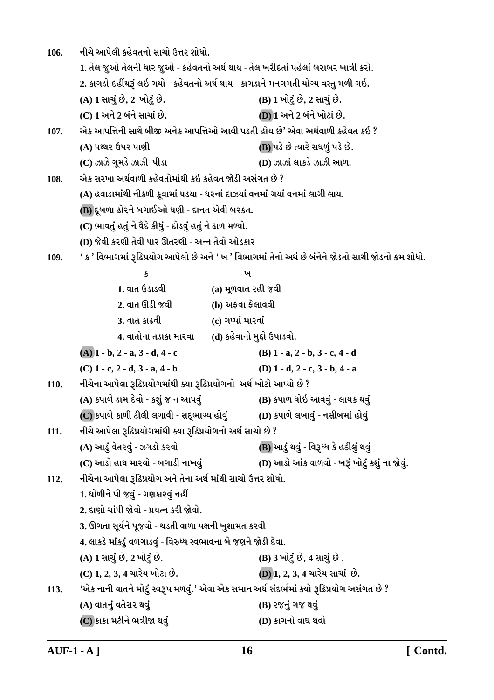નીચે આપેલી કહેવતનો સાચો ઉત્તર શોધો. 106. 1. તેલ જૂઓ તેલની ધાર જૂઓ - કહેવતનો અર્થ થાય - તેલ ખરીદતાં પહેલાં બરાબર ખાત્રી કરો. 2. કાગડો દહીંથરૂં લઇ ગયો - કહેવતનો અર્થ થાય - કાગડાને મનગમતી યોગ્ય વસ્તુ મળી ગઇ. (A) 1 સાચું છે, 2 ખોટું છે. (B) 1 ખોટું છે, 2 સાચું છે. (C) 1 અને 2 બંને સાચાં છે. **(D) 1 અને 2 બંને ખોટાં છે.** એક આપત્તિની સાથે બીજી અનેક આપત્તિઓ આવી પડતી હોય છે' એવા અર્થવાળી કહેવત કઇ ? 107. (A) પથ્થર ઉપર પાણી (B) પડે છે ત્યારે સઘળું પડે છે. (D) ઝાઝાં લાકડે ઝાઝી આળ.  $(C)$  ઝાઝે ગુમડે ઝાઝી પીડા એક સરખા અર્થવાળી કહેવતોમાંથી કઇ કહેવત જોડી અસંગત છે ? 108. (A) હવાડામાંથી નીકળી કુવામાં પડયા - ઘરનાં દાઝયાં વનમાં ગયાં વનમાં લાગી લાય. (B) દૂબળા ઢોરને બગાઈઓ ઘણી - દાનત એવી બરકત. (C) ભાવતું હતું ને વૈદે કીધું - દોડવું હતું ને ઢાળ મળ્યો. (D) જેવી કરણી તેવી પાર ઊતરણી - અન્ન તેવો ઓડકાર ' ક ' વિભાગમાં રૂઢિપ્રયોગ આપેલો છે અને ' ખ ' વિભાગમાં તેનો અર્થ છે બંનેને જોડતો સાચી જોડનો ક્રમ શોધો. 109.  $\mathbf{r}$ ખ  $1.$  and  $6s$ isa $0.$ (a) મુળવાત રહી જવી 2. વાત ઊડી જવી (b) અફવા ફેલાવવી 3. વાત કાઢવી (c) ગપ્પાં મારવાં 4. વાતોના તડાકા મારવા (d) કહેવાનો મુદ્દો ઉપાડવો.  $(A)$  1 - b, 2 - a, 3 - d, 4 - c (B)  $1 - a$ ,  $2 - b$ ,  $3 - c$ ,  $4 - d$  $(C)$  1 - c, 2 - d, 3 - a, 4 - b (D)  $1 - d$ ,  $2 - c$ ,  $3 - b$ ,  $4 - a$ નીચેના આપેલા રૂઢિપ્રયોગમાંથી ક્યા રૂઢિપ્રયોગનો અર્થ ખોટો આપ્યો છે ? 110. (A) કપાળે ડામ દેવો - કશું જ ન આપવું (B) કપાળ ધોઇ આવવું - લાયક થવું  $\overline {\rm (C)}$ કપાળે કાળી ટીલી લગાવી - સદ્ભાગ્ય હોવું (D) કપાળે લખાવું - નસીબમાં હોવું નીચે આપેલા રૂઢિપ્રયોગમાંથી ક્યા રૂઢિપ્રયોગનો અર્થ સાચો છે ? 111. (A) આડું વેતરવું - ઝગડો કરવો (B) આડું થવું - વિરૂધ્ધ કે હઠીલું થવું (D) આડો આંક વાળવો - ખરૂં ખોટું કશું ના જોવું. (C) આડો હાથ મારવો - બગાડી નાખવું નીચેના આપેલા રૂઢિપ્રયોગ અને તેના અર્થ માંથી સાચો ઉત્તર શોધો.  $112.$ 1. ઘોળીને પી જવું - ગણકારવું નહીં 2. દાણો ચાંપી જોવો - પ્રયત્ન કરી જોવો. 3. ઊગતા સૂર્યને પૂજવો - ચડતી વાળા પક્ષની ખુશામત કરવી 4. લાકડે માંકડું વળગાડવું - વિરુધ્ધ સ્વભાવના બે જણને જોડી દેવા. (A) 1 સાચું છે, 2 ખોટું છે. (B) 3 ખોટું છે, 4 સાચું છે. (C) 1, 2, 3, 4 ચારેય ખોટા છે. (D) 1, 2, 3, 4 ચારેય સાચાં છે. 'એક નાની વાતને મોટું સ્વરૂપ મળવું.' એવા એક સમાન અર્થ સંદર્ભમાં ક્યો રૂઢિપ્રયોગ અસંગત છે ? 113. (A) વાતનું વતેસર થવું (B) રજનું ગજ થવું (C) કાકા મટીને ભત્રીજા થવું (D) કાગનો વાઘ થવો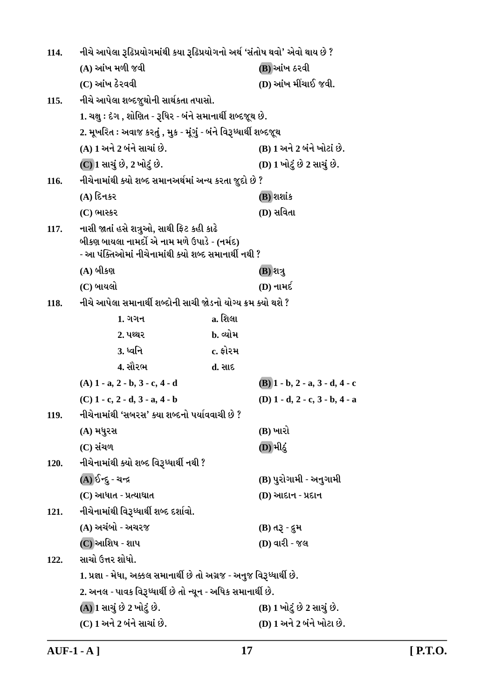| 114. | નીચે આપેલા રૂઢિપ્રયોગમાંથી કયા રૂઢિપ્રયોગનો અર્થ 'સંતોષ થવો' એવો થાય છે ?                                                                        |          |                                           |
|------|--------------------------------------------------------------------------------------------------------------------------------------------------|----------|-------------------------------------------|
|      | (A) આંખ મળી જવી                                                                                                                                  |          | (B) આંખ ઠરવી                              |
|      | (C) આંખ ઠેરવવી                                                                                                                                   |          | (D) આંખ મીંચાઈ જવી.                       |
| 115. | નીચે આપેલા શબ્દજૂથોની સાર્થકતા તપાસો.                                                                                                            |          |                                           |
|      | 1. ચક્ષુ : દેગ , શોણિત - રૂધિર - બંને સમાનાર્થી શબ્દજૂથ છે.                                                                                      |          |                                           |
|      | 2. મૂખરિત : અવાજ કરતું , મુક - મૂંગું - બંને વિરૂધ્ધાર્થી શબ્દજૂથ                                                                                |          |                                           |
|      | (A) 1 અને 2 બંને સાચાં છે.                                                                                                                       |          | (B) 1 અને 2 બંને ખોટાં છે.                |
|      | (C) 1 સાચું છે, 2 ખોટું છે.                                                                                                                      |          | (D) 1 ખોટું છે 2 સાચું છે.                |
| 116. | નીચેનામાંથી ક્યો શબ્દ સમાનઅર્થમાં અન્ય કરતા જુદો છે ?                                                                                            |          |                                           |
|      | $(A)$ દિનકર                                                                                                                                      |          | (B) શશાંક                                 |
|      | (C) ભાસ્કર                                                                                                                                       |          | (D) સવિતા                                 |
| 117. | નાસી જાતાં હસે શત્રુઓ, સાથી ફિટ કહી કાઢે<br>બીકણ બાયલા નામર્દો એ નામ મળે ઉપાડે - (નર્મદ)<br>- આ પંક્તિઓમાં નીચેનામાંથી ક્યો શબ્દ સમાનાર્થી નથી ? |          |                                           |
|      | (A) બીકણ                                                                                                                                         |          | (B) શત્રુ                                 |
|      | (C) બાયલો                                                                                                                                        |          | (D) નામર્દ                                |
| 118. | નીચે આપેલા સમાનાર્થી શબ્દોની સાચી જોડનો યોગ્ય ક્રમ ક્યો થશે ?                                                                                    |          |                                           |
|      | $1.$ ગગન                                                                                                                                         | a. શિલા  |                                           |
|      | 2. પથ્થર                                                                                                                                         | b. વ્યોમ |                                           |
|      | <u>3.</u> ધ્વનિ                                                                                                                                  | c. ફોરમ  |                                           |
|      | 4. સૌરભ                                                                                                                                          | d. સાદ   |                                           |
|      | $(A)$ 1 - a, 2 - b, 3 - c, 4 - d                                                                                                                 |          | $(B)$ 1 - b, 2 - a, 3 - d, 4 - c          |
|      | $(C)$ 1 - c, 2 - d, 3 - a, 4 - b                                                                                                                 |          | (D) $1 - d$ , $2 - c$ , $3 - b$ , $4 - a$ |
| 119. | નીચેનામાંથી 'સબરસ' ક્યા શબ્દનો પર્યાવવાચી છે ?                                                                                                   |          |                                           |
|      | (A) મધુરસ                                                                                                                                        |          | (B) ખારો                                  |
|      | (C) સંચળ                                                                                                                                         |          | (D) મીઠું                                 |
| 120. | નીચેનામાંથી ક્યો શબ્દ વિરૂધ્ધાર્થી નથી ?                                                                                                         |          |                                           |
|      | (A) ઈન્દુ - ચન્દ્ર                                                                                                                               |          | (B) પુરોગામી - અનુગામી                    |
|      | (C) આધાત - પ્રત્યાઘાત                                                                                                                            |          | (D) આદાન - પ્રદાન                         |
| 121. | નીચેનામાંથી વિરૂધ્ધાર્થી શબ્દ દર્શાવો.                                                                                                           |          |                                           |
|      | (A) અચંબો - અચરજ                                                                                                                                 |          | (B) તરૂ - દુમ                             |
|      | (C) આશિષ - શાપ                                                                                                                                   |          | (D) વારી - જલ                             |
| 122. | સાચો ઉત્તર શોધો.                                                                                                                                 |          |                                           |
|      | 1. પ્રજ્ઞા - મેધા, અક્કલ સમાનાર્થી છે તો અગ્રજ - અનુજ વિરૂધ્ધાર્થી છે.                                                                           |          |                                           |
|      | 2. અનલ - પાવક વિરૂધ્ધાર્થી છે તો ન્યૂન - અધિક સમાનાર્થી છે.                                                                                      |          |                                           |
|      | (A) 1 સાચું છે 2 ખોટું છે.                                                                                                                       |          | (B) 1 ખોટું છે 2 સાચું છે.                |
|      | (C) 1 અને 2 બંને સાચાં છે.                                                                                                                       |          | (D) 1 અને 2 બંને ખોટા છે.                 |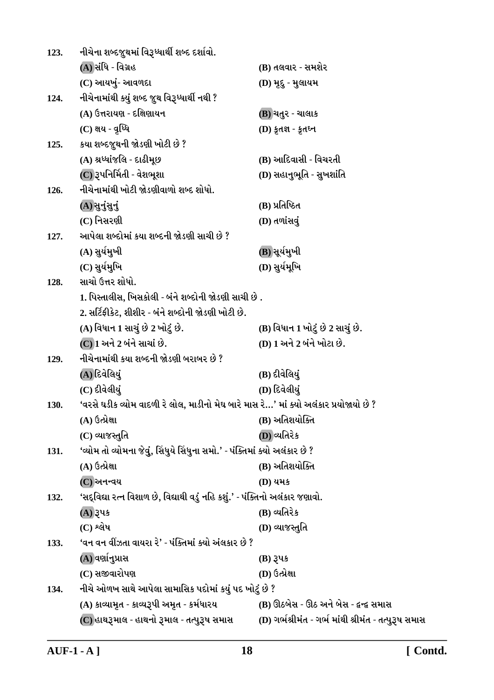| 123. | નીચેના શબ્દજુથમાં વિરૂધ્ધાર્થી શબ્દ દર્શાવો.                                           |                                                      |
|------|----------------------------------------------------------------------------------------|------------------------------------------------------|
|      | (A) સંધિ - વિગ્રહ                                                                      | (B) તલવાર - સમશેર                                    |
|      | (C) આયખું- આવળદા                                                                       | (D) મૃદુ - મુલાયમ                                    |
| 124. | નીચેનામાંથી ક્યું શબ્દ જુથ વિરૂધ્ધાર્થી નથી ?                                          |                                                      |
|      | (A) ઉત્તરાયણ - દક્ષિણાયન                                                               | (B) ચતુર - ચાલાક                                     |
|      | (C) ક્ષય - વૃધ્ધિ                                                                      | (D) કૃતજ્ઞ - કૃતઘ્ન                                  |
| 125. | કયા શબ્દજુથની જોડણી ખોટી છે ?                                                          |                                                      |
|      | (A) શ્રધ્ધાંજલિ - દાઢીમૂછ                                                              | (B) આદિવાસી - વિચરતી                                 |
|      | (C) રૂપનિર્મિતી - વેશભૂશા                                                              | (D) સહાનુભૂતિ - સુખશાંતિ                             |
| 126. | નીચેનામાંથી ખોટી જોડણીવાળો શબ્દ શોધો.                                                  |                                                      |
|      | (A) सुनुंसुनुं                                                                         | (B) પ્રતિષ્ઠિત                                       |
|      | (C) નિસરણી                                                                             | (D) તળાંસવું                                         |
| 127. | આપેલા શબ્દોમાં કયા શબ્દની જોડણી સાચી છે ?                                              |                                                      |
|      | (A) સુર્યમુખી                                                                          | (B))સૂર્યમુખી                                        |
|      | (C) સુર્યમુખિ                                                                          | (D) સુર્યમૂખિ                                        |
| 128. | સાચો ઉત્તર શોધો.                                                                       |                                                      |
|      | 1. પિસ્તાલીસ, ખિસકોલી - બંને શબ્દોની જોડણી સાચી છે .                                   |                                                      |
|      | 2. સર્ટિફીકેટ, શીશીર - બંને શબ્દોની જોડણી ખોટી છે.                                     |                                                      |
|      | (A) વિધાન 1 સાચું છે 2 ખોટું છે.                                                       | (B) વિધાન 1 ખોટું છે 2 સાચું છે.                     |
|      | (C) 1 અને 2 બંને સાચાં છે.                                                             | (D) 1 અને 2 બંને ખોટા છે.                            |
| 129. | નીચેનામાંથી કયા શબ્દની જોડણી બરાબર છે ?                                                |                                                      |
|      | (A)દિવેલિયું                                                                           | (B) દીવેલિયું                                        |
|      | (C) દીવેલીયું                                                                          | (D) દિવેલીયું                                        |
| 130. | 'વરસે ઘડીક વ્યોમ વાદળી રે લોલ, માડીનો મેઘ બારે માસ રે…' માં ક્યો અલંકાર પ્રયોજાયો છે ? |                                                      |
|      | (A) ઉત્પ્રેક્ષા                                                                        | (B) અતિશયોક્તિ                                       |
|      | (C) વ્યાજસ્તુતિ                                                                        | (D) વ્યતિરેક                                         |
| 131. | 'વ્યોમ તો વ્યોમના જેવું, સિંધુયે સિંધુના સમો.' - પંક્તિમાં ક્યો અલંકાર છે ?            |                                                      |
|      | (A) ઉત્પ્રેક્ષા                                                                        | (B) અતિશયોક્તિ                                       |
|      | $(C)$ અનન્વય                                                                           | (D) યમક                                              |
| 132. | 'સદ્વિદ્યા રત્ન વિશાળ છે, વિદ્યાથી વડું નહિ કશું.' - પંક્તિનો અલંકાર જણાવો.            |                                                      |
|      | (A) રૂપક                                                                               | (B) વ્યતિરેક                                         |
|      | $(C)$ શ્લેષ                                                                            | (D) વ્યાજસ્તુતિ                                      |
| 133. | 'વન વન વીઝતા વાયરા રે' - પંક્તિમાં ક્યો અંલકાર છે ?                                    |                                                      |
|      | (A) વર્ણાનુપ્રાસ                                                                       | $(B)$ રૂપક                                           |
|      | (C) સજીવારોપણ                                                                          | (D) ઉત્પ્રેક્ષા                                      |
| 134. | નીચે ઓળખ સાથે આપેલા સામાસિક પદોમાં કયું પદ ખોટું છે ?                                  |                                                      |
|      | (A) કાવ્યામૃત - કાવ્યરૂપી અમૃત - કર્મધારય                                              | (B) ઊઠબેસ - ઊઠ અને બેસ - દ્વન્દ્વ સમાસ               |
|      | (C) હાથરૂમાલ - હાથનો રૂમાલ - તત્પુરૂષ સમાસ                                             | (D) ગર્ભશ્રીમંત - ગર્ભ માંથી શ્રીમંત - તત્પુરૂષ સમાસ |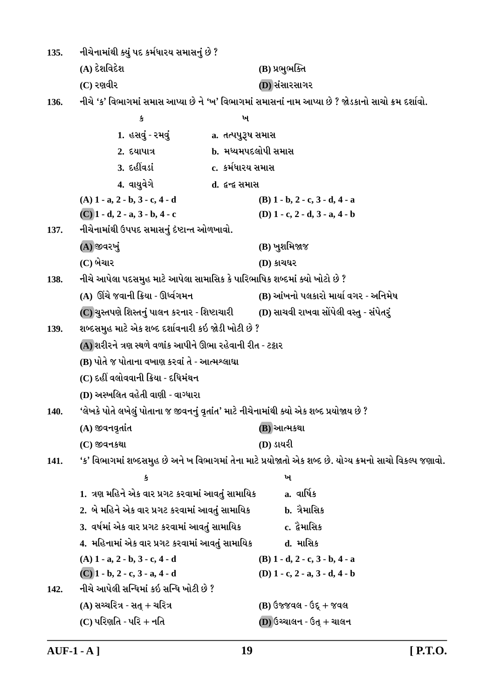નીચેનામાંથી ક્યું પદ કર્મધારય સમાસનું છે ?  $135.$ (A) દેશવિદેશ (B) પ્રભુભક્તિ  $(C)$  રણવીર (D) સંસારસાગર નીચે 'ક' વિભાગમાં સમાસ આપ્યા છે ને 'ખ' વિભાગમાં સમાસનાં નામ આપ્યા છે ? જોડકાનો સાચો ક્રમ દર્શાવો.  $136.$  $\mathbf{\hat{S}}$  $\dot{M}$ 1. હસવું - રમવું a. તત્પપુરૂષ સમાસ  $2.5$  and  $2.5$ **b.** મધ્યમપદલોપી સમાસ 3. દહીંવડાં c. કર્મધારય સમાસ 4. વાયવેગે d. *દુ*ન્દ્ર સમાસ  $(A)$  1 - a, 2 - b, 3 - c, 4 - d  $(B)$  1 - b, 2 - c, 3 - d, 4 - a  $(C)$  1 - d, 2 - a, 3 - b, 4 - c (D)  $1 - c$ ,  $2 - d$ ,  $3 - a$ ,  $4 - b$ નીચેનામાંથી ઉપપદ સમાસનું દેષ્ટાન્ત ઓળખાવો. 137. (A) જીવરખું (B) ખુશમિજાજ  $(C)$  બેચાર  $(D)$  કાચઘર નીચે આપેલા પદસમુહ માટે આપેલા સામાસિક કે પારિભાષિક શબ્દમાં ક્યો ખોટો છે ? 138. (A) ઊંચે જવાની ક્રિયા - ઊર્ધ્વગમન (B) આંખનો પલકારો માર્યા વગર - અનિમેષ (C) ચુસ્તપણે શિસ્તનું પાલન કરનાર - શિષ્ટાચારી (D) સાચવી રાખવા સોંપેલી વસ્તુ - સંપેતરું શબ્દસમુહ માટે એક શબ્દ દર્શાવનારી કઇ જોડી ખોટી છે ? 139. (A) શરીરને ત્રણ સ્થળે વળાંક આપીને ઊભા રહેવાની રીત - ટટ્ટાર (B) પોતે જ પોતાના વખાણ કરવાં તે - આત્મશ્લાઘા (C) દહીં વલોવવાની ક્રિયા - દધિમંથન (D) અસ્ખલિત વહેતી વાણી - વાગ્ધારા 'લેખકે પોતે લખેલું પોતાના જ જીવનનું વૃતાંત' માટે નીચેનામાંથી ક્યો એક શબ્દ પ્રયોજાય છે ?  $140.$ (A) જીવનવૃતાંત (B) આત્મકથા (D) ડાયરી  $(C)$  જીવનકથા 'ક' વિભાગમાં શબ્દસમુહ છે અને ખ વિભાગમાં તેના માટે પ્રયોજાતો એક શબ્દ છે. યોગ્ય ક્રમનો સાચો વિકલ્પ જણાવો. 141.  $\mathbf{u}$ 卖 1. ત્રણ મહિને એક વાર પ્રગટ કરવામાં આવતું સામાયિક  $a.$  al $\widetilde{a}$   $\ast$ 2. બે મહિને એક વાર પ્રગટ કરવામાં આવતું સામાયિક b. ત્રૈમાસિક c. દ્વેમાસિક 3. વર્ષમાં એક વાર પ્રગટ કરવામાં આવતું સામાયિક 4. મહિનામાં એક વાર પ્રગટ કરવામાં આવતું સામાયિક **d. માસિક**  $(A)$  1 - a, 2 - b, 3 - c, 4 - d  $(B)$  1 - d, 2 - c, 3 - b, 4 - a  $(C)$  1 - b, 2 - c, 3 - a, 4 - d (D)  $1 - c$ ,  $2 - a$ ,  $3 - d$ ,  $4 - b$ નીચે આપેલી સન્ધિમાં કઇ સન્ધિ ખોટી છે ?  $142.$  $(A)$  સચ્ચરિત્ર - સત + ચરિત્ર  $(B)$  ઉજ્જવલ - ઉદ્ + જવલ  $(C)$  પરિણતિ - પરિ + નતિ  $(D)$  ઉચ્ચાલન - ઉત્ + ચાલન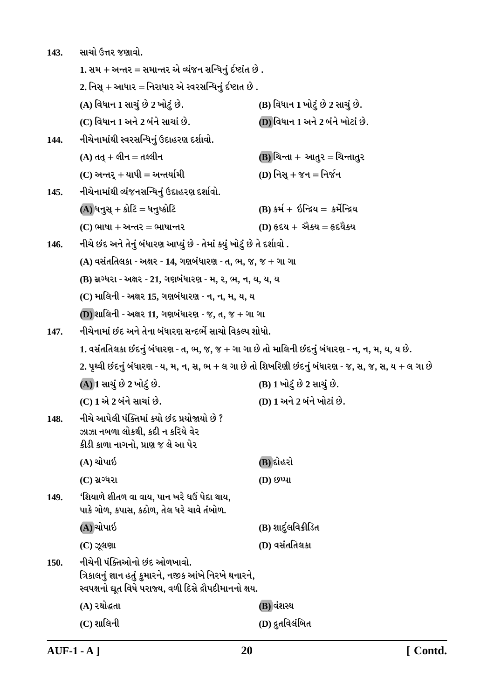| 143. | સાચો ઉત્તર જણાવો.                                                                                                                                |                                      |  |
|------|--------------------------------------------------------------------------------------------------------------------------------------------------|--------------------------------------|--|
|      | 1. સમ + અન્તર = સમાન્તર એ વ્યંજન સન્ધિનું ર્દષ્ટાંત છે .                                                                                         |                                      |  |
|      | 2. નિસ્ + આધાર = નિરાધાર એ સ્વરસન્ધિનું ર્દષ્ટાત છે .                                                                                            |                                      |  |
|      | (A) વિધાન 1 સાચું છે 2 ખોટું છે.                                                                                                                 | (B) વિધાન 1 ખોટું છે 2 સાચું છે.     |  |
|      | (C) વિધાન 1 અને 2 બંને સાચાં છે.                                                                                                                 | (D) વિધાન 1 અને 2 બંને ખોટાં છે.     |  |
| 144. | નીચેનામાંથી સ્વરસન્ધિનું ઉદાહરણ દર્શાવો.                                                                                                         |                                      |  |
|      | $(A)$ તત્ + લીન = તલ્લીન                                                                                                                         | (B) ચિન્તા + આતુર = ચિન્તાતુર        |  |
|      | $(C)$ અન્તર્ + યાપી = અન્તર્યામી                                                                                                                 | (D) નિસ્ $+ \gamma$ ન $=$ નિર્જન     |  |
| 145. | નીચેનામાંથી વ્યંજનસન્ધિનું ઉદાહરણ દર્શાવો.                                                                                                       |                                      |  |
|      | $(A)$ ધનુસ્ $+$ કોટિ = ધનુષ્કોટિ                                                                                                                 | $(B)$ કર્મ + ઇન્દ્રિય = કર્મેન્દ્રિય |  |
|      | $(C)$ ભાષા + અન્તર = ભાષાન્તર                                                                                                                    | $(D)$ હૃદય + એક્ય = હૃદયૈક્ય         |  |
| 146. | નીચે છંદ અને તેનું બંધારણ આપ્યું છે - તેમાં ક્યું ખોટું છે તે દર્શાવો .                                                                          |                                      |  |
|      | $(A)$ વસંતતિલકા - અક્ષર - 14, ગણબંધારણ - ત, ભ, જ, જ + ગા ગા                                                                                      |                                      |  |
|      | (B) સ્રગ્ધરા - અક્ષર - 21, ગણબંધારણ - મ, ર, ભ, ન, ય, ય, ય                                                                                        |                                      |  |
|      | (C) માલિની - અક્ષર 15, ગણબંધારણ - ન, ન, મ, ય, ય                                                                                                  |                                      |  |
|      | (D) શાલિની - અક્ષર 11, ગણબંધારણ - જ, ત, જ + ગા ગા                                                                                                |                                      |  |
| 147. | નીચેનામાં છંદ અને તેના બંધારણ સન્દર્ભે સાચો વિકલ્પ શોધો.                                                                                         |                                      |  |
|      | 1. વસંતતિલકા છંદનું બંધારણ - ત, ભ, જ, જ + ગા ગા છે તો માલિની છંદનું બંધારણ - ન, ન, મ, ય, ય છે.                                                   |                                      |  |
|      | 2. પૃથ્વી છંદનું બંધારણ - ય, મ, ન, સ, ભ + લ ગા છે તો શિખરિણી છંદનું બંધારણ - જ, સ, જ, સ, ય + લ ગા છે                                             |                                      |  |
|      | (A) 1 સાચું છે 2 ખોટું છે.                                                                                                                       | (B) 1 ખોટું છે 2 સાચું છે.           |  |
|      | (C) 1 એ 2 બંને સાચાં છે.                                                                                                                         | (D) 1 અને 2 બંને ખોટાં છે.           |  |
| 148. | નીચે આપેલી પંક્તિમાં ક્યો છંદ પ્રયોજાયો છે ?<br>ઝાઝા નબળા લોકથી, કદી ન કરિયે વેર<br>કીડી કાળા નાગનો, પ્રાણ જ લે આ પેર                            |                                      |  |
|      | (A) ચોપાઇ                                                                                                                                        | (B) દોહરો                            |  |
|      | $(C)$ સ્રગ્ધરા                                                                                                                                   | $(D)$ છપ્પા                          |  |
| 149. | 'શિયાળે શીતળ વા વાય, પાન ખરે ઘઉં પેદા થાય,<br>પાકે ગોળ, કપાસ, કઠોળ, તેલ ધરે ચાવે તંબોળ.                                                          |                                      |  |
|      | (A) ચોપાઇ                                                                                                                                        | (B) શાર્દુલવિક્રીડિત                 |  |
|      | $(C)$ ઝૂલણા                                                                                                                                      | (D) વસંતતિલકા                        |  |
| 150. | નીચેની પંક્તિઓનો છંદ ઓળખાવો.<br>ત્રિકાલનું જ્ઞાન હતું કુમારને, નજીક આંખે નિરખે થનારને,<br>સ્વપક્ષનો ઘૂત વિષે પરાજ્ય, વળી દિસે દ્રૌપદીમાનનો ક્ષય. |                                      |  |
|      | (A) રથોદ્ધતા                                                                                                                                     | (B) વંશસ્થ                           |  |
|      | $(C)$ શાલિની                                                                                                                                     | (D) દ્રુતવિલંબિત                     |  |
|      |                                                                                                                                                  |                                      |  |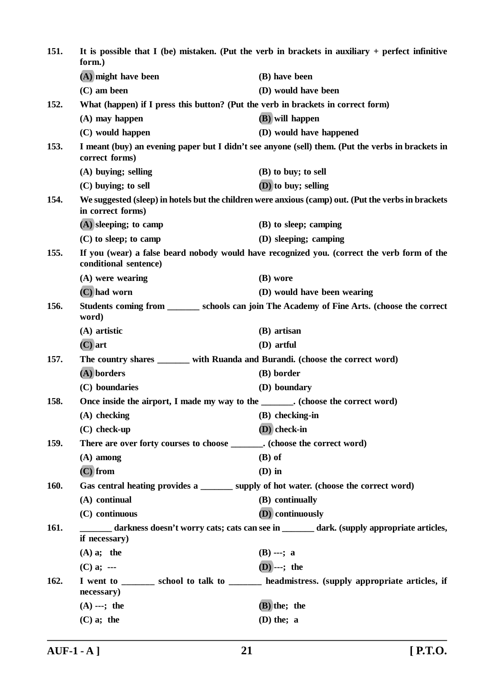| 151.                                                                                                             | It is possible that I (be) mistaken. (Put the verb in brackets in auxiliary $+$ perfect infinitive<br>form.) |                                                                                                     |
|------------------------------------------------------------------------------------------------------------------|--------------------------------------------------------------------------------------------------------------|-----------------------------------------------------------------------------------------------------|
|                                                                                                                  | (A) might have been                                                                                          | (B) have been                                                                                       |
|                                                                                                                  | $(C)$ am been                                                                                                | (D) would have been                                                                                 |
| 152.                                                                                                             | What (happen) if I press this button? (Put the verb in brackets in correct form)                             |                                                                                                     |
|                                                                                                                  | $(A)$ may happen                                                                                             | (B) will happen                                                                                     |
|                                                                                                                  | (C) would happen                                                                                             | (D) would have happened                                                                             |
| 153.                                                                                                             | correct forms)                                                                                               | I meant (buy) an evening paper but I didn't see anyone (sell) them. (Put the verbs in brackets in   |
|                                                                                                                  | (A) buying; selling                                                                                          | (B) to buy; to sell                                                                                 |
|                                                                                                                  | $(C)$ buying; to sell                                                                                        | (D) to buy; selling                                                                                 |
| 154.                                                                                                             | in correct forms)                                                                                            | We suggested (sleep) in hotels but the children were anxious (camp) out. (Put the verbs in brackets |
|                                                                                                                  | $(A)$ sleeping; to camp                                                                                      | (B) to sleep; camping                                                                               |
|                                                                                                                  | $(C)$ to sleep; to camp                                                                                      | (D) sleeping; camping                                                                               |
| 155.                                                                                                             | conditional sentence)                                                                                        | If you (wear) a false beard nobody would have recognized you. (correct the verb form of the         |
|                                                                                                                  | (A) were wearing                                                                                             | (B) wore                                                                                            |
|                                                                                                                  | (C) had worn                                                                                                 | (D) would have been wearing                                                                         |
| 156.                                                                                                             | word)                                                                                                        | Students coming from _________ schools can join The Academy of Fine Arts. (choose the correct       |
|                                                                                                                  | $(A)$ artistic                                                                                               | (B) artisan                                                                                         |
|                                                                                                                  | $(C)$ art                                                                                                    | (D) artful                                                                                          |
| 157.                                                                                                             | The country shares _______ with Ruanda and Burandi. (choose the correct word)                                |                                                                                                     |
|                                                                                                                  | (A) borders                                                                                                  | (B) border                                                                                          |
|                                                                                                                  | (C) boundaries                                                                                               | (D) boundary                                                                                        |
| 158.                                                                                                             | Once inside the airport, I made my way to the _______. (choose the correct word)                             |                                                                                                     |
|                                                                                                                  | $(A)$ checking                                                                                               | $(B)$ checking-in                                                                                   |
|                                                                                                                  | $(C)$ check-up                                                                                               | (D) check-in                                                                                        |
| 159.                                                                                                             | There are over forty courses to choose _______. (choose the correct word)                                    |                                                                                                     |
|                                                                                                                  | $(A)$ among                                                                                                  | $(B)$ of                                                                                            |
|                                                                                                                  | $(C)$ from                                                                                                   | $(D)$ in                                                                                            |
| <b>160.</b>                                                                                                      | Gas central heating provides a ________ supply of hot water. (choose the correct word)                       |                                                                                                     |
|                                                                                                                  | (A) continual                                                                                                | (B) continually                                                                                     |
|                                                                                                                  | (C) continuous                                                                                               | (D) continuously                                                                                    |
| 161.<br>darkness doesn't worry cats; cats can see in ______ dark. (supply appropriate articles,<br>if necessary) |                                                                                                              |                                                                                                     |
|                                                                                                                  | $(A)$ a; the                                                                                                 | $(B)$ ---; a                                                                                        |
|                                                                                                                  | $(C)$ a; ---                                                                                                 | $(D)$ ---; the                                                                                      |
| 162.                                                                                                             | necessary)                                                                                                   | I went to _______ school to talk to _______ headmistress. (supply appropriate articles, if          |
|                                                                                                                  | $(A)$ ---; the                                                                                               | (B) the; the                                                                                        |
|                                                                                                                  | $(C)$ a; the                                                                                                 | $(D)$ the; a                                                                                        |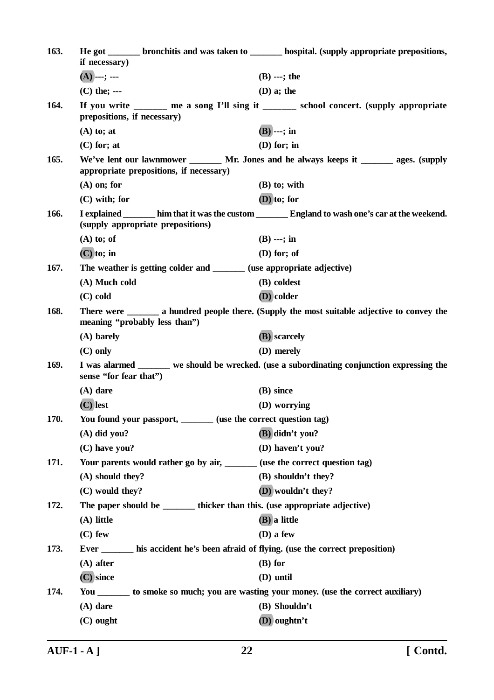| 163. | if necessary)                                                                          | He got ________ bronchitis and was taken to ________ hospital. (supply appropriate prepositions,   |
|------|----------------------------------------------------------------------------------------|----------------------------------------------------------------------------------------------------|
|      | $(A)$ ---; ---                                                                         | $(B)$ ---; the                                                                                     |
|      | $(C)$ the; ---                                                                         | $(D)$ a; the                                                                                       |
| 164. | prepositions, if necessary)                                                            | If you write ______ me a song I'll sing it ______ school concert. (supply appropriate              |
|      | $(A)$ to; at                                                                           | $(B)$ ---; in                                                                                      |
|      | $(C)$ for; at                                                                          | $(D)$ for; in                                                                                      |
| 165. | appropriate prepositions, if necessary)                                                | We've lent our lawnmower _______ Mr. Jones and he always keeps it _______ ages. (supply            |
|      | $(A)$ on; for                                                                          | $(B)$ to; with                                                                                     |
|      | $(C)$ with; for                                                                        | $(D)$ to; for                                                                                      |
| 166. | (supply appropriate prepositions)                                                      | I explained ________ him that it was the custom ________ England to wash one's car at the weekend. |
|      | $(A)$ to; of                                                                           | $(B)$ ---; in                                                                                      |
|      | $(C)$ to; in                                                                           | $(D)$ for; of                                                                                      |
| 167. | The weather is getting colder and _______ (use appropriate adjective)                  |                                                                                                    |
|      | (A) Much cold                                                                          | (B) coldest                                                                                        |
|      | $(C)$ cold                                                                             | (D) colder                                                                                         |
| 168. | meaning "probably less than")                                                          | There were <u>equal</u> a hundred people there. (Supply the most suitable adjective to convey the  |
|      | (A) barely                                                                             | (B) scarcely                                                                                       |
|      | $(C)$ only                                                                             | (D) merely                                                                                         |
| 169. | sense "for fear that")                                                                 | I was alarmed _______ we should be wrecked. (use a subordinating conjunction expressing the        |
|      | $(A)$ dare                                                                             | (B) since                                                                                          |
|      | $(C)$ lest                                                                             | (D) worrying                                                                                       |
| 170. | You found your passport, _______ (use the correct question tag)                        |                                                                                                    |
|      | $(A)$ did you?                                                                         | (B) didn't you?                                                                                    |
|      | (C) have you?                                                                          | (D) haven't you?                                                                                   |
| 171. | Your parents would rather go by air, _______ (use the correct question tag)            |                                                                                                    |
|      | (A) should they?                                                                       | (B) shouldn't they?                                                                                |
|      | (C) would they?                                                                        | (D) wouldn't they?                                                                                 |
| 172. | The paper should be _________ thicker than this. (use appropriate adjective)           |                                                                                                    |
|      | (A) little                                                                             | (B) a little                                                                                       |
|      | $(C)$ few                                                                              | $(D)$ a few                                                                                        |
| 173. | Ever ________ his accident he's been afraid of flying. (use the correct preposition)   |                                                                                                    |
|      | $(A)$ after                                                                            | $(B)$ for                                                                                          |
|      | $(C)$ since                                                                            | (D) until                                                                                          |
| 174. | You ________ to smoke so much; you are wasting your money. (use the correct auxiliary) |                                                                                                    |
|      | $(A)$ dare                                                                             | (B) Shouldn't                                                                                      |
|      | $(C)$ ought                                                                            | (D) oughtn't                                                                                       |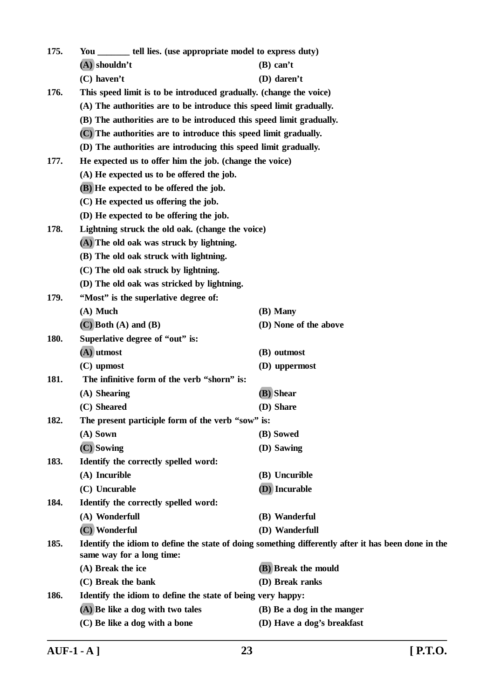| 175. | You _________ tell lies. (use appropriate model to express duty)    |                                                                                                     |  |  |
|------|---------------------------------------------------------------------|-----------------------------------------------------------------------------------------------------|--|--|
|      | $(A)$ shouldn't                                                     | $(B)$ can't                                                                                         |  |  |
|      | $(C)$ haven't                                                       | (D) daren't                                                                                         |  |  |
| 176. | This speed limit is to be introduced gradually. (change the voice)  |                                                                                                     |  |  |
|      | (A) The authorities are to be introduce this speed limit gradually. |                                                                                                     |  |  |
|      |                                                                     | (B) The authorities are to be introduced this speed limit gradually.                                |  |  |
|      | (C) The authorities are to introduce this speed limit gradually.    |                                                                                                     |  |  |
|      | (D) The authorities are introducing this speed limit gradually.     |                                                                                                     |  |  |
| 177. |                                                                     | He expected us to offer him the job. (change the voice)                                             |  |  |
|      | (A) He expected us to be offered the job.                           |                                                                                                     |  |  |
|      | (B) He expected to be offered the job.                              |                                                                                                     |  |  |
|      | (C) He expected us offering the job.                                |                                                                                                     |  |  |
|      | (D) He expected to be offering the job.                             |                                                                                                     |  |  |
| 178. | Lightning struck the old oak. (change the voice)                    |                                                                                                     |  |  |
|      | (A) The old oak was struck by lightning.                            |                                                                                                     |  |  |
|      | (B) The old oak struck with lightning.                              |                                                                                                     |  |  |
|      | (C) The old oak struck by lightning.                                |                                                                                                     |  |  |
|      | (D) The old oak was stricked by lightning.                          |                                                                                                     |  |  |
| 179. | "Most" is the superlative degree of:                                |                                                                                                     |  |  |
|      | $(A)$ Much                                                          | (B) Many                                                                                            |  |  |
|      | $(C)$ Both $(A)$ and $(B)$                                          | (D) None of the above                                                                               |  |  |
| 180. | Superlative degree of "out" is:                                     |                                                                                                     |  |  |
|      | $(A)$ utmost                                                        | (B) outmost                                                                                         |  |  |
|      | $(C)$ upmost                                                        | (D) uppermost                                                                                       |  |  |
| 181. | The infinitive form of the verb "shorn" is:                         |                                                                                                     |  |  |
|      | (A) Shearing                                                        | (B) Shear                                                                                           |  |  |
|      | (C) Sheared                                                         | (D) Share                                                                                           |  |  |
| 182. | The present participle form of the verb "sow" is:                   |                                                                                                     |  |  |
|      | $(A)$ Sown                                                          | (B) Sowed                                                                                           |  |  |
|      | (C) Sowing                                                          | (D) Sawing                                                                                          |  |  |
| 183. | Identify the correctly spelled word:                                |                                                                                                     |  |  |
|      | (A) Incurible                                                       | (B) Uncurible                                                                                       |  |  |
|      | (C) Uncurable                                                       | (D) Incurable                                                                                       |  |  |
| 184. | Identify the correctly spelled word:                                |                                                                                                     |  |  |
|      | (A) Wonderfull                                                      | (B) Wanderful                                                                                       |  |  |
|      | (C) Wonderful                                                       | (D) Wanderfull                                                                                      |  |  |
| 185. | same way for a long time:                                           | Identify the idiom to define the state of doing something differently after it has been done in the |  |  |
|      | (A) Break the ice                                                   | (B) Break the mould                                                                                 |  |  |
|      | (C) Break the bank                                                  | (D) Break ranks                                                                                     |  |  |
| 186. | Identify the idiom to define the state of being very happy:         |                                                                                                     |  |  |
|      | (A) Be like a dog with two tales                                    | (B) Be a dog in the manger                                                                          |  |  |
|      | (C) Be like a dog with a bone                                       | (D) Have a dog's breakfast                                                                          |  |  |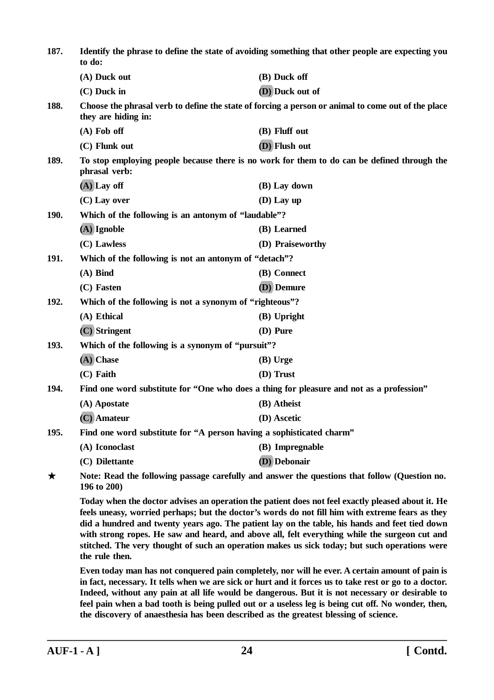| 187.                                                                                                              | Identify the phrase to define the state of avoiding something that other people are expecting you<br>to do:                                                                                                                                                                                                                                                                                                                                                                                                                 |                                                                                                    |  |
|-------------------------------------------------------------------------------------------------------------------|-----------------------------------------------------------------------------------------------------------------------------------------------------------------------------------------------------------------------------------------------------------------------------------------------------------------------------------------------------------------------------------------------------------------------------------------------------------------------------------------------------------------------------|----------------------------------------------------------------------------------------------------|--|
|                                                                                                                   | (A) Duck out                                                                                                                                                                                                                                                                                                                                                                                                                                                                                                                | (B) Duck off                                                                                       |  |
|                                                                                                                   | $(C)$ Duck in                                                                                                                                                                                                                                                                                                                                                                                                                                                                                                               | (D) Duck out of                                                                                    |  |
| 188.                                                                                                              | they are hiding in:                                                                                                                                                                                                                                                                                                                                                                                                                                                                                                         | Choose the phrasal verb to define the state of forcing a person or animal to come out of the place |  |
|                                                                                                                   | $(A)$ Fob off                                                                                                                                                                                                                                                                                                                                                                                                                                                                                                               | (B) Fluff out                                                                                      |  |
|                                                                                                                   | (C) Flunk out                                                                                                                                                                                                                                                                                                                                                                                                                                                                                                               | (D) Flush out                                                                                      |  |
| 189.                                                                                                              | phrasal verb:                                                                                                                                                                                                                                                                                                                                                                                                                                                                                                               | To stop employing people because there is no work for them to do can be defined through the        |  |
|                                                                                                                   | $(A)$ Lay off                                                                                                                                                                                                                                                                                                                                                                                                                                                                                                               | (B) Lay down                                                                                       |  |
|                                                                                                                   | $(C)$ Lay over                                                                                                                                                                                                                                                                                                                                                                                                                                                                                                              | $(D)$ Lay up                                                                                       |  |
| <b>190.</b>                                                                                                       | Which of the following is an antonym of "laudable"?                                                                                                                                                                                                                                                                                                                                                                                                                                                                         |                                                                                                    |  |
|                                                                                                                   | $(A)$ Ignoble                                                                                                                                                                                                                                                                                                                                                                                                                                                                                                               | (B) Learned                                                                                        |  |
|                                                                                                                   | (C) Lawless                                                                                                                                                                                                                                                                                                                                                                                                                                                                                                                 | (D) Praiseworthy                                                                                   |  |
| 191.                                                                                                              | Which of the following is not an antonym of "detach"?                                                                                                                                                                                                                                                                                                                                                                                                                                                                       |                                                                                                    |  |
|                                                                                                                   | $(A)$ Bind                                                                                                                                                                                                                                                                                                                                                                                                                                                                                                                  | (B) Connect                                                                                        |  |
|                                                                                                                   | (C) Fasten                                                                                                                                                                                                                                                                                                                                                                                                                                                                                                                  | (D) Demure                                                                                         |  |
| 192.                                                                                                              | Which of the following is not a synonym of "righteous"?                                                                                                                                                                                                                                                                                                                                                                                                                                                                     |                                                                                                    |  |
|                                                                                                                   | (A) Ethical                                                                                                                                                                                                                                                                                                                                                                                                                                                                                                                 | (B) Upright                                                                                        |  |
|                                                                                                                   | (C) Stringent                                                                                                                                                                                                                                                                                                                                                                                                                                                                                                               | (D) Pure                                                                                           |  |
| 193.                                                                                                              | Which of the following is a synonym of "pursuit"?                                                                                                                                                                                                                                                                                                                                                                                                                                                                           |                                                                                                    |  |
|                                                                                                                   | (A) Chase                                                                                                                                                                                                                                                                                                                                                                                                                                                                                                                   | (B) Urge                                                                                           |  |
|                                                                                                                   | $(C)$ Faith                                                                                                                                                                                                                                                                                                                                                                                                                                                                                                                 | (D) Trust                                                                                          |  |
| 194.                                                                                                              |                                                                                                                                                                                                                                                                                                                                                                                                                                                                                                                             | Find one word substitute for "One who does a thing for pleasure and not as a profession"           |  |
|                                                                                                                   | (A) Apostate                                                                                                                                                                                                                                                                                                                                                                                                                                                                                                                | (B) Atheist                                                                                        |  |
|                                                                                                                   | (C) Amateur                                                                                                                                                                                                                                                                                                                                                                                                                                                                                                                 | (D) Ascetic                                                                                        |  |
| 195.                                                                                                              | Find one word substitute for "A person having a sophisticated charm"                                                                                                                                                                                                                                                                                                                                                                                                                                                        |                                                                                                    |  |
|                                                                                                                   | (A) Iconoclast                                                                                                                                                                                                                                                                                                                                                                                                                                                                                                              | (B) Impregnable                                                                                    |  |
|                                                                                                                   | (C) Dilettante                                                                                                                                                                                                                                                                                                                                                                                                                                                                                                              | (D) Debonair                                                                                       |  |
| Note: Read the following passage carefully and answer the questions that follow (Question no.<br>★<br>196 to 200) |                                                                                                                                                                                                                                                                                                                                                                                                                                                                                                                             |                                                                                                    |  |
|                                                                                                                   | Today when the doctor advises an operation the patient does not feel exactly pleased about it. He<br>feels uneasy, worried perhaps; but the doctor's words do not fill him with extreme fears as they<br>did a hundred and twenty years ago. The patient lay on the table, his hands and feet tied down<br>with strong ropes. He saw and heard, and above all, felt everything while the surgeon cut and<br>stitched. The very thought of such an operation makes us sick today; but such operations were<br>the rule then. |                                                                                                    |  |
|                                                                                                                   | Even today man has not conquered pain completely, nor will he ever. A certain amount of pain is                                                                                                                                                                                                                                                                                                                                                                                                                             |                                                                                                    |  |

**in fact, necessary. It tells when we are sick or hurt and it forces us to take rest or go to a doctor. Indeed, without any pain at all life would be dangerous. But it is not necessary or desirable to feel pain when a bad tooth is being pulled out or a useless leg is being cut off. No wonder, then, the discovery of anaesthesia has been described as the greatest blessing of science.**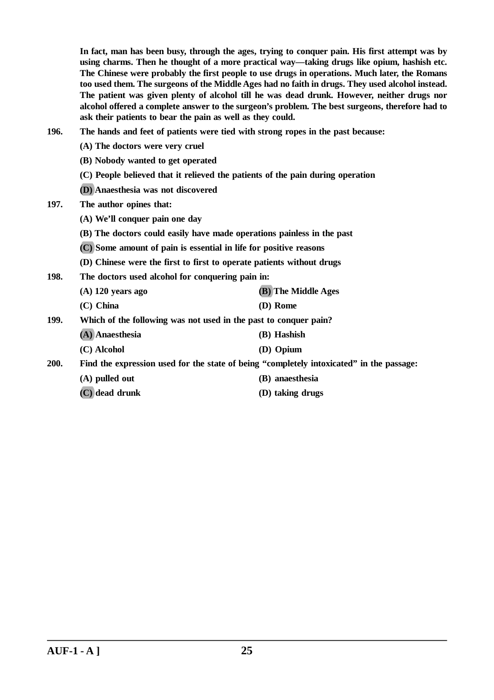**In fact, man has been busy, through the ages, trying to conquer pain. His first attempt was by using charms. Then he thought of a more practical way—taking drugs like opium, hashish etc. The Chinese were probably the first people to use drugs in operations. Much later, the Romans too used them. The surgeons of the Middle Ages had no faith in drugs. They used alcohol instead. The patient was given plenty of alcohol till he was dead drunk. However, neither drugs nor alcohol offered a complete answer to the surgeon's problem. The best surgeons, therefore had to ask their patients to bear the pain as well as they could.**

- **196. The hands and feet of patients were tied with strong ropes in the past because:**
	- **(A) The doctors were very cruel**
	- **(B) Nobody wanted to get operated**
	- **(C) People believed that it relieved the patients of the pain during operation**
	- **(D) Anaesthesia was not discovered**
- **197. The author opines that:**
	- **(A) We'll conquer pain one day**
	- **(B) The doctors could easily have made operations painless in the past**
	- **(C) Some amount of pain is essential in life for positive reasons**
	- **(D) Chinese were the first to first to operate patients without drugs**
- **198. The doctors used alcohol for conquering pain in:**
	- **(A) 120 years ago (B) The Middle Ages (C) China (D) Rome**
- **199. Which of the following was not used in the past to conquer pain?**
	- **(A) Anaesthesia (B) Hashish**
		- **(C) Alcohol (D) Opium**

**200. Find the expression used for the state of being "completely intoxicated" in the passage:**

- **(A) pulled out (B) anaesthesia**
- **(C) dead drunk (D) taking drugs**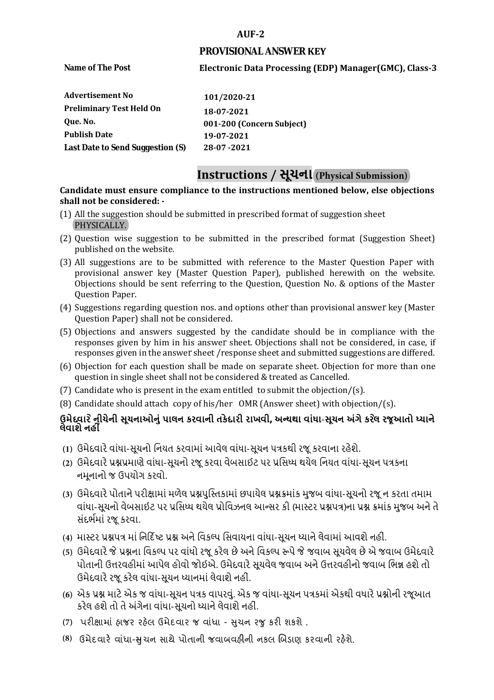#### **AUF-2**

#### **PROVISIONAL ANSWER KEY**

**Name of The Post** 

## **Electronic Data Processing (EDP) Manager(GMC), Class-3**

| Advertisement No                 | 101/2020-21               |
|----------------------------------|---------------------------|
| <b>Preliminary Test Held On</b>  | 18-07-2021                |
| Oue. No.                         | 001-200 (Concern Subject) |
| <b>Publish Date</b>              | 19-07-2021                |
| Last Date to Send Suggestion (S) | 28-07-2021                |

# **Instructions / સૂચના (Physical Submission)**

#### **shall not be considered: - Candidate must ensure compliance to the instructions mentioned below, else objections**

- (1) All the suggestion should be submitted in prescribed format of suggestion sheet PHYSICALLY.
- (2) Question wise suggestion to be submitted in the prescribed format (Suggestion Sheet) published on the website.
- (3) All suggestions are to be submitted with reference to the Master Question Paper with provisional answer key (Master Question Paper), published herewith on the website. Objections should be sent referring to the Question, Question No. & options of the Master Question Paper.
- (4) Suggestions regarding question nos. and options other than provisional answer key (Master Question Paper) shall not be considered.
- (5) Objections and answers suggested by the candidate should be in compliance with the responses given by him in his answer sheet. Objections shall not be considered, in case, if responses given in the answer sheet /response sheet and submitted suggestions are differed.
- (6) Objection for each question shall be made on separate sheet. Objection for more than one question in single sheet shall not be considered & treated as Cancelled.
- (7) Candidate who is present in the exam entitled to submit the objection/ $(s)$ .
- (8) Candidate should attach copy of his/her OMR (Answer sheet) with objection/(s).

### **ઉમેદવાર ેનીચેની સૂચનાઓનું પાલન કરવાની તકેદારી રાખવી, અլયથા વાંધા-સૂચન અંગેકરલે રજૂઆતો իયાને લેવાશેનહીં**

- **(1)** ઉમેદવારેવાંધા**-**સૂચનો િનયત કરવામાં આવેલ વાંધા-સૂચન પԋકથી રજૂ કરવાના રહેશે**.**
- **(2)** ઉમેદવારેԐՇԐમાણે વાંધા**-**સૂચનો રજૂકરવા વેબસાઈટ પર Ԑિસիધ થયેલ િનયત વાંધા-સૂચન પԋકના નમૂનાનો જ ઉપયોગ કરવો**.**
- **(3)** ઉમેદવારેપોતાનેપરીԟામાંમળેલ ԐՇપુિչતકામાંછપાયેલ ԐՇԃમાંક મુજબ વાંધા**-**સૂચનો રજૂન કરતા તમામ વાંધા**-**સૂચનો વેબસાઈટ પર Ԑિસիધ થયેલ Ԑોિવઝનલ આլસર કી **(**માչટર ԐՇપԋ**)**ના ԐՇ ԃમાંક મુજબ અનેતે સંદભӪમાં રજૂકરવા**.**
- **(4)** માչટર ԐՇપԋ માં િન�દ�ષ્ટ ԐՇ અનેિવકճપ િસવાયના વાંધા**-**સૂચન իયાનેલેવામાંઆવશેનહીં**.**
- **(5)** ઉમેદવારેજેԐՇના િવકճપ પર વાંધો રજૂકરેલ છેઅનેિવકճપ ԁપેજેજવાબ સૂચવેલ છેએ જવાબ ઉમેદવારે પોતાની ઉԱરવહીમાંઆપેલ હોવો જોઈએ**.** ઉમેદવારેસૂચવેલ જવાબ અનેઉԱરવહીનો જવાબ િભՂ હશેતો ઉમેદવારેરજૂ કરેલ વાંધા**-**સૂચન իયાનમાંલેવાશેનહીં**.**
- **(6)** એક ԐՇ માટેએક જ વાંધા**-**સૂચન પԋક વાપરવું**.** એક જ વાંધા**-**સૂચન પԋકમાંએકથી વધારેԐՇોની રજૂઆત કરેલ હશેતો તેઅંગેના વાંધા**-**સૂચનો իયાનેલેવાશેનહીં**.**
- (7) પરીક્ષામાં હાજર રહેલ ઉમેદવાર જ વાંધા સુચન રજુ કરી શકશે .
- **(8)** ઉમેદવાર**�** વાંધા-**�**ુચન સાથે પોતાની જવાબવહ**�**ની નકલ **�**બડાણ કરવાની રહ**�**શે.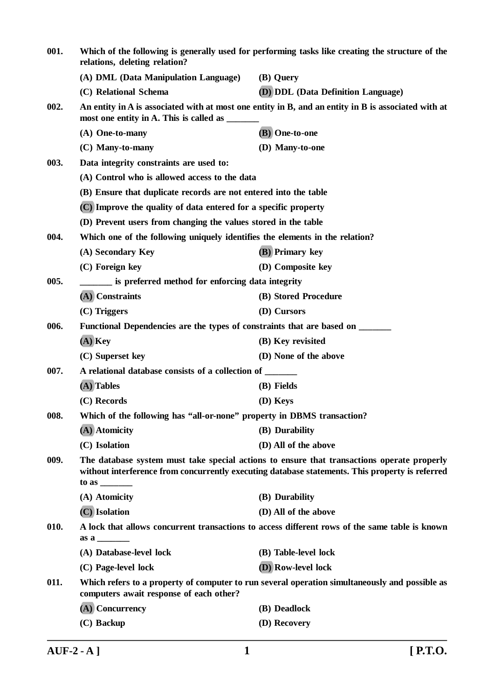| 001.                                                                                                                                                                                                                                                                               | Which of the following is generally used for performing tasks like creating the structure of the<br>relations, deleting relation? |                                                                                                     |
|------------------------------------------------------------------------------------------------------------------------------------------------------------------------------------------------------------------------------------------------------------------------------------|-----------------------------------------------------------------------------------------------------------------------------------|-----------------------------------------------------------------------------------------------------|
|                                                                                                                                                                                                                                                                                    | (A) DML (Data Manipulation Language)                                                                                              | (B) Query                                                                                           |
|                                                                                                                                                                                                                                                                                    | (C) Relational Schema                                                                                                             | <b>(D) DDL (Data Definition Language)</b>                                                           |
| 002.                                                                                                                                                                                                                                                                               | most one entity in A. This is called as _____                                                                                     | An entity in A is associated with at most one entity in B, and an entity in B is associated with at |
|                                                                                                                                                                                                                                                                                    | (A) One-to-many                                                                                                                   | (B) One-to-one                                                                                      |
|                                                                                                                                                                                                                                                                                    | (C) Many-to-many                                                                                                                  | (D) Many-to-one                                                                                     |
| 003.                                                                                                                                                                                                                                                                               | Data integrity constraints are used to:                                                                                           |                                                                                                     |
|                                                                                                                                                                                                                                                                                    | (A) Control who is allowed access to the data                                                                                     |                                                                                                     |
|                                                                                                                                                                                                                                                                                    | (B) Ensure that duplicate records are not entered into the table                                                                  |                                                                                                     |
|                                                                                                                                                                                                                                                                                    | (C) Improve the quality of data entered for a specific property                                                                   |                                                                                                     |
|                                                                                                                                                                                                                                                                                    | (D) Prevent users from changing the values stored in the table                                                                    |                                                                                                     |
| 004.                                                                                                                                                                                                                                                                               | Which one of the following uniquely identifies the elements in the relation?                                                      |                                                                                                     |
|                                                                                                                                                                                                                                                                                    | (A) Secondary Key                                                                                                                 | (B) Primary key                                                                                     |
|                                                                                                                                                                                                                                                                                    | (C) Foreign key                                                                                                                   | (D) Composite key                                                                                   |
| 005.                                                                                                                                                                                                                                                                               | is preferred method for enforcing data integrity                                                                                  |                                                                                                     |
|                                                                                                                                                                                                                                                                                    | (A) Constraints                                                                                                                   | (B) Stored Procedure                                                                                |
|                                                                                                                                                                                                                                                                                    | $(C)$ Triggers                                                                                                                    | (D) Cursors                                                                                         |
| 006.                                                                                                                                                                                                                                                                               | Functional Dependencies are the types of constraints that are based on _______                                                    |                                                                                                     |
|                                                                                                                                                                                                                                                                                    | $(A)$ Key                                                                                                                         | (B) Key revisited                                                                                   |
|                                                                                                                                                                                                                                                                                    | (C) Superset key                                                                                                                  | (D) None of the above                                                                               |
| 007.                                                                                                                                                                                                                                                                               | A relational database consists of a collection of ______                                                                          |                                                                                                     |
|                                                                                                                                                                                                                                                                                    | (A) Tables                                                                                                                        | (B) Fields                                                                                          |
|                                                                                                                                                                                                                                                                                    | (C) Records                                                                                                                       | (D) Keys                                                                                            |
| Which of the following has "all-or-none" property in DBMS transaction?<br>008.                                                                                                                                                                                                     |                                                                                                                                   |                                                                                                     |
|                                                                                                                                                                                                                                                                                    | (A) Atomicity                                                                                                                     | (B) Durability                                                                                      |
|                                                                                                                                                                                                                                                                                    | (C) Isolation                                                                                                                     | (D) All of the above                                                                                |
| 009.<br>The database system must take special actions to ensure that transactions operate properly<br>without interference from concurrently executing database statements. This property is referred<br>to as $\frac{1}{\sqrt{1-\frac{1}{2}}\cdot\frac{1}{\sqrt{1-\frac{1}{2}}}}$ |                                                                                                                                   |                                                                                                     |
|                                                                                                                                                                                                                                                                                    | (A) Atomicity                                                                                                                     | (B) Durability                                                                                      |
|                                                                                                                                                                                                                                                                                    | (C) Isolation                                                                                                                     | (D) All of the above                                                                                |
| A lock that allows concurrent transactions to access different rows of the same table is known<br>010.<br>$\mathbf{a} \mathbf{s} \mathbf{a}$                                                                                                                                       |                                                                                                                                   |                                                                                                     |
|                                                                                                                                                                                                                                                                                    | (A) Database-level lock                                                                                                           | (B) Table-level lock                                                                                |
|                                                                                                                                                                                                                                                                                    | (C) Page-level lock                                                                                                               | (D) Row-level lock                                                                                  |
| 011.                                                                                                                                                                                                                                                                               | computers await response of each other?                                                                                           | Which refers to a property of computer to run several operation simultaneously and possible as      |
|                                                                                                                                                                                                                                                                                    | (A) Concurrency                                                                                                                   | (B) Deadlock                                                                                        |
|                                                                                                                                                                                                                                                                                    | $(C)$ Backup                                                                                                                      | (D) Recovery                                                                                        |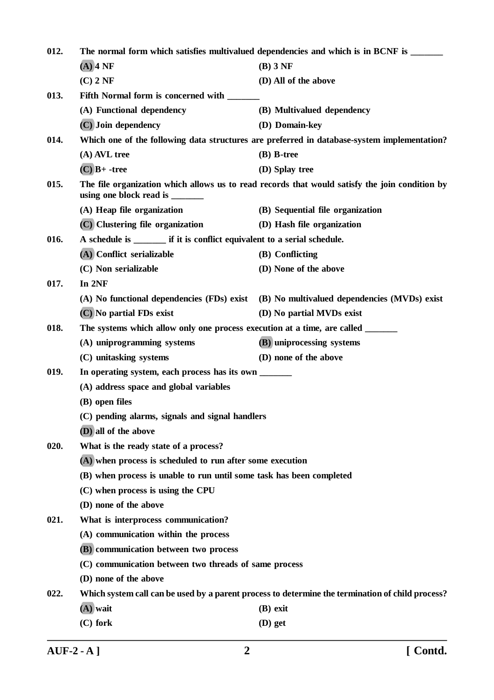| 012. | The normal form which satisfies multivalued dependencies and which is in BCNF is ______                                          |                                                                                                  |
|------|----------------------------------------------------------------------------------------------------------------------------------|--------------------------------------------------------------------------------------------------|
|      | $(A)$ 4 NF                                                                                                                       | $(B)$ 3 NF                                                                                       |
|      | $(C)$ 2 NF                                                                                                                       | (D) All of the above                                                                             |
| 013. | Fifth Normal form is concerned with ______                                                                                       |                                                                                                  |
|      | (A) Functional dependency                                                                                                        | (B) Multivalued dependency                                                                       |
|      | (C) Join dependency                                                                                                              | (D) Domain-key                                                                                   |
| 014. |                                                                                                                                  | Which one of the following data structures are preferred in database-system implementation?      |
|      | (A) AVL tree                                                                                                                     | $(B)$ B-tree                                                                                     |
|      | $(C)$ $B+$ -tree                                                                                                                 | (D) Splay tree                                                                                   |
| 015. | The file organization which allows us to read records that would satisfy the join condition by<br>using one block read is ______ |                                                                                                  |
|      | (A) Heap file organization                                                                                                       | (B) Sequential file organization                                                                 |
|      | (C) Clustering file organization                                                                                                 | (D) Hash file organization                                                                       |
| 016. | A schedule is ________ if it is conflict equivalent to a serial schedule.                                                        |                                                                                                  |
|      | (A) Conflict serializable                                                                                                        | (B) Conflicting                                                                                  |
|      | (C) Non serializable                                                                                                             | (D) None of the above                                                                            |
| 017. | In 2NF                                                                                                                           |                                                                                                  |
|      |                                                                                                                                  | (A) No functional dependencies (FDs) exist (B) No multivalued dependencies (MVDs) exist          |
|      | (C) No partial FDs exist                                                                                                         | (D) No partial MVDs exist                                                                        |
| 018. | The systems which allow only one process execution at a time, are called _______                                                 |                                                                                                  |
|      | (A) uniprogramming systems                                                                                                       | (B) uniprocessing systems                                                                        |
|      | (C) unitasking systems                                                                                                           | (D) none of the above                                                                            |
| 019. | In operating system, each process has its own ______                                                                             |                                                                                                  |
|      | (A) address space and global variables                                                                                           |                                                                                                  |
|      | (B) open files                                                                                                                   |                                                                                                  |
|      | (C) pending alarms, signals and signal handlers                                                                                  |                                                                                                  |
|      | (D) all of the above                                                                                                             |                                                                                                  |
| 020. | What is the ready state of a process?                                                                                            |                                                                                                  |
|      | (A) when process is scheduled to run after some execution                                                                        |                                                                                                  |
|      | (B) when process is unable to run until some task has been completed                                                             |                                                                                                  |
|      | (C) when process is using the CPU                                                                                                |                                                                                                  |
|      | (D) none of the above                                                                                                            |                                                                                                  |
| 021. | What is interprocess communication?                                                                                              |                                                                                                  |
|      | (A) communication within the process                                                                                             |                                                                                                  |
|      | (B) communication between two process                                                                                            |                                                                                                  |
|      | (C) communication between two threads of same process                                                                            |                                                                                                  |
|      | (D) none of the above                                                                                                            |                                                                                                  |
| 022. |                                                                                                                                  | Which system call can be used by a parent process to determine the termination of child process? |
|      | $(A)$ wait                                                                                                                       | $(B)$ exit                                                                                       |
|      | (C) fork                                                                                                                         | $(D)$ get                                                                                        |

**AUF-2 - A ] 2 [ Contd.**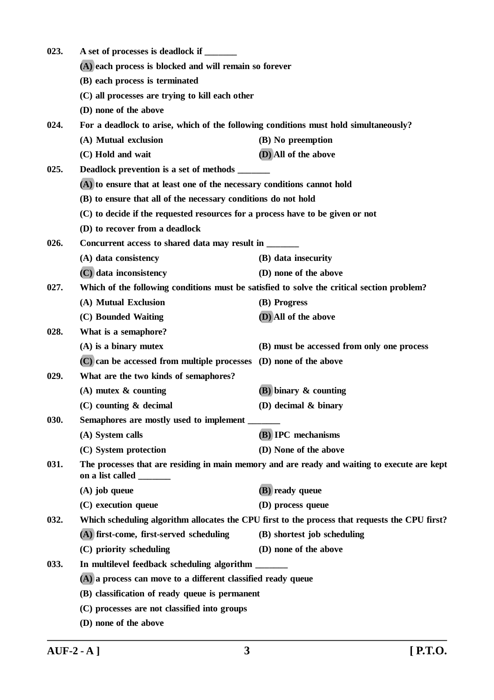| For a deadlock to arise, which of the following conditions must hold simultaneously?           |  |  |
|------------------------------------------------------------------------------------------------|--|--|
|                                                                                                |  |  |
|                                                                                                |  |  |
|                                                                                                |  |  |
|                                                                                                |  |  |
|                                                                                                |  |  |
|                                                                                                |  |  |
|                                                                                                |  |  |
|                                                                                                |  |  |
|                                                                                                |  |  |
| (B) to ensure that all of the necessary conditions do not hold                                 |  |  |
|                                                                                                |  |  |
|                                                                                                |  |  |
|                                                                                                |  |  |
|                                                                                                |  |  |
|                                                                                                |  |  |
| Which of the following conditions must be satisfied to solve the critical section problem?     |  |  |
|                                                                                                |  |  |
|                                                                                                |  |  |
|                                                                                                |  |  |
| (B) must be accessed from only one process                                                     |  |  |
|                                                                                                |  |  |
| What are the two kinds of semaphores?                                                          |  |  |
|                                                                                                |  |  |
|                                                                                                |  |  |
|                                                                                                |  |  |
|                                                                                                |  |  |
|                                                                                                |  |  |
| The processes that are residing in main memory and are ready and waiting to execute are kept   |  |  |
|                                                                                                |  |  |
|                                                                                                |  |  |
| Which scheduling algorithm allocates the CPU first to the process that requests the CPU first? |  |  |
|                                                                                                |  |  |
|                                                                                                |  |  |
|                                                                                                |  |  |
| (A) a process can move to a different classified ready queue                                   |  |  |
|                                                                                                |  |  |
|                                                                                                |  |  |
| (D) none of the above                                                                          |  |  |
|                                                                                                |  |  |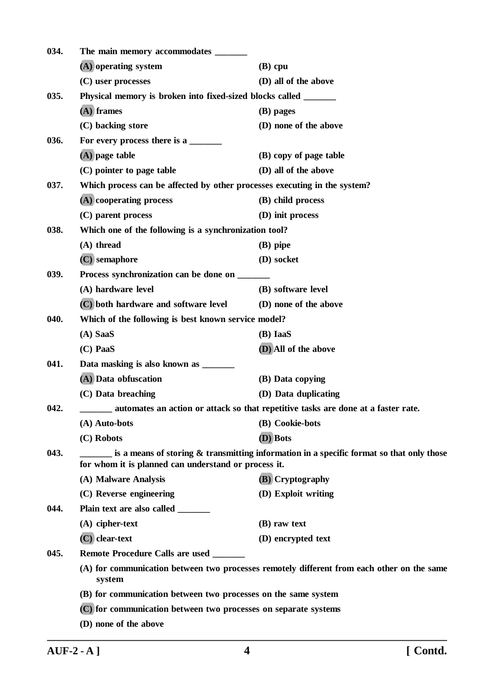| 034. | The main memory accommodates ______                                                                                                                 |                                                                                            |  |
|------|-----------------------------------------------------------------------------------------------------------------------------------------------------|--------------------------------------------------------------------------------------------|--|
|      | (A) operating system                                                                                                                                | $(B)$ cpu                                                                                  |  |
|      | (C) user processes                                                                                                                                  | (D) all of the above                                                                       |  |
| 035. | Physical memory is broken into fixed-sized blocks called _______                                                                                    |                                                                                            |  |
|      | $(A)$ frames                                                                                                                                        | (B) pages                                                                                  |  |
|      | (C) backing store                                                                                                                                   | (D) none of the above                                                                      |  |
| 036. | For every process there is a                                                                                                                        |                                                                                            |  |
|      | $(A)$ page table                                                                                                                                    | (B) copy of page table                                                                     |  |
|      | (C) pointer to page table                                                                                                                           | (D) all of the above                                                                       |  |
| 037. | Which process can be affected by other processes executing in the system?                                                                           |                                                                                            |  |
|      | (A) cooperating process                                                                                                                             | (B) child process                                                                          |  |
|      | (C) parent process                                                                                                                                  | (D) init process                                                                           |  |
| 038. | Which one of the following is a synchronization tool?                                                                                               |                                                                                            |  |
|      | (A) thread                                                                                                                                          | $(B)$ pipe                                                                                 |  |
|      | $(C)$ semaphore                                                                                                                                     | (D) socket                                                                                 |  |
| 039. | Process synchronization can be done on ____                                                                                                         |                                                                                            |  |
|      | (A) hardware level                                                                                                                                  | (B) software level                                                                         |  |
|      | (C) both hardware and software level                                                                                                                | (D) none of the above                                                                      |  |
| 040. | Which of the following is best known service model?                                                                                                 |                                                                                            |  |
|      | $(A)$ SaaS                                                                                                                                          | (B) IaaS                                                                                   |  |
|      | $(C)$ PaaS                                                                                                                                          | (D) All of the above                                                                       |  |
| 041. | Data masking is also known as _______                                                                                                               |                                                                                            |  |
|      | (A) Data obfuscation                                                                                                                                | (B) Data copying                                                                           |  |
|      | (C) Data breaching                                                                                                                                  | (D) Data duplicating                                                                       |  |
| 042. | automates an action or attack so that repetitive tasks are done at a faster rate.                                                                   |                                                                                            |  |
|      | (A) Auto-bots                                                                                                                                       | (B) Cookie-bots                                                                            |  |
|      | (C) Robots                                                                                                                                          | (D) Bots                                                                                   |  |
| 043. | is a means of storing $\&$ transmitting information in a specific format so that only those<br>for whom it is planned can understand or process it. |                                                                                            |  |
|      | (A) Malware Analysis                                                                                                                                | (B) Cryptography                                                                           |  |
|      | (C) Reverse engineering                                                                                                                             | (D) Exploit writing                                                                        |  |
| 044. | Plain text are also called ______                                                                                                                   |                                                                                            |  |
|      | $(A)$ cipher-text                                                                                                                                   | (B) raw text                                                                               |  |
|      | $(C)$ clear-text                                                                                                                                    | (D) encrypted text                                                                         |  |
| 045. | Remote Procedure Calls are used ______                                                                                                              |                                                                                            |  |
|      | system                                                                                                                                              | (A) for communication between two processes remotely different from each other on the same |  |
|      | (B) for communication between two processes on the same system                                                                                      |                                                                                            |  |
|      | (C) for communication between two processes on separate systems                                                                                     |                                                                                            |  |
|      | (D) none of the above                                                                                                                               |                                                                                            |  |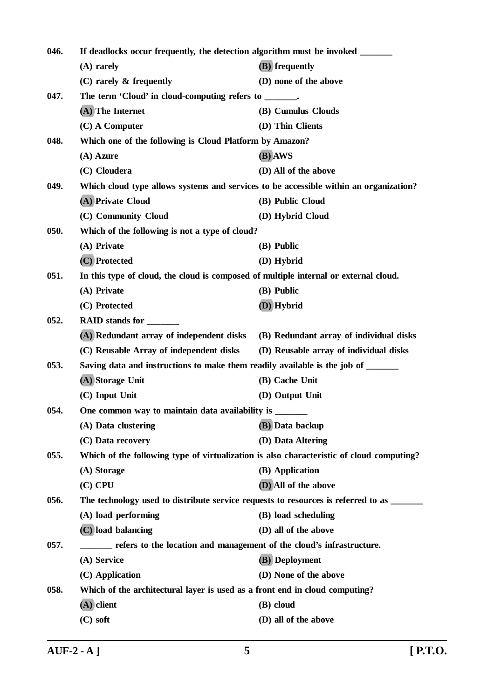| 046.<br>If deadlocks occur frequently, the detection algorithm must be invoked ______ |                                                                                          |                                         |  |
|---------------------------------------------------------------------------------------|------------------------------------------------------------------------------------------|-----------------------------------------|--|
|                                                                                       | $(A)$ rarely                                                                             | (B) frequently                          |  |
|                                                                                       | $(C)$ rarely $\&$ frequently                                                             | (D) none of the above                   |  |
| 047.                                                                                  | The term 'Cloud' in cloud-computing refers to ______.                                    |                                         |  |
|                                                                                       | (A) The Internet                                                                         | (B) Cumulus Clouds                      |  |
|                                                                                       | $(C)$ A Computer                                                                         | (D) Thin Clients                        |  |
| 048.                                                                                  | Which one of the following is Cloud Platform by Amazon?                                  |                                         |  |
|                                                                                       | $(A)$ Azure                                                                              | (B) AWS                                 |  |
|                                                                                       | (C) Cloudera                                                                             | (D) All of the above                    |  |
| 049.                                                                                  | Which cloud type allows systems and services to be accessible within an organization?    |                                         |  |
|                                                                                       | (A) Private Cloud                                                                        | (B) Public Cloud                        |  |
|                                                                                       | (C) Community Cloud                                                                      | (D) Hybrid Cloud                        |  |
| 050.                                                                                  | Which of the following is not a type of cloud?                                           |                                         |  |
|                                                                                       | (A) Private                                                                              | (B) Public                              |  |
|                                                                                       | (C) Protected                                                                            | (D) Hybrid                              |  |
| 051.                                                                                  | In this type of cloud, the cloud is composed of multiple internal or external cloud.     |                                         |  |
|                                                                                       | (A) Private                                                                              | (B) Public                              |  |
|                                                                                       | (C) Protected                                                                            | (D) Hybrid                              |  |
| 052.                                                                                  | RAID stands for _______                                                                  |                                         |  |
|                                                                                       | (A) Redundant array of independent disks                                                 | (B) Redundant array of individual disks |  |
|                                                                                       | (C) Reusable Array of independent disks                                                  | (D) Reusable array of individual disks  |  |
| 053.                                                                                  | Saving data and instructions to make them readily available is the job of ______         |                                         |  |
|                                                                                       | (A) Storage Unit                                                                         | (B) Cache Unit                          |  |
|                                                                                       | $(C)$ Input Unit                                                                         | (D) Output Unit                         |  |
| 054.                                                                                  | One common way to maintain data availability is _______                                  |                                         |  |
|                                                                                       | (A) Data clustering                                                                      | (B) Data backup                         |  |
|                                                                                       | (C) Data recovery                                                                        | (D) Data Altering                       |  |
| 055.                                                                                  | Which of the following type of virtualization is also characteristic of cloud computing? |                                         |  |
|                                                                                       | (A) Storage                                                                              | (B) Application                         |  |
|                                                                                       | $(C)$ CPU                                                                                | (D) All of the above                    |  |
| 056.                                                                                  | The technology used to distribute service requests to resources is referred to as        |                                         |  |
|                                                                                       | (A) load performing                                                                      | (B) load scheduling                     |  |
|                                                                                       | (C) load balancing                                                                       | (D) all of the above                    |  |
| 057.                                                                                  | refers to the location and management of the cloud's infrastructure.                     |                                         |  |
|                                                                                       | (A) Service                                                                              | (B) Deployment                          |  |
|                                                                                       | (C) Application                                                                          | (D) None of the above                   |  |
| 058.                                                                                  | Which of the architectural layer is used as a front end in cloud computing?              |                                         |  |
|                                                                                       | $(A)$ client                                                                             | (B) cloud                               |  |
|                                                                                       | $(C)$ soft                                                                               | (D) all of the above                    |  |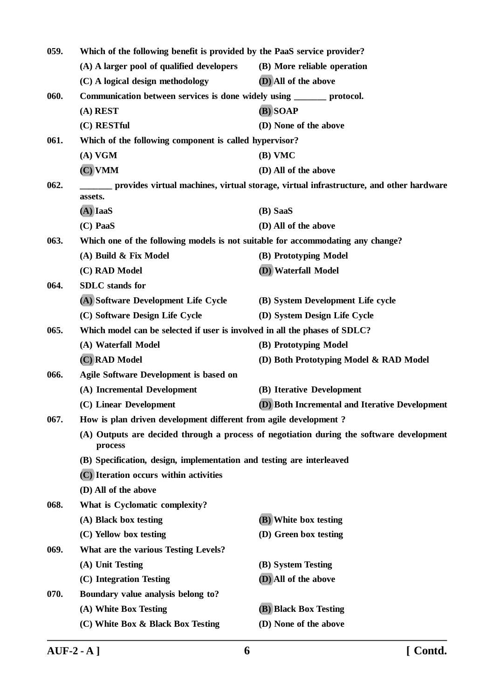| 059. | Which of the following benefit is provided by the PaaS service provider?                                |                                                                                          |
|------|---------------------------------------------------------------------------------------------------------|------------------------------------------------------------------------------------------|
|      | (A) A larger pool of qualified developers                                                               | (B) More reliable operation                                                              |
|      | (C) A logical design methodology                                                                        | (D) All of the above                                                                     |
| 060. | Communication between services is done widely using ______ protocol.                                    |                                                                                          |
|      | $(A)$ REST                                                                                              | (B) SOAP                                                                                 |
|      | (C) RESTful                                                                                             | (D) None of the above                                                                    |
| 061. | Which of the following component is called hypervisor?                                                  |                                                                                          |
|      | (A) VGM                                                                                                 | $(B)$ VMC                                                                                |
|      | $(C)$ VMM                                                                                               | (D) All of the above                                                                     |
| 062. | _____ provides virtual machines, virtual storage, virtual infrastructure, and other hardware<br>assets. |                                                                                          |
|      | $(A)$ IaaS                                                                                              | (B) SaaS                                                                                 |
|      | (C) PaaS                                                                                                | (D) All of the above                                                                     |
| 063. | Which one of the following models is not suitable for accommodating any change?                         |                                                                                          |
|      | (A) Build & Fix Model                                                                                   | (B) Prototyping Model                                                                    |
|      | (C) RAD Model                                                                                           | (D) Waterfall Model                                                                      |
| 064. | <b>SDLC</b> stands for                                                                                  |                                                                                          |
|      | (A) Software Development Life Cycle                                                                     | (B) System Development Life cycle                                                        |
|      | (C) Software Design Life Cycle                                                                          | (D) System Design Life Cycle                                                             |
| 065. | Which model can be selected if user is involved in all the phases of SDLC?                              |                                                                                          |
|      | (A) Waterfall Model                                                                                     | (B) Prototyping Model                                                                    |
|      | (C) RAD Model                                                                                           | (D) Both Prototyping Model & RAD Model                                                   |
| 066. | <b>Agile Software Development is based on</b>                                                           |                                                                                          |
|      | (A) Incremental Development                                                                             | (B) Iterative Development                                                                |
|      | (C) Linear Development                                                                                  | (D) Both Incremental and Iterative Development                                           |
| 067. | How is plan driven development different from agile development?                                        |                                                                                          |
|      | process                                                                                                 | (A) Outputs are decided through a process of negotiation during the software development |
|      | (B) Specification, design, implementation and testing are interleaved                                   |                                                                                          |
|      | (C) Iteration occurs within activities                                                                  |                                                                                          |
|      | (D) All of the above                                                                                    |                                                                                          |
| 068. | What is Cyclomatic complexity?                                                                          |                                                                                          |
|      | (A) Black box testing                                                                                   | (B) White box testing                                                                    |
|      | (C) Yellow box testing                                                                                  | (D) Green box testing                                                                    |
| 069. | What are the various Testing Levels?                                                                    |                                                                                          |
|      | (A) Unit Testing                                                                                        | (B) System Testing                                                                       |
|      | (C) Integration Testing                                                                                 | (D) All of the above                                                                     |
| 070. | Boundary value analysis belong to?                                                                      |                                                                                          |
|      | (A) White Box Testing                                                                                   | (B) Black Box Testing                                                                    |
|      | (C) White Box & Black Box Testing                                                                       | (D) None of the above                                                                    |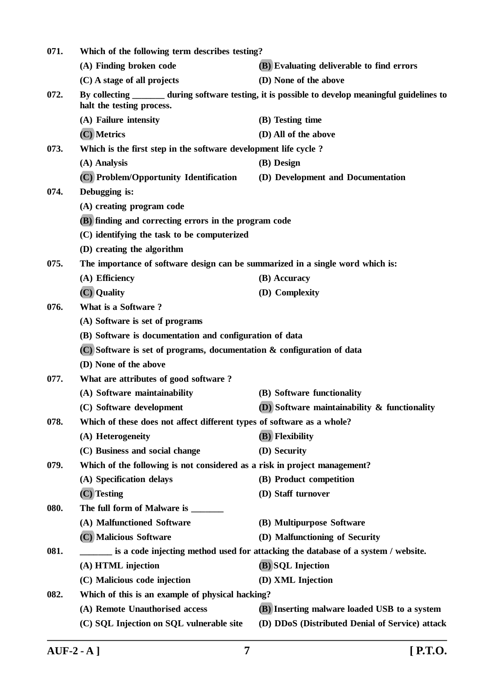| 071.<br>Which of the following term describes testing? |                                                                                   |                                                                                                   |  |
|--------------------------------------------------------|-----------------------------------------------------------------------------------|---------------------------------------------------------------------------------------------------|--|
|                                                        | (A) Finding broken code                                                           | (B) Evaluating deliverable to find errors                                                         |  |
|                                                        | (C) A stage of all projects                                                       | (D) None of the above                                                                             |  |
| 072.                                                   | halt the testing process.                                                         | By collecting _______ during software testing, it is possible to develop meaningful guidelines to |  |
|                                                        | (A) Failure intensity                                                             | (B) Testing time                                                                                  |  |
|                                                        | (C) Metrics                                                                       | (D) All of the above                                                                              |  |
| 073.                                                   | Which is the first step in the software development life cycle?                   |                                                                                                   |  |
|                                                        | (A) Analysis                                                                      | (B) Design                                                                                        |  |
|                                                        | (C) Problem/Opportunity Identification                                            | (D) Development and Documentation                                                                 |  |
| 074.                                                   | Debugging is:                                                                     |                                                                                                   |  |
|                                                        | (A) creating program code                                                         |                                                                                                   |  |
|                                                        | (B) finding and correcting errors in the program code                             |                                                                                                   |  |
|                                                        | (C) identifying the task to be computerized                                       |                                                                                                   |  |
|                                                        | (D) creating the algorithm                                                        |                                                                                                   |  |
| 075.                                                   | The importance of software design can be summarized in a single word which is:    |                                                                                                   |  |
|                                                        | (A) Efficiency                                                                    | (B) Accuracy                                                                                      |  |
|                                                        | (C) Quality                                                                       | (D) Complexity                                                                                    |  |
| 076.                                                   | What is a Software?                                                               |                                                                                                   |  |
|                                                        | (A) Software is set of programs                                                   |                                                                                                   |  |
|                                                        | (B) Software is documentation and configuration of data                           |                                                                                                   |  |
|                                                        | (C) Software is set of programs, documentation & configuration of data            |                                                                                                   |  |
|                                                        | (D) None of the above                                                             |                                                                                                   |  |
| 077.                                                   | What are attributes of good software?                                             |                                                                                                   |  |
|                                                        | (A) Software maintainability                                                      | (B) Software functionality                                                                        |  |
|                                                        | (C) Software development                                                          | $(D)$ Software maintainability & functionality                                                    |  |
| 078.                                                   | Which of these does not affect different types of software as a whole?            |                                                                                                   |  |
|                                                        | (A) Heterogeneity                                                                 | (B) Flexibility                                                                                   |  |
|                                                        | (C) Business and social change                                                    | (D) Security                                                                                      |  |
| 079.                                                   | Which of the following is not considered as a risk in project management?         |                                                                                                   |  |
|                                                        | (A) Specification delays                                                          | (B) Product competition                                                                           |  |
|                                                        | $(C)$ Testing                                                                     | (D) Staff turnover                                                                                |  |
| 080.                                                   | The full form of Malware is ______                                                |                                                                                                   |  |
|                                                        | (A) Malfunctioned Software                                                        | (B) Multipurpose Software                                                                         |  |
|                                                        | (C) Malicious Software                                                            | (D) Malfunctioning of Security                                                                    |  |
| 081.                                                   | is a code injecting method used for attacking the database of a system / website. |                                                                                                   |  |
|                                                        | (A) HTML injection                                                                | (B) SQL Injection                                                                                 |  |
|                                                        | (C) Malicious code injection                                                      | (D) XML Injection                                                                                 |  |
| 082.                                                   | Which of this is an example of physical hacking?                                  |                                                                                                   |  |
|                                                        | (A) Remote Unauthorised access                                                    | (B) Inserting malware loaded USB to a system                                                      |  |
|                                                        | (C) SQL Injection on SQL vulnerable site                                          | (D) DDoS (Distributed Denial of Service) attack                                                   |  |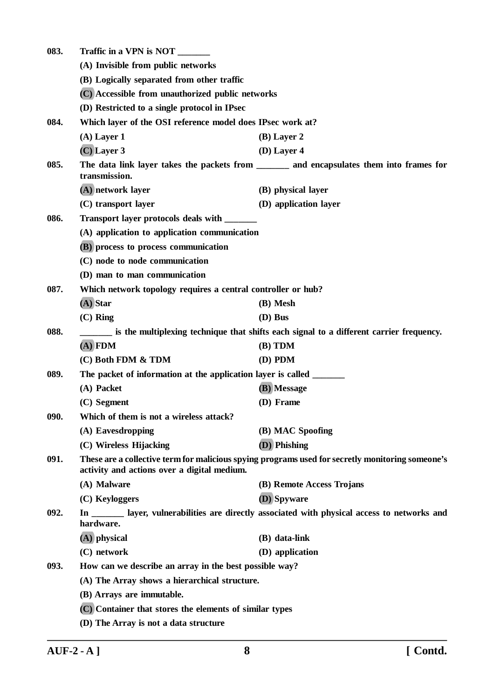| 083. | Traffic in a VPN is NOT                                              |                                                                                                  |
|------|----------------------------------------------------------------------|--------------------------------------------------------------------------------------------------|
|      | (A) Invisible from public networks                                   |                                                                                                  |
|      | (B) Logically separated from other traffic                           |                                                                                                  |
|      | (C) Accessible from unauthorized public networks                     |                                                                                                  |
|      | (D) Restricted to a single protocol in IPsec                         |                                                                                                  |
| 084. | Which layer of the OSI reference model does IPsec work at?           |                                                                                                  |
|      | $(A)$ Layer 1                                                        | $(B)$ Layer 2                                                                                    |
|      | $(C)$ Layer 3                                                        | $(D)$ Layer 4                                                                                    |
| 085. | transmission.                                                        | The data link layer takes the packets from _______ and encapsulates them into frames for         |
|      | (A) network layer                                                    | (B) physical layer                                                                               |
|      | (C) transport layer                                                  | (D) application layer                                                                            |
| 086. | Transport layer protocols deals with _______                         |                                                                                                  |
|      | (A) application to application communication                         |                                                                                                  |
|      | (B) process to process communication                                 |                                                                                                  |
|      | (C) node to node communication                                       |                                                                                                  |
|      | (D) man to man communication                                         |                                                                                                  |
| 087. | Which network topology requires a central controller or hub?         |                                                                                                  |
|      | $(A)$ Star                                                           | (B) Mesh                                                                                         |
|      | $(C)$ Ring                                                           | $(D)$ Bus                                                                                        |
| 088. |                                                                      | is the multiplexing technique that shifts each signal to a different carrier frequency.          |
|      | $\overline{A}$ FDM                                                   | $(B)$ TDM                                                                                        |
|      | (C) Both FDM & TDM                                                   | $(D)$ PDM                                                                                        |
| 089. | The packet of information at the application layer is called _______ |                                                                                                  |
|      | (A) Packet                                                           | (B) Message                                                                                      |
|      | (C) Segment                                                          | (D) Frame                                                                                        |
| 090. | Which of them is not a wireless attack?                              |                                                                                                  |
|      | (A) Eavesdropping                                                    | (B) MAC Spoofing                                                                                 |
|      | (C) Wireless Hijacking                                               | (D) Phishing                                                                                     |
| 091. | activity and actions over a digital medium.                          | These are a collective term for malicious spying programs used for secretly monitoring someone's |
|      | (A) Malware                                                          | (B) Remote Access Trojans                                                                        |
|      | (C) Keyloggers                                                       | (D) Spyware                                                                                      |
| 092. | hardware.                                                            | In _________ layer, vulnerabilities are directly associated with physical access to networks and |
|      | $(A)$ physical                                                       | (B) data-link                                                                                    |
|      | (C) network                                                          | (D) application                                                                                  |
| 093. | How can we describe an array in the best possible way?               |                                                                                                  |
|      | (A) The Array shows a hierarchical structure.                        |                                                                                                  |
|      | (B) Arrays are immutable.                                            |                                                                                                  |
|      | (C) Container that stores the elements of similar types              |                                                                                                  |
|      | (D) The Array is not a data structure                                |                                                                                                  |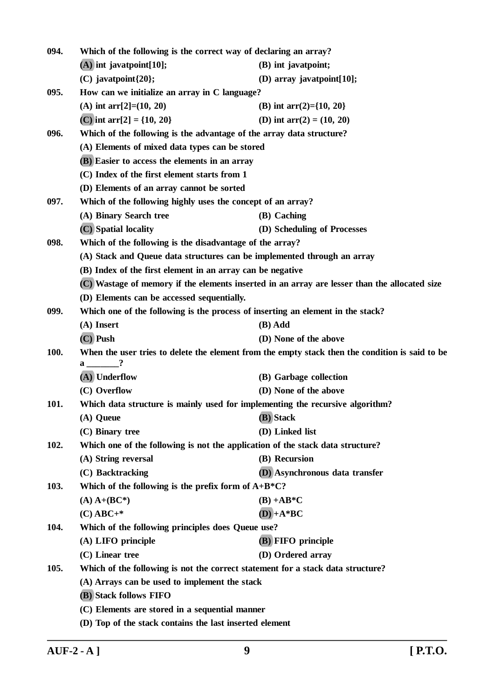| 094. | Which of the following is the correct way of declaring an array?                              |                                                                                                 |  |
|------|-----------------------------------------------------------------------------------------------|-------------------------------------------------------------------------------------------------|--|
|      | $(A)$ int javatpoint[10];                                                                     | (B) int javatpoint;                                                                             |  |
|      | $(C)$ javatpoint $\{20\};$                                                                    | (D) array javatpoint[10];                                                                       |  |
| 095. | How can we initialize an array in C language?                                                 |                                                                                                 |  |
|      | (A) int arr[2]= $(10, 20)$                                                                    | (B) int arr(2)={10, 20}                                                                         |  |
|      | (C) int arr[2] = $\{10, 20\}$                                                                 | (D) int $arr(2) = (10, 20)$                                                                     |  |
| 096. | Which of the following is the advantage of the array data structure?                          |                                                                                                 |  |
|      | (A) Elements of mixed data types can be stored                                                |                                                                                                 |  |
|      | (B) Easier to access the elements in an array                                                 |                                                                                                 |  |
|      | (C) Index of the first element starts from 1                                                  |                                                                                                 |  |
|      | (D) Elements of an array cannot be sorted                                                     |                                                                                                 |  |
| 097. | Which of the following highly uses the concept of an array?                                   |                                                                                                 |  |
|      | (A) Binary Search tree                                                                        | (B) Caching                                                                                     |  |
|      | (C) Spatial locality                                                                          | (D) Scheduling of Processes                                                                     |  |
| 098. | Which of the following is the disadvantage of the array?                                      |                                                                                                 |  |
|      | (A) Stack and Queue data structures can be implemented through an array                       |                                                                                                 |  |
|      | (B) Index of the first element in an array can be negative                                    |                                                                                                 |  |
|      | (C) Wastage of memory if the elements inserted in an array are lesser than the allocated size |                                                                                                 |  |
|      | (D) Elements can be accessed sequentially.                                                    |                                                                                                 |  |
| 099. | Which one of the following is the process of inserting an element in the stack?               |                                                                                                 |  |
|      | (A) Insert                                                                                    | (B) Add                                                                                         |  |
|      | (C) Push                                                                                      | (D) None of the above                                                                           |  |
| 100. | $a \underline{\hspace{1cm}} ?$                                                                | When the user tries to delete the element from the empty stack then the condition is said to be |  |
|      | $(A)$ Underflow                                                                               | (B) Garbage collection                                                                          |  |
|      | (C) Overflow                                                                                  | (D) None of the above                                                                           |  |
| 101. | Which data structure is mainly used for implementing the recursive algorithm?                 |                                                                                                 |  |
|      | (A) Queue                                                                                     | (B) Stack                                                                                       |  |
|      | (C) Binary tree                                                                               | (D) Linked list                                                                                 |  |
| 102. | Which one of the following is not the application of the stack data structure?                |                                                                                                 |  |
|      | (A) String reversal                                                                           | (B) Recursion                                                                                   |  |
|      | (C) Backtracking                                                                              | (D) Asynchronous data transfer                                                                  |  |
| 103. | Which of the following is the prefix form of $A+B*C$ ?                                        |                                                                                                 |  |
|      | $(A)$ A+ $(BC*)$                                                                              | $(B) + AB*C$                                                                                    |  |
|      | $(C)$ ABC+*                                                                                   | $(D) + A * BC$                                                                                  |  |
| 104. | Which of the following principles does Queue use?                                             |                                                                                                 |  |
|      | (A) LIFO principle                                                                            | (B) FIFO principle                                                                              |  |
|      | (C) Linear tree                                                                               | (D) Ordered array                                                                               |  |
| 105. | Which of the following is not the correct statement for a stack data structure?               |                                                                                                 |  |
|      | (A) Arrays can be used to implement the stack                                                 |                                                                                                 |  |
|      | (B) Stack follows FIFO                                                                        |                                                                                                 |  |
|      | (C) Elements are stored in a sequential manner                                                |                                                                                                 |  |
|      | (D) Top of the stack contains the last inserted element                                       |                                                                                                 |  |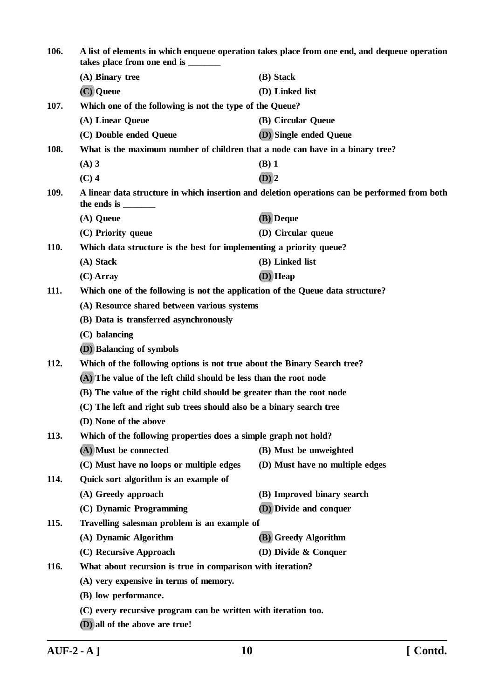| 106.        | A list of elements in which enqueue operation takes place from one end, and dequeue operation<br>takes place from one end is _______ |                                                                                               |  |
|-------------|--------------------------------------------------------------------------------------------------------------------------------------|-----------------------------------------------------------------------------------------------|--|
|             | (A) Binary tree                                                                                                                      | (B) Stack                                                                                     |  |
|             | (C) Queue                                                                                                                            | (D) Linked list                                                                               |  |
| 107.        | Which one of the following is not the type of the Queue?                                                                             |                                                                                               |  |
|             | (A) Linear Queue                                                                                                                     | (B) Circular Queue                                                                            |  |
|             | (C) Double ended Queue                                                                                                               | (D) Single ended Queue                                                                        |  |
| 108.        | What is the maximum number of children that a node can have in a binary tree?                                                        |                                                                                               |  |
|             | $(A)$ 3                                                                                                                              | $(B)$ 1                                                                                       |  |
|             | $(C)$ 4                                                                                                                              | $(D)$ 2                                                                                       |  |
| 109.        |                                                                                                                                      | A linear data structure in which insertion and deletion operations can be performed from both |  |
|             | (A) Queue                                                                                                                            | (B) Deque                                                                                     |  |
|             | (C) Priority queue                                                                                                                   | (D) Circular queue                                                                            |  |
| <b>110.</b> | Which data structure is the best for implementing a priority queue?                                                                  |                                                                                               |  |
|             | (A) Stack                                                                                                                            | (B) Linked list                                                                               |  |
|             | $(C)$ Array                                                                                                                          | (D) Heap                                                                                      |  |
| 111.        | Which one of the following is not the application of the Queue data structure?                                                       |                                                                                               |  |
|             | (A) Resource shared between various systems                                                                                          |                                                                                               |  |
|             | (B) Data is transferred asynchronously                                                                                               |                                                                                               |  |
|             | (C) balancing                                                                                                                        |                                                                                               |  |
|             | <b>(D)</b> Balancing of symbols                                                                                                      |                                                                                               |  |
| 112.        | Which of the following options is not true about the Binary Search tree?                                                             |                                                                                               |  |
|             | (A) The value of the left child should be less than the root node                                                                    |                                                                                               |  |
|             | (B) The value of the right child should be greater than the root node                                                                |                                                                                               |  |
|             | (C) The left and right sub trees should also be a binary search tree                                                                 |                                                                                               |  |
|             | (D) None of the above                                                                                                                |                                                                                               |  |
| 113.        | Which of the following properties does a simple graph not hold?                                                                      |                                                                                               |  |
|             | (A) Must be connected                                                                                                                | (B) Must be unweighted                                                                        |  |
|             | (C) Must have no loops or multiple edges                                                                                             | (D) Must have no multiple edges                                                               |  |
| 114.        | Quick sort algorithm is an example of                                                                                                |                                                                                               |  |
|             | (A) Greedy approach                                                                                                                  | (B) Improved binary search                                                                    |  |
|             | (C) Dynamic Programming                                                                                                              | (D) Divide and conquer                                                                        |  |
| 115.        | Travelling salesman problem is an example of                                                                                         |                                                                                               |  |
|             | (A) Dynamic Algorithm                                                                                                                | (B) Greedy Algorithm                                                                          |  |
|             | (C) Recursive Approach                                                                                                               | (D) Divide $\&$ Conquer                                                                       |  |
| 116.        | What about recursion is true in comparison with iteration?                                                                           |                                                                                               |  |
|             | (A) very expensive in terms of memory.                                                                                               |                                                                                               |  |
|             | (B) low performance.                                                                                                                 |                                                                                               |  |
|             | (C) every recursive program can be written with iteration too.                                                                       |                                                                                               |  |
|             | (D) all of the above are true!                                                                                                       |                                                                                               |  |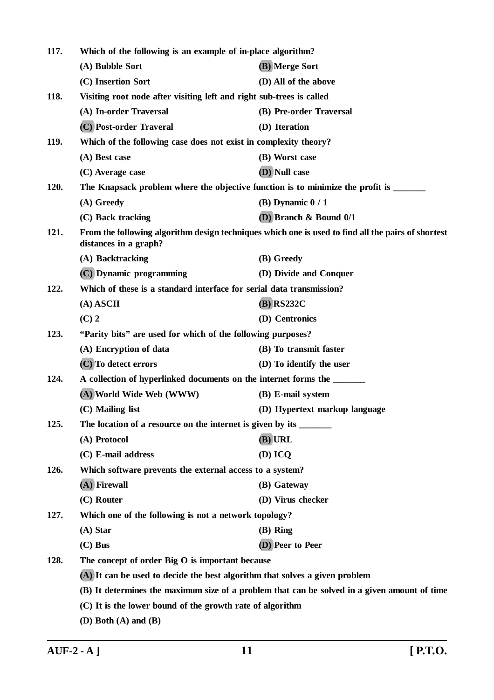| 117. | Which of the following is an example of in-place algorithm?                 |                                                                                                    |
|------|-----------------------------------------------------------------------------|----------------------------------------------------------------------------------------------------|
|      | (A) Bubble Sort                                                             | (B) Merge Sort                                                                                     |
|      | (C) Insertion Sort                                                          | (D) All of the above                                                                               |
| 118. | Visiting root node after visiting left and right sub-trees is called        |                                                                                                    |
|      | (A) In-order Traversal                                                      | (B) Pre-order Traversal                                                                            |
|      | (C) Post-order Traveral                                                     | (D) Iteration                                                                                      |
| 119. | Which of the following case does not exist in complexity theory?            |                                                                                                    |
|      | (A) Best case                                                               | (B) Worst case                                                                                     |
|      | (C) Average case                                                            | (D) Null case                                                                                      |
| 120. |                                                                             | The Knapsack problem where the objective function is to minimize the profit is _______             |
|      | (A) Greedy                                                                  | (B) Dynamic $0/1$                                                                                  |
|      | (C) Back tracking                                                           | (D) Branch & Bound 0/1                                                                             |
| 121. | distances in a graph?                                                       | From the following algorithm design techniques which one is used to find all the pairs of shortest |
|      | (A) Backtracking                                                            | (B) Greedy                                                                                         |
|      | (C) Dynamic programming                                                     | (D) Divide and Conquer                                                                             |
| 122. | Which of these is a standard interface for serial data transmission?        |                                                                                                    |
|      | $(A)$ ASCII                                                                 | $(B)$ RS232C                                                                                       |
|      | $(C)$ 2                                                                     | (D) Centronics                                                                                     |
| 123. | "Parity bits" are used for which of the following purposes?                 |                                                                                                    |
|      | (A) Encryption of data                                                      | (B) To transmit faster                                                                             |
|      | (C) To detect errors                                                        | (D) To identify the user                                                                           |
| 124. | A collection of hyperlinked documents on the internet forms the             |                                                                                                    |
|      | (A) World Wide Web (WWW)                                                    | (B) E-mail system                                                                                  |
|      | $(C)$ Mailing list                                                          | (D) Hypertext markup language                                                                      |
| 125. |                                                                             |                                                                                                    |
|      | (A) Protocol                                                                | (B) URL                                                                                            |
|      | (C) E-mail address                                                          | $(D)$ ICQ                                                                                          |
| 126. | Which software prevents the external access to a system?                    |                                                                                                    |
|      | (A) Firewall                                                                | (B) Gateway                                                                                        |
|      | (C) Router                                                                  | (D) Virus checker                                                                                  |
| 127. | Which one of the following is not a network topology?                       |                                                                                                    |
|      | $(A)$ Star                                                                  | (B) Ring                                                                                           |
|      | $(C)$ Bus                                                                   | (D) Peer to Peer                                                                                   |
| 128. | The concept of order Big O is important because                             |                                                                                                    |
|      | (A) It can be used to decide the best algorithm that solves a given problem |                                                                                                    |
|      |                                                                             | (B) It determines the maximum size of a problem that can be solved in a given amount of time       |
|      | (C) It is the lower bound of the growth rate of algorithm                   |                                                                                                    |
|      | (D) Both $(A)$ and $(B)$                                                    |                                                                                                    |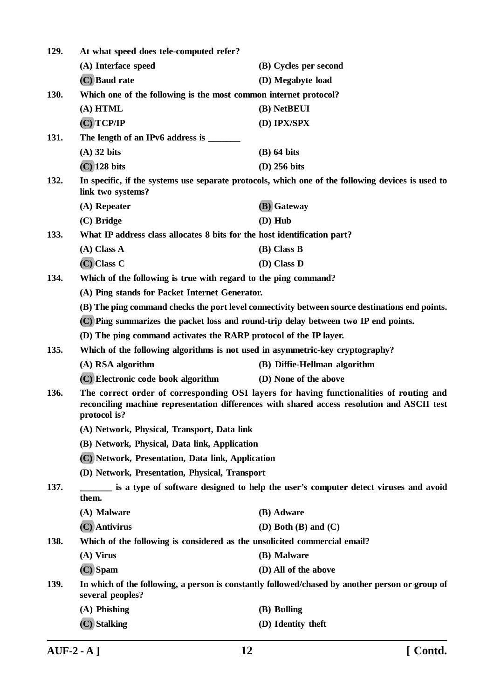| 129. | At what speed does tele-computed refer?                                                                                                                                                                |                                                                                                   |  |
|------|--------------------------------------------------------------------------------------------------------------------------------------------------------------------------------------------------------|---------------------------------------------------------------------------------------------------|--|
|      | (A) Interface speed                                                                                                                                                                                    | (B) Cycles per second                                                                             |  |
|      | (C) Baud rate                                                                                                                                                                                          | (D) Megabyte load                                                                                 |  |
| 130. | Which one of the following is the most common internet protocol?                                                                                                                                       |                                                                                                   |  |
|      | $(A)$ HTML                                                                                                                                                                                             | (B) NetBEUI                                                                                       |  |
|      | $(C)$ TCP/IP                                                                                                                                                                                           | (D) IPX/SPX                                                                                       |  |
| 131. |                                                                                                                                                                                                        |                                                                                                   |  |
|      | $(A)$ 32 bits                                                                                                                                                                                          | $(B)$ 64 bits                                                                                     |  |
|      | $(C)$ 128 bits                                                                                                                                                                                         | $(D)$ 256 bits                                                                                    |  |
| 132. | link two systems?                                                                                                                                                                                      | In specific, if the systems use separate protocols, which one of the following devices is used to |  |
|      | (A) Repeater                                                                                                                                                                                           | (B) Gateway                                                                                       |  |
|      | $(C)$ Bridge                                                                                                                                                                                           | (D) Hub                                                                                           |  |
| 133. | What IP address class allocates 8 bits for the host identification part?                                                                                                                               |                                                                                                   |  |
|      | $(A)$ Class A                                                                                                                                                                                          | (B) Class B                                                                                       |  |
|      | $(C)$ Class $C$                                                                                                                                                                                        | (D) Class D                                                                                       |  |
| 134. | Which of the following is true with regard to the ping command?                                                                                                                                        |                                                                                                   |  |
|      | (A) Ping stands for Packet Internet Generator.                                                                                                                                                         |                                                                                                   |  |
|      |                                                                                                                                                                                                        | (B) The ping command checks the port level connectivity between source destinations end points.   |  |
|      | (C) Ping summarizes the packet loss and round-trip delay between two IP end points.                                                                                                                    |                                                                                                   |  |
|      | (D) The ping command activates the RARP protocol of the IP layer.                                                                                                                                      |                                                                                                   |  |
| 135. | Which of the following algorithms is not used in asymmetric-key cryptography?                                                                                                                          |                                                                                                   |  |
|      | (A) RSA algorithm                                                                                                                                                                                      | (B) Diffie-Hellman algorithm                                                                      |  |
|      | (C) Electronic code book algorithm                                                                                                                                                                     | (D) None of the above                                                                             |  |
| 136. | The correct order of corresponding OSI layers for having functionalities of routing and<br>reconciling machine representation differences with shared access resolution and ASCII test<br>protocol is? |                                                                                                   |  |
|      | (A) Network, Physical, Transport, Data link                                                                                                                                                            |                                                                                                   |  |
|      | (B) Network, Physical, Data link, Application                                                                                                                                                          |                                                                                                   |  |
|      | (C) Network, Presentation, Data link, Application                                                                                                                                                      |                                                                                                   |  |
|      | (D) Network, Presentation, Physical, Transport                                                                                                                                                         |                                                                                                   |  |
| 137. | is a type of software designed to help the user's computer detect viruses and avoid<br>them.                                                                                                           |                                                                                                   |  |
|      | (A) Malware                                                                                                                                                                                            | (B) Adware                                                                                        |  |
|      | (C) Antivirus                                                                                                                                                                                          | (D) Both $(B)$ and $(C)$                                                                          |  |
| 138. | Which of the following is considered as the unsolicited commercial email?                                                                                                                              |                                                                                                   |  |
|      | $(A)$ Virus                                                                                                                                                                                            | (B) Malware                                                                                       |  |
|      | (C) Spam                                                                                                                                                                                               | (D) All of the above                                                                              |  |
| 139. | In which of the following, a person is constantly followed/chased by another person or group of<br>several peoples?                                                                                    |                                                                                                   |  |
|      | $(A)$ Phishing                                                                                                                                                                                         | (B) Bulling                                                                                       |  |
|      | (C) Stalking                                                                                                                                                                                           | (D) Identity theft                                                                                |  |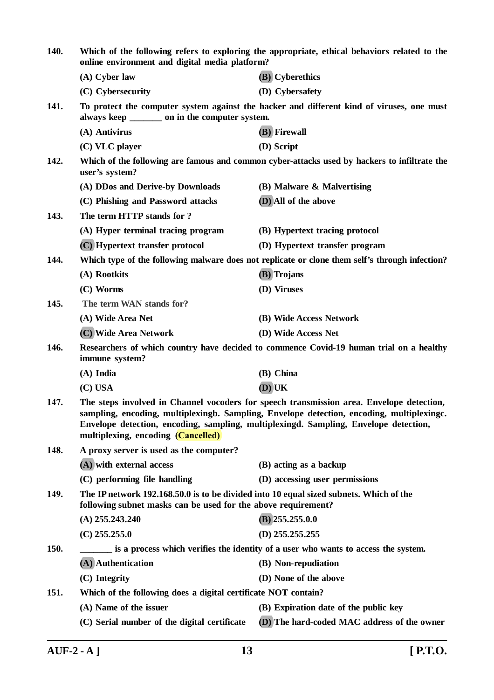| 140.        | Which of the following refers to exploring the appropriate, ethical behaviors related to the<br>online environment and digital media platform?                                                                                                                                                                      |                                                                                                |  |
|-------------|---------------------------------------------------------------------------------------------------------------------------------------------------------------------------------------------------------------------------------------------------------------------------------------------------------------------|------------------------------------------------------------------------------------------------|--|
|             | $(A)$ Cyber law                                                                                                                                                                                                                                                                                                     | (B) Cyberethics                                                                                |  |
|             | (C) Cybersecurity                                                                                                                                                                                                                                                                                                   | (D) Cybersafety                                                                                |  |
| 141.        | always keep _________ on in the computer system.                                                                                                                                                                                                                                                                    | To protect the computer system against the hacker and different kind of viruses, one must      |  |
|             | (A) Antivirus                                                                                                                                                                                                                                                                                                       | (B) Firewall                                                                                   |  |
|             | (C) VLC player                                                                                                                                                                                                                                                                                                      | (D) Script                                                                                     |  |
| 142.        | Which of the following are famous and common cyber-attacks used by hackers to infiltrate the<br>user's system?                                                                                                                                                                                                      |                                                                                                |  |
|             | (A) DDos and Derive-by Downloads                                                                                                                                                                                                                                                                                    | (B) Malware & Malvertising                                                                     |  |
|             | (C) Phishing and Password attacks                                                                                                                                                                                                                                                                                   | (D) All of the above                                                                           |  |
| 143.        | The term HTTP stands for ?                                                                                                                                                                                                                                                                                          |                                                                                                |  |
|             | (A) Hyper terminal tracing program                                                                                                                                                                                                                                                                                  | (B) Hypertext tracing protocol                                                                 |  |
|             | (C) Hypertext transfer protocol                                                                                                                                                                                                                                                                                     | (D) Hypertext transfer program                                                                 |  |
| 144.        |                                                                                                                                                                                                                                                                                                                     | Which type of the following malware does not replicate or clone them self's through infection? |  |
|             | (A) Rootkits                                                                                                                                                                                                                                                                                                        | (B) Trojans                                                                                    |  |
|             | (C) Worms                                                                                                                                                                                                                                                                                                           | (D) Viruses                                                                                    |  |
| 145.        | The term WAN stands for?                                                                                                                                                                                                                                                                                            |                                                                                                |  |
|             | (A) Wide Area Net                                                                                                                                                                                                                                                                                                   | (B) Wide Access Network                                                                        |  |
|             | (C) Wide Area Network                                                                                                                                                                                                                                                                                               | (D) Wide Access Net                                                                            |  |
| 146.        | immune system?                                                                                                                                                                                                                                                                                                      | Researchers of which country have decided to commence Covid-19 human trial on a healthy        |  |
|             | $(A)$ India                                                                                                                                                                                                                                                                                                         | (B) China                                                                                      |  |
|             | $(C)$ USA                                                                                                                                                                                                                                                                                                           | $(D)$ UK                                                                                       |  |
| 147.        | The steps involved in Channel vocoders for speech transmission area. Envelope detection,<br>sampling, encoding, multiplexingb. Sampling, Envelope detection, encoding, multiplexingc.<br>Envelope detection, encoding, sampling, multiplexingd. Sampling, Envelope detection,<br>multiplexing, encoding (Cancelled) |                                                                                                |  |
| 148.        | A proxy server is used as the computer?                                                                                                                                                                                                                                                                             |                                                                                                |  |
|             | (A) with external access                                                                                                                                                                                                                                                                                            | (B) acting as a backup                                                                         |  |
|             | (C) performing file handling                                                                                                                                                                                                                                                                                        | (D) accessing user permissions                                                                 |  |
| 149.        | The IP network 192.168.50.0 is to be divided into 10 equal sized subnets. Which of the<br>following subnet masks can be used for the above requirement?                                                                                                                                                             |                                                                                                |  |
|             | $(A)$ 255.243.240                                                                                                                                                                                                                                                                                                   | $(B)$ 255.255.0.0                                                                              |  |
|             | $(C)$ 255.255.0                                                                                                                                                                                                                                                                                                     | $(D)$ 255.255.255                                                                              |  |
| <b>150.</b> |                                                                                                                                                                                                                                                                                                                     | is a process which verifies the identity of a user who wants to access the system.             |  |
|             | (A) Authentication                                                                                                                                                                                                                                                                                                  | (B) Non-repudiation                                                                            |  |
|             | (C) Integrity                                                                                                                                                                                                                                                                                                       | (D) None of the above                                                                          |  |
| 151.        | Which of the following does a digital certificate NOT contain?                                                                                                                                                                                                                                                      |                                                                                                |  |
|             | (A) Name of the issuer                                                                                                                                                                                                                                                                                              | (B) Expiration date of the public key                                                          |  |
|             | (C) Serial number of the digital certificate                                                                                                                                                                                                                                                                        | (D) The hard-coded MAC address of the owner                                                    |  |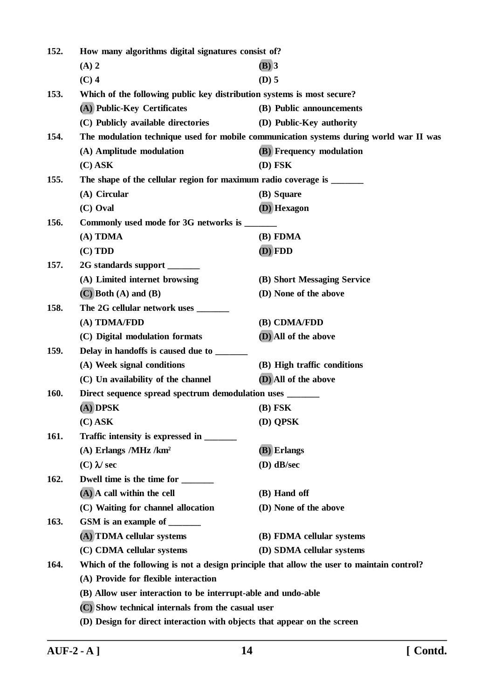| 152.        | How many algorithms digital signatures consist of?                                        |                                                                                        |  |
|-------------|-------------------------------------------------------------------------------------------|----------------------------------------------------------------------------------------|--|
|             | $(A)$ 2                                                                                   | $(B)$ 3                                                                                |  |
|             | $(C)$ 4                                                                                   | $(D)$ 5                                                                                |  |
| 153.        | Which of the following public key distribution systems is most secure?                    |                                                                                        |  |
|             | (A) Public-Key Certificates                                                               | (B) Public announcements                                                               |  |
|             | (C) Publicly available directories                                                        | (D) Public-Key authority                                                               |  |
| 154.        |                                                                                           | The modulation technique used for mobile communication systems during world war II was |  |
|             | (A) Amplitude modulation                                                                  | <b>(B)</b> Frequency modulation                                                        |  |
|             | $(C)$ ASK                                                                                 | $(D)$ FSK                                                                              |  |
| 155.        | The shape of the cellular region for maximum radio coverage is ______                     |                                                                                        |  |
|             | (A) Circular                                                                              | (B) Square                                                                             |  |
|             | (C) Oval                                                                                  | (D) Hexagon                                                                            |  |
| 156.        | Commonly used mode for 3G networks is ______                                              |                                                                                        |  |
|             | (A) TDMA                                                                                  | (B) FDMA                                                                               |  |
|             | (C) TDD                                                                                   | (D) FDD                                                                                |  |
| 157.        | 2G standards support ______                                                               |                                                                                        |  |
|             | (A) Limited internet browsing                                                             | (B) Short Messaging Service                                                            |  |
|             | $(C)$ Both $(A)$ and $(B)$                                                                | (D) None of the above                                                                  |  |
| 158.        | The 2G cellular network uses _______                                                      |                                                                                        |  |
|             | (A) TDMA/FDD                                                                              | (B) CDMA/FDD                                                                           |  |
|             | (C) Digital modulation formats                                                            | (D) All of the above                                                                   |  |
| 159.        | Delay in handoffs is caused due to _______                                                |                                                                                        |  |
|             | (A) Week signal conditions                                                                | (B) High traffic conditions                                                            |  |
|             | (C) Un availability of the channel                                                        | (D) All of the above                                                                   |  |
| 160.        | Direct sequence spread spectrum demodulation uses _______                                 |                                                                                        |  |
|             | (A) DPSK                                                                                  | $(B)$ FSK                                                                              |  |
|             | $(C)$ ASK                                                                                 | (D) QPSK                                                                               |  |
| <b>161.</b> |                                                                                           |                                                                                        |  |
|             | $(A)$ Erlangs /MHz /km <sup>2</sup>                                                       | (B) Erlangs                                                                            |  |
|             | $(C)$ $\lambda$ sec                                                                       | $(D)$ dB/sec                                                                           |  |
| 162.        | Dwell time is the time for _____                                                          |                                                                                        |  |
|             | $(A)$ A call within the cell                                                              | (B) Hand off                                                                           |  |
|             | (C) Waiting for channel allocation                                                        | (D) None of the above                                                                  |  |
| 163.        | GSM is an example of _______                                                              |                                                                                        |  |
|             | (A) TDMA cellular systems                                                                 | (B) FDMA cellular systems                                                              |  |
|             | (C) CDMA cellular systems                                                                 | (D) SDMA cellular systems                                                              |  |
| 164.        | Which of the following is not a design principle that allow the user to maintain control? |                                                                                        |  |
|             | (A) Provide for flexible interaction                                                      |                                                                                        |  |
|             | (B) Allow user interaction to be interrupt-able and undo-able                             |                                                                                        |  |
|             | (C) Show technical internals from the casual user                                         |                                                                                        |  |
|             | (D) Design for direct interaction with objects that appear on the screen                  |                                                                                        |  |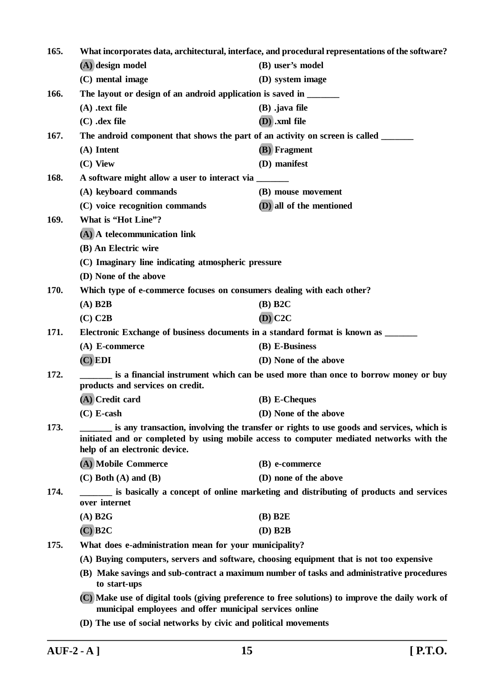| 165. | What incorporates data, architectural, interface, and procedural representations of the software?                                                                                                                     |                                                                                      |  |
|------|-----------------------------------------------------------------------------------------------------------------------------------------------------------------------------------------------------------------------|--------------------------------------------------------------------------------------|--|
|      | (A) design model                                                                                                                                                                                                      | (B) user's model                                                                     |  |
|      | (C) mental image                                                                                                                                                                                                      | (D) system image                                                                     |  |
| 166. |                                                                                                                                                                                                                       | The layout or design of an android application is saved in ______                    |  |
|      | $(A)$ .text file                                                                                                                                                                                                      | $(B)$ .java file                                                                     |  |
|      | $(C)$ .dex file                                                                                                                                                                                                       | $(D)$ .xml file                                                                      |  |
| 167. |                                                                                                                                                                                                                       | The android component that shows the part of an activity on screen is called ______  |  |
|      | (A) Intent                                                                                                                                                                                                            | (B) Fragment                                                                         |  |
|      | (C) View                                                                                                                                                                                                              | (D) manifest                                                                         |  |
| 168. | A software might allow a user to interact via _______                                                                                                                                                                 |                                                                                      |  |
|      | (A) keyboard commands                                                                                                                                                                                                 | (B) mouse movement                                                                   |  |
|      | (C) voice recognition commands                                                                                                                                                                                        | (D) all of the mentioned                                                             |  |
| 169. | What is "Hot Line"?                                                                                                                                                                                                   |                                                                                      |  |
|      | (A) A telecommunication link                                                                                                                                                                                          |                                                                                      |  |
|      | (B) An Electric wire                                                                                                                                                                                                  |                                                                                      |  |
|      | (C) Imaginary line indicating atmospheric pressure                                                                                                                                                                    |                                                                                      |  |
|      | (D) None of the above                                                                                                                                                                                                 |                                                                                      |  |
| 170. | Which type of e-commerce focuses on consumers dealing with each other?                                                                                                                                                |                                                                                      |  |
|      | $(A)$ B2B                                                                                                                                                                                                             | $(B)$ B2C                                                                            |  |
|      | $(C)$ C <sub>2</sub> B                                                                                                                                                                                                | $(D)$ C <sub>2</sub> C                                                               |  |
| 171. |                                                                                                                                                                                                                       | Electronic Exchange of business documents in a standard format is known as ______    |  |
|      | $(A)$ E-commerce                                                                                                                                                                                                      | (B) E-Business                                                                       |  |
|      | $(C)$ EDI                                                                                                                                                                                                             | (D) None of the above                                                                |  |
| 172. | products and services on credit.                                                                                                                                                                                      | is a financial instrument which can be used more than once to borrow money or buy    |  |
|      | (A) Credit card                                                                                                                                                                                                       | (B) E-Cheques                                                                        |  |
|      | $(C)$ E-cash                                                                                                                                                                                                          | (D) None of the above                                                                |  |
| 173. | is any transaction, involving the transfer or rights to use goods and services, which is<br>initiated and or completed by using mobile access to computer mediated networks with the<br>help of an electronic device. |                                                                                      |  |
|      | (A) Mobile Commerce                                                                                                                                                                                                   | (B) e-commerce                                                                       |  |
|      | $(C)$ Both $(A)$ and $(B)$                                                                                                                                                                                            | (D) none of the above                                                                |  |
| 174. | over internet                                                                                                                                                                                                         | is basically a concept of online marketing and distributing of products and services |  |
|      | $(A)$ B <sub>2G</sub>                                                                                                                                                                                                 | $(B)$ B2 $E$                                                                         |  |
|      | $(C)$ B <sub>2C</sub>                                                                                                                                                                                                 | $(D)$ B2B                                                                            |  |
| 175. | What does e-administration mean for your municipality?                                                                                                                                                                |                                                                                      |  |
|      | (A) Buying computers, servers and software, choosing equipment that is not too expensive                                                                                                                              |                                                                                      |  |
|      | (B) Make savings and sub-contract a maximum number of tasks and administrative procedures<br>to start-ups                                                                                                             |                                                                                      |  |
|      | (C) Make use of digital tools (giving preference to free solutions) to improve the daily work of<br>municipal employees and offer municipal services online                                                           |                                                                                      |  |
|      | (D) The use of social networks by civic and political movements                                                                                                                                                       |                                                                                      |  |
|      |                                                                                                                                                                                                                       |                                                                                      |  |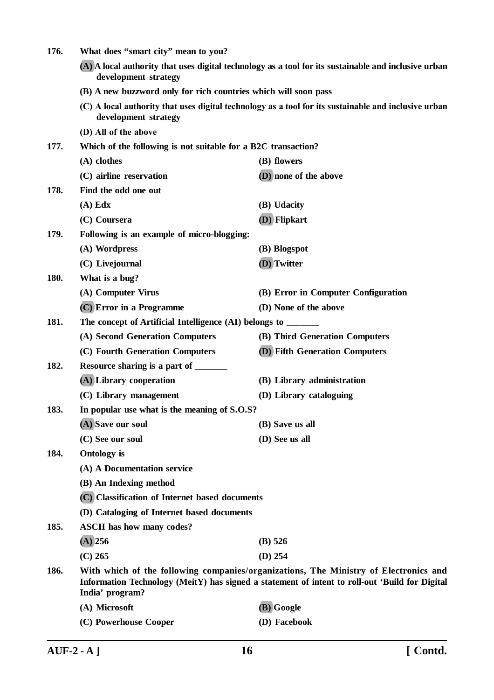| 176.                                                                                                                         | What does "smart city" mean to you?                                                                                                                                                                       |                                                                                                      |
|------------------------------------------------------------------------------------------------------------------------------|-----------------------------------------------------------------------------------------------------------------------------------------------------------------------------------------------------------|------------------------------------------------------------------------------------------------------|
| (A) A local authority that uses digital technology as a tool for its sustainable and inclusive urban<br>development strategy |                                                                                                                                                                                                           |                                                                                                      |
|                                                                                                                              | (B) A new buzzword only for rich countries which will soon pass                                                                                                                                           |                                                                                                      |
|                                                                                                                              | development strategy                                                                                                                                                                                      | (C) A local authority that uses digital technology as a tool for its sustainable and inclusive urban |
|                                                                                                                              | (D) All of the above                                                                                                                                                                                      |                                                                                                      |
| 177.                                                                                                                         | Which of the following is not suitable for a B2C transaction?                                                                                                                                             |                                                                                                      |
|                                                                                                                              | (A) clothes                                                                                                                                                                                               | (B) flowers                                                                                          |
|                                                                                                                              | (C) airline reservation                                                                                                                                                                                   | (D) none of the above                                                                                |
| 178.                                                                                                                         | Find the odd one out                                                                                                                                                                                      |                                                                                                      |
|                                                                                                                              | $(A)$ Edx                                                                                                                                                                                                 | (B) Udacity                                                                                          |
|                                                                                                                              | (C) Coursera                                                                                                                                                                                              | (D) Flipkart                                                                                         |
| 179.                                                                                                                         | Following is an example of micro-blogging:                                                                                                                                                                |                                                                                                      |
|                                                                                                                              | (A) Wordpress                                                                                                                                                                                             | (B) Blogspot                                                                                         |
|                                                                                                                              | (C) Livejournal                                                                                                                                                                                           | (D) Twitter                                                                                          |
| 180.                                                                                                                         | What is a bug?                                                                                                                                                                                            |                                                                                                      |
|                                                                                                                              | (A) Computer Virus                                                                                                                                                                                        | (B) Error in Computer Configuration                                                                  |
|                                                                                                                              | (C) Error in a Programme                                                                                                                                                                                  | (D) None of the above                                                                                |
| 181.                                                                                                                         | The concept of Artificial Intelligence (AI) belongs to ______                                                                                                                                             |                                                                                                      |
|                                                                                                                              | (A) Second Generation Computers                                                                                                                                                                           | (B) Third Generation Computers                                                                       |
|                                                                                                                              | (C) Fourth Generation Computers                                                                                                                                                                           | <b>(D)</b> Fifth Generation Computers                                                                |
| 182.                                                                                                                         | Resource sharing is a part of ______                                                                                                                                                                      |                                                                                                      |
|                                                                                                                              | (A) Library cooperation                                                                                                                                                                                   | (B) Library administration                                                                           |
|                                                                                                                              | (C) Library management                                                                                                                                                                                    | (D) Library cataloguing                                                                              |
| 183.                                                                                                                         | In popular use what is the meaning of S.O.S?                                                                                                                                                              |                                                                                                      |
|                                                                                                                              | (A) Save our soul                                                                                                                                                                                         | (B) Save us all                                                                                      |
|                                                                                                                              | (C) See our soul                                                                                                                                                                                          | (D) See us all                                                                                       |
| 184.                                                                                                                         | <b>Ontology</b> is                                                                                                                                                                                        |                                                                                                      |
|                                                                                                                              | (A) A Documentation service                                                                                                                                                                               |                                                                                                      |
|                                                                                                                              | (B) An Indexing method                                                                                                                                                                                    |                                                                                                      |
|                                                                                                                              | (C) Classification of Internet based documents                                                                                                                                                            |                                                                                                      |
|                                                                                                                              | (D) Cataloging of Internet based documents                                                                                                                                                                |                                                                                                      |
| 185.                                                                                                                         | <b>ASCII</b> has how many codes?                                                                                                                                                                          |                                                                                                      |
|                                                                                                                              | $(A)$ 256                                                                                                                                                                                                 | $(B)$ 526                                                                                            |
|                                                                                                                              | $(C)$ 265                                                                                                                                                                                                 | $(D)$ 254                                                                                            |
| 186.                                                                                                                         | With which of the following companies/organizations, The Ministry of Electronics and<br>Information Technology (MeitY) has signed a statement of intent to roll-out 'Build for Digital<br>India' program? |                                                                                                      |
|                                                                                                                              | (A) Microsoft                                                                                                                                                                                             | (B) Google                                                                                           |
|                                                                                                                              | (C) Powerhouse Cooper                                                                                                                                                                                     | (D) Facebook                                                                                         |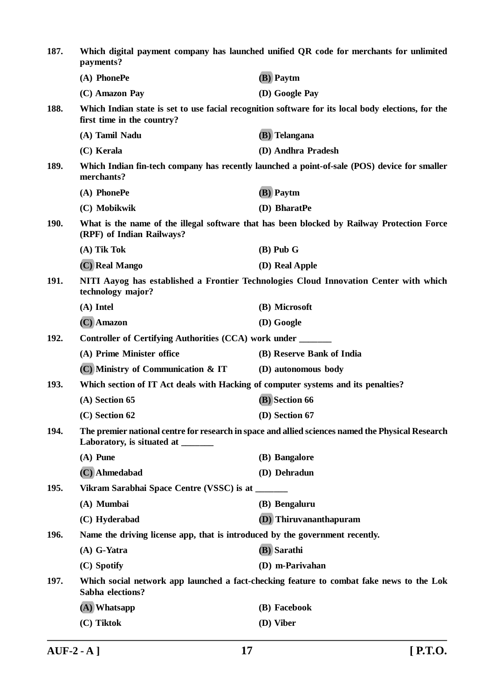| 187.                                                                                                                                           | Which digital payment company has launched unified QR code for merchants for unlimited<br>payments?        |                                                                                                    |  |
|------------------------------------------------------------------------------------------------------------------------------------------------|------------------------------------------------------------------------------------------------------------|----------------------------------------------------------------------------------------------------|--|
|                                                                                                                                                | (A) PhonePe                                                                                                | (B) Paytm                                                                                          |  |
|                                                                                                                                                | (C) Amazon Pay                                                                                             | (D) Google Pay                                                                                     |  |
| 188.                                                                                                                                           | first time in the country?                                                                                 | Which Indian state is set to use facial recognition software for its local body elections, for the |  |
|                                                                                                                                                | (A) Tamil Nadu                                                                                             | (B) Telangana                                                                                      |  |
|                                                                                                                                                | (C) Kerala                                                                                                 | (D) Andhra Pradesh                                                                                 |  |
| 189.                                                                                                                                           | Which Indian fin-tech company has recently launched a point-of-sale (POS) device for smaller<br>merchants? |                                                                                                    |  |
|                                                                                                                                                | (A) PhonePe                                                                                                | (B) Paytm                                                                                          |  |
|                                                                                                                                                | (C) Mobikwik                                                                                               | (D) BharatPe                                                                                       |  |
| <b>190.</b>                                                                                                                                    | (RPF) of Indian Railways?                                                                                  | What is the name of the illegal software that has been blocked by Railway Protection Force         |  |
|                                                                                                                                                | $(A)$ Tik Tok                                                                                              | $(B)$ Pub G                                                                                        |  |
|                                                                                                                                                | (C) Real Mango                                                                                             | (D) Real Apple                                                                                     |  |
| 191.                                                                                                                                           | NITI Aayog has established a Frontier Technologies Cloud Innovation Center with which<br>technology major? |                                                                                                    |  |
|                                                                                                                                                | $(A)$ Intel                                                                                                | (B) Microsoft                                                                                      |  |
|                                                                                                                                                | (C) Amazon                                                                                                 | (D) Google                                                                                         |  |
| 192.                                                                                                                                           | Controller of Certifying Authorities (CCA) work under ______                                               |                                                                                                    |  |
|                                                                                                                                                | (A) Prime Minister office                                                                                  | (B) Reserve Bank of India                                                                          |  |
|                                                                                                                                                | (C) Ministry of Communication & IT                                                                         | (D) autonomous body                                                                                |  |
| 193.                                                                                                                                           | Which section of IT Act deals with Hacking of computer systems and its penalties?                          |                                                                                                    |  |
|                                                                                                                                                | (A) Section 65                                                                                             | (B) Section 66                                                                                     |  |
|                                                                                                                                                | (C) Section 62                                                                                             | (D) Section 67                                                                                     |  |
| 194.<br>The premier national centre for research in space and allied sciences named the Physical Research<br>Laboratory, is situated at ______ |                                                                                                            |                                                                                                    |  |
|                                                                                                                                                | $(A)$ Pune                                                                                                 | (B) Bangalore                                                                                      |  |
|                                                                                                                                                | (C) Ahmedabad                                                                                              | (D) Dehradun                                                                                       |  |
| <b>195.</b>                                                                                                                                    | Vikram Sarabhai Space Centre (VSSC) is at ________                                                         |                                                                                                    |  |
|                                                                                                                                                | (A) Mumbai                                                                                                 | (B) Bengaluru                                                                                      |  |
|                                                                                                                                                | (C) Hyderabad                                                                                              | (D) Thiruvananthapuram                                                                             |  |
| 196.                                                                                                                                           | Name the driving license app, that is introduced by the government recently.                               |                                                                                                    |  |
|                                                                                                                                                | $(A)$ G-Yatra                                                                                              | (B) Sarathi                                                                                        |  |
|                                                                                                                                                | (C) Spotify                                                                                                | (D) m-Parivahan                                                                                    |  |
| 197.                                                                                                                                           | Sabha elections?                                                                                           | Which social network app launched a fact-checking feature to combat fake news to the Lok           |  |
|                                                                                                                                                | $(A)$ Whatsapp                                                                                             | (B) Facebook                                                                                       |  |
|                                                                                                                                                | (C) Tiktok                                                                                                 | (D) Viber                                                                                          |  |